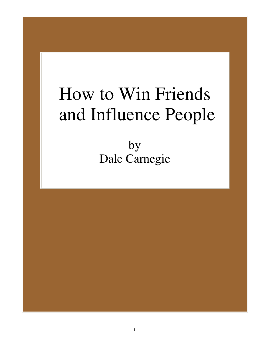# How to Win Friends and Influence People

by Dale Carnegie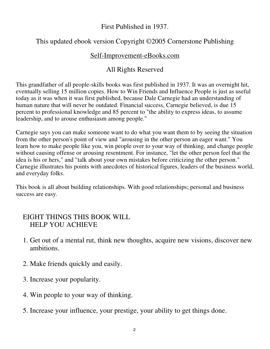## First Published in 1937.

## This updated ebook version Copyright ©2005 Cornerstone Publishing

### Self-Improvement-eBooks.com

# All Rights Reserved

This grandfather of all people-skills books was first published in 1937. It was an overnight hit, eventually selling 15 million copies. How to Win Friends and Influence People is just as useful today as it was when it was first published, because Dale Carnegie had an understanding of human nature that will never be outdated. Financial success, Carnegie believed, is due 15 percent to professional knowledge and 85 percent to "the ability to express ideas, to assume leadership, and to arouse enthusiasm among people."

Carnegie says you can make someone want to do what you want them to by seeing the situation from the other person's point of view and "arousing in the other person an eager want." You learn how to make people like you, win people over to your way of thinking, and change people without causing offense or arousing resentment. For instance, "let the other person feel that the idea is his or hers," and "talk about your own mistakes before criticizing the other person." Carnegie illustrates his points with anecdotes of historical figures, leaders of the business world, and everyday folks.

This book is all about building relationships. With good relationships; personal and business success are easy.

## EIGHT THINGS THIS BOOK WILL HELP YOU ACHIEVE

- 1. Get out of a mental rut, think new thoughts, acquire new visions, discover new ambitions.
- 2. Make friends quickly and easily.
- 3. Increase your popularity.
- 4. Win people to your way of thinking.
- 5. Increase your influence, your prestige, your ability to get things done.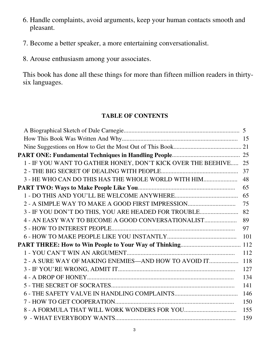- 6. Handle complaints, avoid arguments, keep your human contacts smooth and pleasant.
- 7. Become a better speaker, a more entertaining conversationalist.
- 8. Arouse enthusiasm among your associates.

This book has done all these things for more than fifteen million readers in thirtysix languages.

#### **TABLE OF CONTENTS**

| 1 - IF YOU WANT TO GATHER HONEY, DON'T KICK OVER THE BEEHIVE 25 |     |
|-----------------------------------------------------------------|-----|
|                                                                 | 37  |
| 3 - HE WHO CAN DO THIS HAS THE WHOLE WORLD WITH HIM             | 48  |
|                                                                 | 65  |
|                                                                 | 65  |
| 2 - A SIMPLE WAY TO MAKE A GOOD FIRST IMPRESSION                | 75  |
| 3 - IF YOU DON'T DO THIS, YOU ARE HEADED FOR TROUBLE            | 82  |
| 4 - AN EASY WAY TO BECOME A GOOD CONVERSATIONALIST              | 89  |
|                                                                 | 97  |
|                                                                 | 101 |
|                                                                 |     |
|                                                                 | 112 |
| 2 - A SURE WAY OF MAKING ENEMIES—AND HOW TO AVOID IT            | 118 |
|                                                                 | 127 |
|                                                                 | 134 |
|                                                                 | 141 |
|                                                                 | 146 |
|                                                                 | 150 |
|                                                                 | 155 |
|                                                                 | 159 |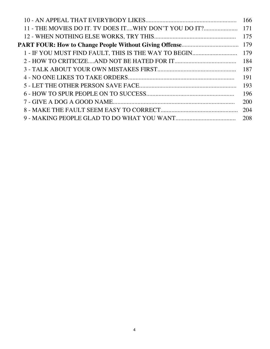|                                                               | 166 |
|---------------------------------------------------------------|-----|
| 11 - THE MOVIES DO IT. TV DOES ITWHY DON'T YOU DO IT?         | 171 |
|                                                               | 175 |
| <b>PART FOUR: How to Change People Without Giving Offense</b> | 179 |
| 1 - IF YOU MUST FIND FAULT, THIS IS THE WAY TO BEGIN          | 179 |
|                                                               | 184 |
|                                                               | 187 |
|                                                               | 191 |
|                                                               | 193 |
|                                                               | 196 |
|                                                               | 200 |
|                                                               | 204 |
|                                                               | 208 |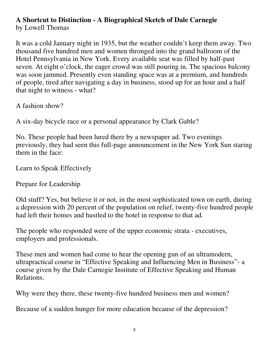#### **A Shortcut to Distinction - A Biographical Sketch of Dale Carnegie** by Lowell Thomas

It was a cold January night in 1935, but the weather couldn't keep them away. Two thousand five hundred men and women thronged into the grand ballroom of the Hotel Pennsylvania in New York. Every available seat was filled by half-past seven. At eight o'clock, the eager crowd was still pouring in. The spacious balcony was soon jammed. Presently even standing space was at a premium, and hundreds of people, tired after navigating a day in business, stood up for an hour and a half that night to witness - what?

A fashion show?

A six-day bicycle race or a personal appearance by Clark Gable?

No. These people had been lured there by a newspaper ad. Two evenings previously, they had seen this full-page announcement in the New York Sun staring them in the face:

Learn to Speak Effectively

Prepare for Leadership

Old stuff? Yes, but believe it or not, in the most sophisticated town on earth, during a depression with 20 percent of the population on relief, twenty-five hundred people had left their homes and hustled to the hotel in response to that ad.

The people who responded were of the upper economic strata - executives, employers and professionals.

These men and women had come to hear the opening gun of an ultramodern, ultrapractical course in "Effective Speaking and Influencing Men in Business"- a course given by the Dale Carnegie Institute of Effective Speaking and Human Relations.

Why were they there, these twenty-five hundred business men and women?

Because of a sudden hunger for more education because of the depression?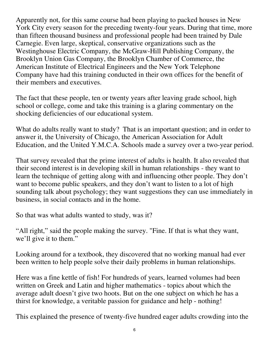Apparently not, for this same course had been playing to packed houses in New York City every season for the preceding twenty-four years. During that time, more than fifteen thousand business and professional people had been trained by Dale Carnegie. Even large, skeptical, conservative organizations such as the Westinghouse Electric Company, the McGraw-Hill Publishing Company, the Brooklyn Union Gas Company, the Brooklyn Chamber of Commerce, the American Institute of Electrical Engineers and the New York Telephone Company have had this training conducted in their own offices for the benefit of their members and executives.

The fact that these people, ten or twenty years after leaving grade school, high school or college, come and take this training is a glaring commentary on the shocking deficiencies of our educational system.

What do adults really want to study? That is an important question; and in order to answer it, the University of Chicago, the American Association for Adult Education, and the United Y.M.C.A. Schools made a survey over a two-year period.

That survey revealed that the prime interest of adults is health. It also revealed that their second interest is in developing skill in human relationships - they want to learn the technique of getting along with and influencing other people. They don't want to become public speakers, and they don't want to listen to a lot of high sounding talk about psychology; they want suggestions they can use immediately in business, in social contacts and in the home.

So that was what adults wanted to study, was it?

"All right," said the people making the survey. "Fine. If that is what they want, we'll give it to them."

Looking around for a textbook, they discovered that no working manual had ever been written to help people solve their daily problems in human relationships.

Here was a fine kettle of fish! For hundreds of years, learned volumes had been written on Greek and Latin and higher mathematics - topics about which the average adult doesn't give two hoots. But on the one subject on which he has a thirst for knowledge, a veritable passion for guidance and help - nothing!

This explained the presence of twenty-five hundred eager adults crowding into the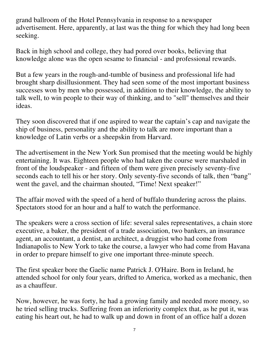grand ballroom of the Hotel Pennsylvania in response to a newspaper advertisement. Here, apparently, at last was the thing for which they had long been seeking.

Back in high school and college, they had pored over books, believing that knowledge alone was the open sesame to financial - and professional rewards.

But a few years in the rough-and-tumble of business and professional life had brought sharp disillusionment. They had seen some of the most important business successes won by men who possessed, in addition to their knowledge, the ability to talk well, to win people to their way of thinking, and to "sell" themselves and their ideas.

They soon discovered that if one aspired to wear the captain's cap and navigate the ship of business, personality and the ability to talk are more important than a knowledge of Latin verbs or a sheepskin from Harvard.

The advertisement in the New York Sun promised that the meeting would be highly entertaining. It was. Eighteen people who had taken the course were marshaled in front of the loudspeaker - and fifteen of them were given precisely seventy-five seconds each to tell his or her story. Only seventy-five seconds of talk, then "bang" went the gavel, and the chairman shouted, "Time! Next speaker!"

The affair moved with the speed of a herd of buffalo thundering across the plains. Spectators stood for an hour and a half to watch the performance.

The speakers were a cross section of life: several sales representatives, a chain store executive, a baker, the president of a trade association, two bankers, an insurance agent, an accountant, a dentist, an architect, a druggist who had come from Indianapolis to New York to take the course, a lawyer who had come from Havana in order to prepare himself to give one important three-minute speech.

The first speaker bore the Gaelic name Patrick J. O'Haire. Born in Ireland, he attended school for only four years, drifted to America, worked as a mechanic, then as a chauffeur.

Now, however, he was forty, he had a growing family and needed more money, so he tried selling trucks. Suffering from an inferiority complex that, as he put it, was eating his heart out, he had to walk up and down in front of an office half a dozen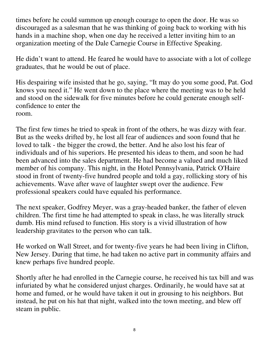times before he could summon up enough courage to open the door. He was so discouraged as a salesman that he was thinking of going back to working with his hands in a machine shop, when one day he received a letter inviting him to an organization meeting of the Dale Carnegie Course in Effective Speaking.

He didn't want to attend. He feared he would have to associate with a lot of college graduates, that he would be out of place.

His despairing wife insisted that he go, saying, "It may do you some good, Pat. God knows you need it." He went down to the place where the meeting was to be held and stood on the sidewalk for five minutes before he could generate enough selfconfidence to enter the room.

The first few times he tried to speak in front of the others, he was dizzy with fear. But as the weeks drifted by, he lost all fear of audiences and soon found that he loved to talk - the bigger the crowd, the better. And he also lost his fear of individuals and of his superiors. He presented his ideas to them, and soon he had been advanced into the sales department. He had become a valued and much liked member of his company. This night, in the Hotel Pennsylvania, Patrick O'Haire stood in front of twenty-five hundred people and told a gay, rollicking story of his achievements. Wave after wave of laughter swept over the audience. Few professional speakers could have equaled his performance.

The next speaker, Godfrey Meyer, was a gray-headed banker, the father of eleven children. The first time he had attempted to speak in class, he was literally struck dumb. His mind refused to function. His story is a vivid illustration of how leadership gravitates to the person who can talk.

He worked on Wall Street, and for twenty-five years he had been living in Clifton, New Jersey. During that time, he had taken no active part in community affairs and knew perhaps five hundred people.

Shortly after he had enrolled in the Carnegie course, he received his tax bill and was infuriated by what he considered unjust charges. Ordinarily, he would have sat at home and fumed, or he would have taken it out in grousing to his neighbors. But instead, he put on his hat that night, walked into the town meeting, and blew off steam in public.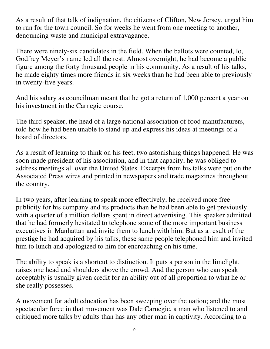As a result of that talk of indignation, the citizens of Clifton, New Jersey, urged him to run for the town council. So for weeks he went from one meeting to another, denouncing waste and municipal extravagance.

There were ninety-six candidates in the field. When the ballots were counted, lo, Godfrey Meyer's name led all the rest. Almost overnight, he had become a public figure among the forty thousand people in his community. As a result of his talks, he made eighty times more friends in six weeks than he had been able to previously in twenty-five years.

And his salary as councilman meant that he got a return of 1,000 percent a year on his investment in the Carnegie course.

The third speaker, the head of a large national association of food manufacturers, told how he had been unable to stand up and express his ideas at meetings of a board of directors.

As a result of learning to think on his feet, two astonishing things happened. He was soon made president of his association, and in that capacity, he was obliged to address meetings all over the United States. Excerpts from his talks were put on the Associated Press wires and printed in newspapers and trade magazines throughout the country.

In two years, after learning to speak more effectively, he received more free publicity for his company and its products than he had been able to get previously with a quarter of a million dollars spent in direct advertising. This speaker admitted that he had formerly hesitated to telephone some of the more important business executives in Manhattan and invite them to lunch with him. But as a result of the prestige he had acquired by his talks, these same people telephoned him and invited him to lunch and apologized to him for encroaching on his time.

The ability to speak is a shortcut to distinction. It puts a person in the limelight, raises one head and shoulders above the crowd. And the person who can speak acceptably is usually given credit for an ability out of all proportion to what he or she really possesses.

A movement for adult education has been sweeping over the nation; and the most spectacular force in that movement was Dale Carnegie, a man who listened to and critiqued more talks by adults than has any other man in captivity. According to a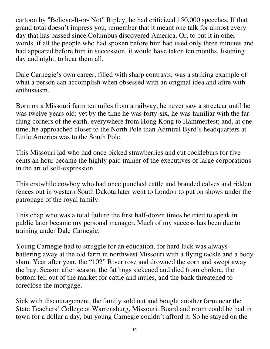cartoon by "Believe-It-or- Not" Ripley, he had criticized 150,000 speeches. If that grand total doesn't impress you, remember that it meant one talk for almost every day that has passed since Columbus discovered America. Or, to put it in other words, if all the people who had spoken before him had used only three minutes and had appeared before him in succession, it would have taken ten months, listening day and night, to hear them all.

Dale Carnegie's own career, filled with sharp contrasts, was a striking example of what a person can accomplish when obsessed with an original idea and afire with enthusiasm.

Born on a Missouri farm ten miles from a railway, he never saw a streetcar until he was twelve years old; yet by the time he was forty-six, he was familiar with the farflung corners of the earth, everywhere from Hong Kong to Hammerfest; and, at one time, he approached closer to the North Pole than Admiral Byrd's headquarters at Little America was to the South Pole.

This Missouri lad who had once picked strawberries and cut cockleburs for five cents an hour became the highly paid trainer of the executives of large corporations in the art of self-expression.

This erstwhile cowboy who had once punched cattle and branded calves and ridden fences out in western South Dakota later went to London to put on shows under the patronage of the royal family.

This chap who was a total failure the first half-dozen times he tried to speak in public later became my personal manager. Much of my success has been due to training under Dale Carnegie.

Young Carnegie had to struggle for an education, for hard luck was always battering away at the old farm in northwest Missouri with a flying tackle and a body slam. Year after year, the "102" River rose and drowned the corn and swept away the hay. Season after season, the fat hogs sickened and died from cholera, the bottom fell out of the market for cattle and mules, and the bank threatened to foreclose the mortgage.

Sick with discouragement, the family sold out and bought another farm near the State Teachers' College at Warrensburg, Missouri. Board and room could be had in town for a dollar a day, but young Carnegie couldn't afford it. So he stayed on the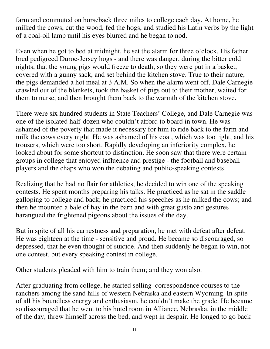farm and commuted on horseback three miles to college each day. At home, he milked the cows, cut the wood, fed the hogs, and studied his Latin verbs by the light of a coal-oil lamp until his eyes blurred and he began to nod.

Even when he got to bed at midnight, he set the alarm for three o'clock. His father bred pedigreed Duroc-Jersey hogs - and there was danger, during the bitter cold nights, that the young pigs would freeze to death; so they were put in a basket, covered with a gunny sack, and set behind the kitchen stove. True to their nature, the pigs demanded a hot meal at 3 A.M. So when the alarm went off, Dale Carnegie crawled out of the blankets, took the basket of pigs out to their mother, waited for them to nurse, and then brought them back to the warmth of the kitchen stove.

There were six hundred students in State Teachers' College, and Dale Carnegie was one of the isolated half-dozen who couldn't afford to board in town. He was ashamed of the poverty that made it necessary for him to ride back to the farm and milk the cows every night. He was ashamed of his coat, which was too tight, and his trousers, which were too short. Rapidly developing an inferiority complex, he looked about for some shortcut to distinction. He soon saw that there were certain groups in college that enjoyed influence and prestige - the football and baseball players and the chaps who won the debating and public-speaking contests.

Realizing that he had no flair for athletics, he decided to win one of the speaking contests. He spent months preparing his talks. He practiced as he sat in the saddle galloping to college and back; he practiced his speeches as he milked the cows; and then he mounted a bale of hay in the barn and with great gusto and gestures harangued the frightened pigeons about the issues of the day.

But in spite of all his earnestness and preparation, he met with defeat after defeat. He was eighteen at the time - sensitive and proud. He became so discouraged, so depressed, that he even thought of suicide. And then suddenly he began to win, not one contest, but every speaking contest in college.

Other students pleaded with him to train them; and they won also.

After graduating from college, he started selling correspondence courses to the ranchers among the sand hills of western Nebraska and eastern Wyoming. In spite of all his boundless energy and enthusiasm, he couldn't make the grade. He became so discouraged that he went to his hotel room in Alliance, Nebraska, in the middle of the day, threw himself across the bed, and wept in despair. He longed to go back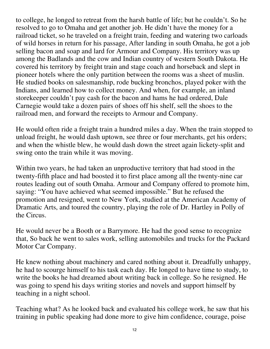to college, he longed to retreat from the harsh battle of life; but he couldn't. So he resolved to go to Omaha and get another job. He didn't have the money for a railroad ticket, so he traveled on a freight train, feeding and watering two carloads of wild horses in return for his passage, After landing in south Omaha, he got a job selling bacon and soap and lard for Armour and Company. His territory was up among the Badlands and the cow and Indian country of western South Dakota. He covered his territory by freight train and stage coach and horseback and slept in pioneer hotels where the only partition between the rooms was a sheet of muslin. He studied books on salesmanship, rode bucking bronchos, played poker with the Indians, and learned how to collect money. And when, for example, an inland storekeeper couldn't pay cash for the bacon and hams he had ordered, Dale Carnegie would take a dozen pairs of shoes off his shelf, sell the shoes to the railroad men, and forward the receipts to Armour and Company.

He would often ride a freight train a hundred miles a day. When the train stopped to unload freight, he would dash uptown, see three or four merchants, get his orders; and when the whistle blew, he would dash down the street again lickety-split and swing onto the train while it was moving.

Within two years, he had taken an unproductive territory that had stood in the twenty-fifth place and had boosted it to first place among all the twenty-nine car routes leading out of south Omaha. Armour and Company offered to promote him, saying: "You have achieved what seemed impossible." But he refused the promotion and resigned, went to New York, studied at the American Academy of Dramatic Arts, and toured the country, playing the role of Dr. Hartley in Polly of the Circus.

He would never be a Booth or a Barrymore. He had the good sense to recognize that, So back he went to sales work, selling automobiles and trucks for the Packard Motor Car Company.

He knew nothing about machinery and cared nothing about it. Dreadfully unhappy, he had to scourge himself to his task each day. He longed to have time to study, to write the books he had dreamed about writing back in college. So he resigned. He was going to spend his days writing stories and novels and support himself by teaching in a night school.

Teaching what? As he looked back and evaluated his college work, he saw that his training in public speaking had done more to give him confidence, courage, poise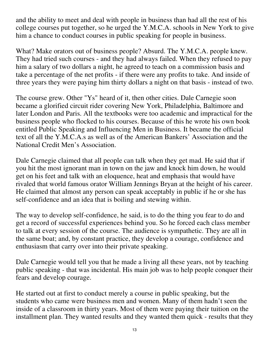and the ability to meet and deal with people in business than had all the rest of his college courses put together, so he urged the Y.M.C.A. schools in New York to give him a chance to conduct courses in public speaking for people in business.

What? Make orators out of business people? Absurd. The Y.M.C.A. people knew. They had tried such courses - and they had always failed. When they refused to pay him a salary of two dollars a night, he agreed to teach on a commission basis and take a percentage of the net profits - if there were any profits to take. And inside of three years they were paying him thirty dollars a night on that basis - instead of two.

The course grew. Other "Ys" heard of it, then other cities. Dale Carnegie soon became a glorified circuit rider covering New York, Philadelphia, Baltimore and later London and Paris. All the textbooks were too academic and impractical for the business people who flocked to his courses. Because of this he wrote his own book entitled Public Speaking and Influencing Men in Business. It became the official text of all the Y.M.C.A.s as well as of the American Bankers' Association and the National Credit Men's Association.

Dale Carnegie claimed that all people can talk when they get mad. He said that if you hit the most ignorant man in town on the jaw and knock him down, he would get on his feet and talk with an eloquence, heat and emphasis that would have rivaled that world famous orator William Jennings Bryan at the height of his career. He claimed that almost any person can speak acceptably in public if he or she has self-confidence and an idea that is boiling and stewing within.

The way to develop self-confidence, he said, is to do the thing you fear to do and get a record of successful experiences behind you. So he forced each class member to talk at every session of the course. The audience is sympathetic. They are all in the same boat; and, by constant practice, they develop a courage, confidence and enthusiasm that carry over into their private speaking.

Dale Carnegie would tell you that he made a living all these years, not by teaching public speaking - that was incidental. His main job was to help people conquer their fears and develop courage.

He started out at first to conduct merely a course in public speaking, but the students who came were business men and women. Many of them hadn't seen the inside of a classroom in thirty years. Most of them were paying their tuition on the installment plan. They wanted results and they wanted them quick - results that they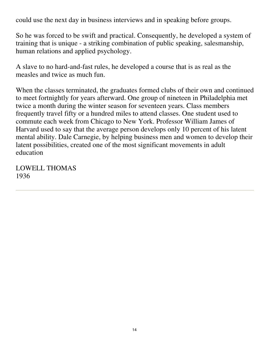could use the next day in business interviews and in speaking before groups.

So he was forced to be swift and practical. Consequently, he developed a system of training that is unique - a striking combination of public speaking, salesmanship, human relations and applied psychology.

A slave to no hard-and-fast rules, he developed a course that is as real as the measles and twice as much fun.

When the classes terminated, the graduates formed clubs of their own and continued to meet fortnightly for years afterward. One group of nineteen in Philadelphia met twice a month during the winter season for seventeen years. Class members frequently travel fifty or a hundred miles to attend classes. One student used to commute each week from Chicago to New York. Professor William James of Harvard used to say that the average person develops only 10 percent of his latent mental ability. Dale Carnegie, by helping business men and women to develop their latent possibilities, created one of the most significant movements in adult education

LOWELL THOMAS 1936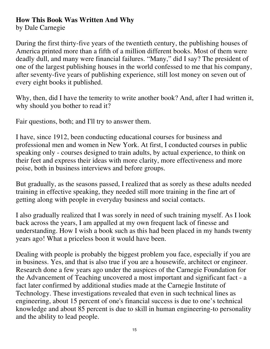## **How This Book Was Written And Why**

by Dale Carnegie

During the first thirty-five years of the twentieth century, the publishing houses of America printed more than a fifth of a million different books. Most of them were deadly dull, and many were financial failures. "Many," did I say? The president of one of the largest publishing houses in the world confessed to me that his company, after seventy-five years of publishing experience, still lost money on seven out of every eight books it published.

Why, then, did I have the temerity to write another book? And, after I had written it, why should you bother to read it?

Fair questions, both; and I'll try to answer them.

I have, since 1912, been conducting educational courses for business and professional men and women in New York. At first, I conducted courses in public speaking only - courses designed to train adults, by actual experience, to think on their feet and express their ideas with more clarity, more effectiveness and more poise, both in business interviews and before groups.

But gradually, as the seasons passed, I realized that as sorely as these adults needed training in effective speaking, they needed still more training in the fine art of getting along with people in everyday business and social contacts.

I also gradually realized that I was sorely in need of such training myself. As I look back across the years, I am appalled at my own frequent lack of finesse and understanding. How I wish a book such as this had been placed in my hands twenty years ago! What a priceless boon it would have been.

Dealing with people is probably the biggest problem you face, especially if you are in business. Yes, and that is also true if you are a housewife, architect or engineer. Research done a few years ago under the auspices of the Carnegie Foundation for the Advancement of Teaching uncovered a most important and significant fact - a fact later confirmed by additional studies made at the Carnegie Institute of Technology. These investigations revealed that even in such technical lines as engineering, about 15 percent of one's financial success is due to one's technical knowledge and about 85 percent is due to skill in human engineering-to personality and the ability to lead people.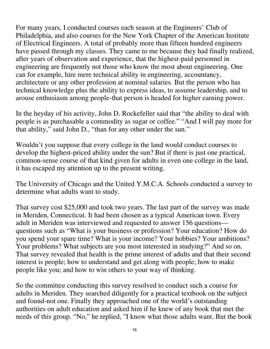For many years, I conducted courses each season at the Engineers' Club of Philadelphia, and also courses for the New York Chapter of the American Institute of Electrical Engineers. A total of probably more than fifteen hundred engineers have passed through my classes. They came to me because they had finally realized, after years of observation and experience, that the highest-paid personnel in engineering are frequently not those who know the most about engineering. One can for example, hire mere technical ability in engineering, accountancy, architecture or any other profession at nominal salaries. But the person who has technical knowledge plus the ability to express ideas, to assume leadership, and to arouse enthusiasm among people-that person is headed for higher earning power.

In the heyday of his activity, John D. Rockefeller said that "the ability to deal with people is as purchasable a commodity as sugar or coffee." "And I will pay more for that ability," said John D., "than for any other under the sun."

Wouldn't you suppose that every college in the land would conduct courses to develop the highest-priced ability under the sun? But if there is just one practical, common-sense course of that kind given for adults in even one college in the land, it has escaped my attention up to the present writing.

The University of Chicago and the United Y.M.C.A. Schools conducted a survey to determine what adults want to study.

That survey cost \$25,000 and took two years. The last part of the survey was made in Meriden, Connecticut. It had been chosen as a typical American town. Every adult in Meriden was interviewed and requested to answer 156 questions questions such as "What is your business or profession? Your education? How do you spend your spare time? What is your income? Your hobbies? Your ambitions? Your problems? What subjects are you most interested in studying?" And so on. That survey revealed that health is the prime interest of adults and that their second interest is people; how to understand and get along with people; how to make people like you; and how to win others to your way of thinking.

So the committee conducting this survey resolved to conduct such a course for adults in Meriden. They searched diligently for a practical textbook on the subject and found-not one. Finally they approached one of the world's outstanding authorities on adult education and asked him if he knew of any book that met the needs of this group. "No," he replied, "I know what those adults want. But the book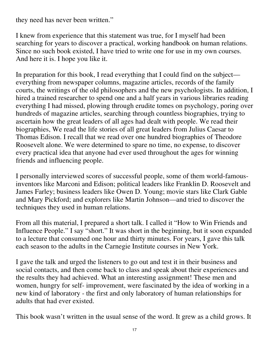they need has never been written."

I knew from experience that this statement was true, for I myself had been searching for years to discover a practical, working handbook on human relations. Since no such book existed, I have tried to write one for use in my own courses. And here it is. I hope you like it.

In preparation for this book, I read everything that I could find on the subject everything from newspaper columns, magazine articles, records of the family courts, the writings of the old philosophers and the new psychologists. In addition, I hired a trained researcher to spend one and a half years in various libraries reading everything I had missed, plowing through erudite tomes on psychology, poring over hundreds of magazine articles, searching through countless biographies, trying to ascertain how the great leaders of all ages had dealt with people. We read their biographies, We read the life stories of all great leaders from Julius Caesar to Thomas Edison. I recall that we read over one hundred biographies of Theodore Roosevelt alone. We were determined to spare no time, no expense, to discover every practical idea that anyone had ever used throughout the ages for winning friends and influencing people.

I personally interviewed scores of successful people, some of them world-famousinventors like Marconi and Edison; political leaders like Franklin D. Roosevelt and James Farley; business leaders like Owen D. Young; movie stars like Clark Gable and Mary Pickford; and explorers like Martin Johnson—and tried to discover the techniques they used in human relations.

From all this material, I prepared a short talk. I called it "How to Win Friends and Influence People." I say "short." It was short in the beginning, but it soon expanded to a lecture that consumed one hour and thirty minutes. For years, I gave this talk each season to the adults in the Carnegie Institute courses in New York.

I gave the talk and urged the listeners to go out and test it in their business and social contacts, and then come back to class and speak about their experiences and the results they had achieved. What an interesting assignment! These men and women, hungry for self- improvement, were fascinated by the idea of working in a new kind of laboratory - the first and only laboratory of human relationships for adults that had ever existed.

This book wasn't written in the usual sense of the word. It grew as a child grows. It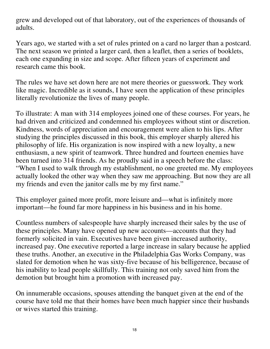grew and developed out of that laboratory, out of the experiences of thousands of adults.

Years ago, we started with a set of rules printed on a card no larger than a postcard. The next season we printed a larger card, then a leaflet, then a series of booklets, each one expanding in size and scope. After fifteen years of experiment and research came this book.

The rules we have set down here are not mere theories or guesswork. They work like magic. Incredible as it sounds, I have seen the application of these principles literally revolutionize the lives of many people.

To illustrate: A man with 314 employees joined one of these courses. For years, he had driven and criticized and condemned his employees without stint or discretion. Kindness, words of appreciation and encouragement were alien to his lips. After studying the principles discussed in this book, this employer sharply altered his philosophy of life. His organization is now inspired with a new loyalty, a new enthusiasm, a new spirit of teamwork. Three hundred and fourteen enemies have been turned into 314 friends. As he proudly said in a speech before the class: "When I used to walk through my establishment, no one greeted me. My employees actually looked the other way when they saw me approaching. But now they are all my friends and even the janitor calls me by my first name."

This employer gained more profit, more leisure and—what is infinitely more important—he found far more happiness in his business and in his home.

Countless numbers of salespeople have sharply increased their sales by the use of these principles. Many have opened up new accounts—accounts that they had formerly solicited in vain. Executives have been given increased authority, increased pay. One executive reported a large increase in salary because he applied these truths. Another, an executive in the Philadelphia Gas Works Company, was slated for demotion when he was sixty-five because of his belligerence, because of his inability to lead people skillfully. This training not only saved him from the demotion but brought him a promotion with increased pay.

On innumerable occasions, spouses attending the banquet given at the end of the course have told me that their homes have been much happier since their husbands or wives started this training.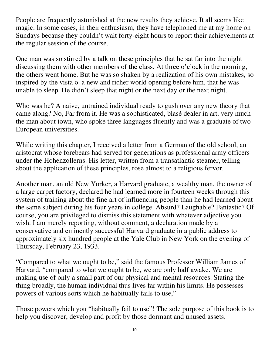People are frequently astonished at the new results they achieve. It all seems like magic. In some cases, in their enthusiasm, they have telephoned me at my home on Sundays because they couldn't wait forty-eight hours to report their achievements at the regular session of the course.

One man was so stirred by a talk on these principles that he sat far into the night discussing them with other members of the class. At three o'clock in the morning, the others went home. But he was so shaken by a realization of his own mistakes, so inspired by the vista o a new and richer world opening before him, that he was unable to sleep. He didn't sleep that night or the next day or the next night.

Who was he? A naive, untrained individual ready to gush over any new theory that came along? No, Far from it. He was a sophisticated, blasé dealer in art, very much the man about town, who spoke three languages fluently and was a graduate of two European universities.

While writing this chapter, I received a letter from a German of the old school, an aristocrat whose forebears had served for generations as professional army officers under the Hohenzollerns. His letter, written from a transatlantic steamer, telling about the application of these principles, rose almost to a religious fervor.

Another man, an old New Yorker, a Harvard graduate, a wealthy man, the owner of a large carpet factory, declared he had learned more in fourteen weeks through this system of training about the fine art of influencing people than he had learned about the same subject during his four years in college. Absurd? Laughable? Fantastic? Of course, you are privileged to dismiss this statement with whatever adjective you wish. I am merely reporting, without comment, a declaration made by a conservative and eminently successful Harvard graduate in a public address to approximately six hundred people at the Yale Club in New York on the evening of Thursday, February 23, 1933.

"Compared to what we ought to be," said the famous Professor William James of Harvard, "compared to what we ought to be, we are only half awake. We are making use of only a small part of our physical and mental resources. Stating the thing broadly, the human individual thus lives far within his limits. He possesses powers of various sorts which he habitually fails to use,"

Those powers which you "habitually fail to use"! The sole purpose of this book is to help you discover, develop and profit by those dormant and unused assets.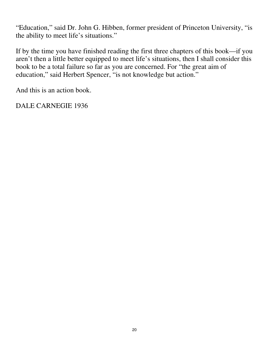"Education," said Dr. John G. Hibben, former president of Princeton University, "is the ability to meet life's situations."

If by the time you have finished reading the first three chapters of this book—if you aren't then a little better equipped to meet life's situations, then I shall consider this book to be a total failure so far as you are concerned. For "the great aim of education," said Herbert Spencer, "is not knowledge but action."

And this is an action book.

DALE CARNEGIE 1936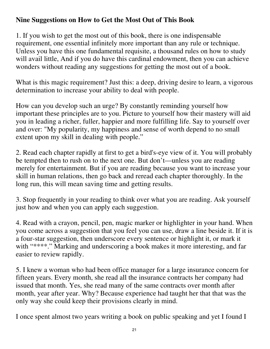# **Nine Suggestions on How to Get the Most Out of This Book**

1. If you wish to get the most out of this book, there is one indispensable requirement, one essential infinitely more important than any rule or technique. Unless you have this one fundamental requisite, a thousand rules on how to study will avail little, And if you do have this cardinal endowment, then you can achieve wonders without reading any suggestions for getting the most out of a book.

What is this magic requirement? Just this: a deep, driving desire to learn, a vigorous determination to increase your ability to deal with people.

How can you develop such an urge? By constantly reminding yourself how important these principles are to you. Picture to yourself how their mastery will aid you in leading a richer, fuller, happier and more fulfilling life. Say to yourself over and over: "My popularity, my happiness and sense of worth depend to no small extent upon my skill in dealing with people."

2. Read each chapter rapidly at first to get a bird's-eye view of it. You will probably be tempted then to rush on to the next one. But don't—unless you are reading merely for entertainment. But if you are reading because you want to increase your skill in human relations, then go back and reread each chapter thoroughly. In the long run, this will mean saving time and getting results.

3. Stop frequently in your reading to think over what you are reading. Ask yourself just how and when you can apply each suggestion.

4. Read with a crayon, pencil, pen, magic marker or highlighter in your hand. When you come across a suggestion that you feel you can use, draw a line beside it. If it is a four-star suggestion, then underscore every sentence or highlight it, or mark it with "\*\*\*\*." Marking and underscoring a book makes it more interesting, and far easier to review rapidly.

5. I knew a woman who had been office manager for a large insurance concern for fifteen years. Every month, she read all the insurance contracts her company had issued that month. Yes, she read many of the same contracts over month after month, year after year. Why? Because experience had taught her that that was the only way she could keep their provisions clearly in mind.

I once spent almost two years writing a book on public speaking and yet I found I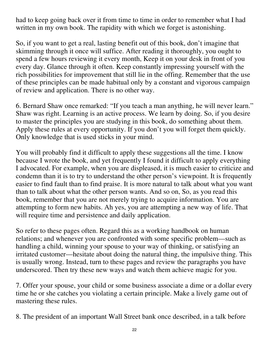had to keep going back over it from time to time in order to remember what I had written in my own book. The rapidity with which we forget is astonishing.

So, if you want to get a real, lasting benefit out of this book, don't imagine that skimming through it once will suffice. After reading it thoroughly, you ought to spend a few hours reviewing it every month, Keep it on your desk in front of you every day. Glance through it often. Keep constantly impressing yourself with the rich possibilities for improvement that still lie in the offing. Remember that the use of these principles can be made habitual only by a constant and vigorous campaign of review and application. There is no other way.

6. Bernard Shaw once remarked: "If you teach a man anything, he will never learn." Shaw was right. Learning is an active process. We learn by doing. So, if you desire to master the principles you are studying in this book, do something about them. Apply these rules at every opportunity. If you don't you will forget them quickly. Only knowledge that is used sticks in your mind.

You will probably find it difficult to apply these suggestions all the time. I know because I wrote the book, and yet frequently I found it difficult to apply everything I advocated. For example, when you are displeased, it is much easier to criticize and condemn than it is to try to understand the other person's viewpoint. It is frequently easier to find fault than to find praise. It is more natural to talk about what you want than to talk about what the other person wants. And so on, So, as you read this book, remember that you are not merely trying to acquire information. You are attempting to form new habits. Ah yes, you are attempting a new way of life. That will require time and persistence and daily application.

So refer to these pages often. Regard this as a working handbook on human relations; and whenever you are confronted with some specific problem—such as handling a child, winning your spouse to your way of thinking, or satisfying an irritated customer—hesitate about doing the natural thing, the impulsive thing. This is usually wrong. Instead, turn to these pages and review the paragraphs you have underscored. Then try these new ways and watch them achieve magic for you.

7. Offer your spouse, your child or some business associate a dime or a dollar every time he or she catches you violating a certain principle. Make a lively game out of mastering these rules.

8. The president of an important Wall Street bank once described, in a talk before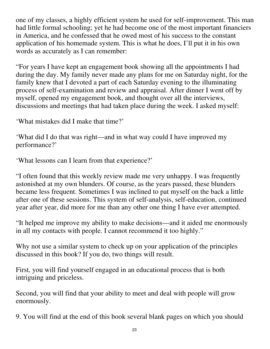one of my classes, a highly efficient system he used for self-improvement. This man had little formal schooling; yet he had become one of the most important financiers in America, and he confessed that he owed most of his success to the constant application of his homemade system. This is what he does, I'll put it in his own words as accurately as I can remember:

"For years I have kept an engagement book showing all the appointments I had during the day. My family never made any plans for me on Saturday night, for the family knew that I devoted a part of each Saturday evening to the illuminating process of self-examination and review and appraisal. After dinner I went off by myself, opened my engagement book, and thought over all the interviews, discussions and meetings that had taken place during the week. I asked myself:

'What mistakes did I make that time?'

'What did I do that was right—and in what way could I have improved my performance?'

'What lessons can I learn from that experience?'

"I often found that this weekly review made me very unhappy. I was frequently astonished at my own blunders. Of course, as the years passed, these blunders became less frequent. Sometimes I was inclined to pat myself on the back a little after one of these sessions. This system of self-analysis, self-education, continued year after year, did more for me than any other one thing I have ever attempted.

"It helped me improve my ability to make decisions—and it aided me enormously in all my contacts with people. I cannot recommend it too highly."

Why not use a similar system to check up on your application of the principles discussed in this book? If you do, two things will result.

First, you will find yourself engaged in an educational process that is both intriguing and priceless.

Second, you will find that your ability to meet and deal with people will grow enormously.

9. You will find at the end of this book several blank pages on which you should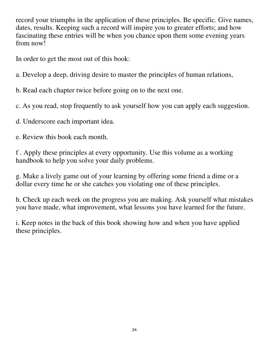record your triumphs in the application of these principles. Be specific. Give names, dates, results. Keeping such a record will inspire you to greater efforts; and how fascinating these entries will be when you chance upon them some evening years from now!

In order to get the most out of this book:

- a. Develop a deep, driving desire to master the principles of human relations,
- b. Read each chapter twice before going on to the next one.
- c. As you read, stop frequently to ask yourself how you can apply each suggestion.
- d. Underscore each important idea.
- e. Review this book each month.

f . Apply these principles at every opportunity. Use this volume as a working handbook to help you solve your daily problems.

g. Make a lively game out of your learning by offering some friend a dime or a dollar every time he or she catches you violating one of these principles.

h. Check up each week on the progress you are making. Ask yourself what mistakes you have made, what improvement, what lessons you have learned for the future.

i. Keep notes in the back of this book showing how and when you have applied these principles.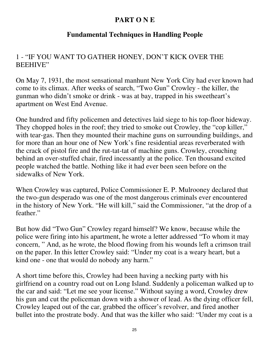## **PART O N E**

## **Fundamental Techniques in Handling People**

## 1 - "IF YOU WANT TO GATHER HONEY, DON'T KICK OVER THE BEEHIVE"

On May 7, 1931, the most sensational manhunt New York City had ever known had come to its climax. After weeks of search, "Two Gun" Crowley - the killer, the gunman who didn't smoke or drink - was at bay, trapped in his sweetheart's apartment on West End Avenue.

One hundred and fifty policemen and detectives laid siege to his top-floor hideway. They chopped holes in the roof; they tried to smoke out Crowley, the "cop killer," with tear-gas. Then they mounted their machine guns on surrounding buildings, and for more than an hour one of New York's fine residential areas reverberated with the crack of pistol fire and the rut-tat-tat of machine guns. Crowley, crouching behind an over-stuffed chair, fired incessantly at the police. Ten thousand excited people watched the battle. Nothing like it had ever been seen before on the sidewalks of New York.

When Crowley was captured, Police Commissioner E. P. Mulrooney declared that the two-gun desperado was one of the most dangerous criminals ever encountered in the history of New York. "He will kill," said the Commissioner, "at the drop of a feather."

But how did "Two Gun" Crowley regard himself? We know, because while the police were firing into his apartment, he wrote a letter addressed "To whom it may concern, " And, as he wrote, the blood flowing from his wounds left a crimson trail on the paper. In this letter Crowley said: "Under my coat is a weary heart, but a kind one - one that would do nobody any harm."

A short time before this, Crowley had been having a necking party with his girlfriend on a country road out on Long Island. Suddenly a policeman walked up to the car and said: "Let me see your license." Without saying a word, Crowley drew his gun and cut the policeman down with a shower of lead. As the dying officer fell, Crowley leaped out of the car, grabbed the officer's revolver, and fired another bullet into the prostrate body. And that was the killer who said: "Under my coat is a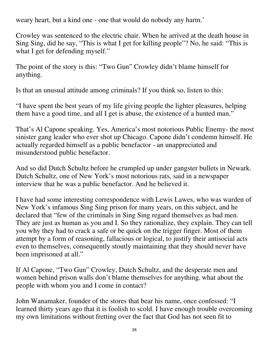weary heart, but a kind one - one that would do nobody any harm.'

Crowley was sentenced to the electric chair. When he arrived at the death house in Sing Sing, did he say, "This is what I get for killing people"? No, he said: "This is what I get for defending myself."

The point of the story is this: "Two Gun" Crowley didn't blame himself for anything.

Is that an unusual attitude among criminals? If you think so, listen to this:

"I have spent the best years of my life giving people the lighter pleasures, helping them have a good time, and all I get is abuse, the existence of a hunted man."

That's Al Capone speaking. Yes, America's most notorious Public Enemy- the most sinister gang leader who ever shot up Chicago. Capone didn't condemn himself. He actually regarded himself as a public benefactor - an unappreciated and misunderstood public benefactor.

And so did Dutch Schultz before he crumpled up under gangster bullets in Newark. Dutch Schultz, one of New York's most notorious rats, said in a newspaper interview that he was a public benefactor. And he believed it.

I have had some interesting correspondence with Lewis Lawes, who was warden of New York's infamous Sing Sing prison for many years, on this subject, and he declared that "few of the criminals in Sing Sing regard themselves as bad men. They are just as human as you and I. So they rationalize, they explain. They can tell you why they had to crack a safe or be quick on the trigger finger. Most of them attempt by a form of reasoning, fallacious or logical, to justify their antisocial acts even to themselves, consequently stoutly maintaining that they should never have been imprisoned at all."

If Al Capone, "Two Gun" Crowley, Dutch Schultz, and the desperate men and women behind prison walls don't blame themselves for anything, what about the people with whom you and I come in contact?

John Wanamaker, founder of the stores that bear his name, once confessed: "I learned thirty years ago that it is foolish to scold. I have enough trouble overcoming my own limitations without fretting over the fact that God has not seen fit to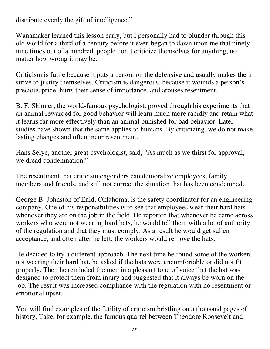distribute evenly the gift of intelligence."

Wanamaker learned this lesson early, but I personally had to blunder through this old world for a third of a century before it even began to dawn upon me that ninetynine times out of a hundred, people don't criticize themselves for anything, no matter how wrong it may be.

Criticism is futile because it puts a person on the defensive and usually makes them strive to justify themselves. Criticism is dangerous, because it wounds a person's precious pride, hurts their sense of importance, and arouses resentment.

B. F. Skinner, the world-famous psychologist, proved through his experiments that an animal rewarded for good behavior will learn much more rapidly and retain what it learns far more effectively than an animal punished for bad behavior. Later studies have shown that the same applies to humans. By criticizing, we do not make lasting changes and often incur resentment.

Hans Selye, another great psychologist, said, "As much as we thirst for approval, we dread condemnation,"

The resentment that criticism engenders can demoralize employees, family members and friends, and still not correct the situation that has been condemned.

George B. Johnston of Enid, Oklahoma, is the safety coordinator for an engineering company, One of his responsibilities is to see that employees wear their hard hats whenever they are on the job in the field. He reported that whenever he came across workers who were not wearing hard hats, he would tell them with a lot of authority of the regulation and that they must comply. As a result he would get sullen acceptance, and often after he left, the workers would remove the hats.

He decided to try a different approach. The next time he found some of the workers not wearing their hard hat, he asked if the hats were uncomfortable or did not fit properly. Then he reminded the men in a pleasant tone of voice that the hat was designed to protect them from injury and suggested that it always be worn on the job. The result was increased compliance with the regulation with no resentment or emotional upset.

You will find examples of the futility of criticism bristling on a thousand pages of history, Take, for example, the famous quarrel between Theodore Roosevelt and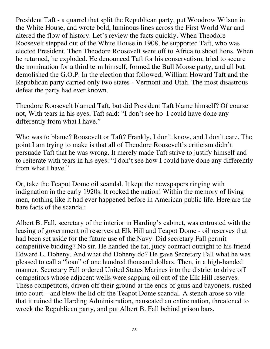President Taft - a quarrel that split the Republican party, put Woodrow Wilson in the White House, and wrote bold, luminous lines across the First World War and altered the flow of history. Let's review the facts quickly. When Theodore Roosevelt stepped out of the White House in 1908, he supported Taft, who was elected President. Then Theodore Roosevelt went off to Africa to shoot lions. When he returned, he exploded. He denounced Taft for his conservatism, tried to secure the nomination for a third term himself, formed the Bull Moose party, and all but demolished the G.O.P. In the election that followed, William Howard Taft and the Republican party carried only two states - Vermont and Utah. The most disastrous defeat the party had ever known.

Theodore Roosevelt blamed Taft, but did President Taft blame himself? Of course not, With tears in his eyes, Taft said: "I don't see ho I could have done any differently from what I have."

Who was to blame? Roosevelt or Taft? Frankly, I don't know, and I don't care. The point I am trying to make is that all of Theodore Roosevelt's criticism didn't persuade Taft that he was wrong. It merely made Taft strive to justify himself and to reiterate with tears in his eyes: "I don't see how I could have done any differently from what I have."

Or, take the Teapot Dome oil scandal. It kept the newspapers ringing with indignation in the early 1920s. It rocked the nation! Within the memory of living men, nothing like it had ever happened before in American public life. Here are the bare facts of the scandal:

Albert B. Fall, secretary of the interior in Harding's cabinet, was entrusted with the leasing of government oil reserves at Elk Hill and Teapot Dome - oil reserves that had been set aside for the future use of the Navy. Did secretary Fall permit competitive bidding? No sir. He handed the fat, juicy contract outright to his friend Edward L. Doheny. And what did Doheny do? He gave Secretary Fall what he was pleased to call a "loan" of one hundred thousand dollars. Then, in a high-handed manner, Secretary Fall ordered United States Marines into the district to drive off competitors whose adjacent wells were sapping oil out of the Elk Hill reserves. These competitors, driven off their ground at the ends of guns and bayonets, rushed into court—and blew the lid off the Teapot Dome scandal. A stench arose so vile that it ruined the Harding Administration, nauseated an entire nation, threatened to wreck the Republican party, and put Albert B. Fall behind prison bars.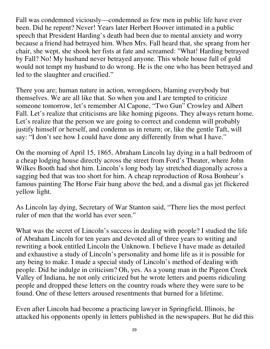Fall was condemned viciously—condemned as few men in public life have ever been. Did he repent? Never! Years later Herbert Hoover intimated in a public speech that President Harding's death had been due to mental anxiety and worry because a friend had betrayed him. When Mrs. Fall heard that, she sprang from her chair, she wept, she shook her fists at fate and screamed: "What! Harding betrayed by Fall? No! My husband never betrayed anyone. This whole house full of gold would not tempt my husband to do wrong. He is the one who has been betrayed and led to the slaughter and crucified."

There you are; human nature in action, wrongdoers, blaming everybody but themselves. We are all like that. So when you and I are tempted to criticize someone tomorrow, let's remember Al Capone, "Two Gun" Crowley and Albert Fall. Let's realize that criticisms are like homing pigeons. They always return home. Let's realize that the person we are going to correct and condemn will probably justify himself or herself, and condemn us in return; or, like the gentle Taft, will say: "I don't see how I could have done any differently from what I have."

On the morning of April 15, 1865, Abraham Lincoln lay dying in a hall bedroom of a cheap lodging house directly across the street from Ford's Theater, where John Wilkes Booth had shot him. Lincoln's long body lay stretched diagonally across a sagging bed that was too short for him. A cheap reproduction of Rosa Bonheur's famous painting The Horse Fair hung above the bed, and a dismal gas jet flickered yellow light.

As Lincoln lay dying, Secretary of War Stanton said, "There lies the most perfect ruler of men that the world has ever seen."

What was the secret of Lincoln's success in dealing with people? I studied the life of Abraham Lincoln for ten years and devoted all of three years to writing and rewriting a book entitled Lincoln the Unknown. I believe I have made as detailed and exhaustive a study of Lincoln's personality and home life as it is possible for any being to make. I made a special study of Lincoln's method of dealing with people. Did he indulge in criticism? Oh, yes. As a young man in the Pigeon Creek Valley of Indiana, he not only criticized but he wrote letters and poems ridiculing people and dropped these letters on the country roads where they were sure to be found. One of these letters aroused resentments that burned for a lifetime.

Even after Lincoln had become a practicing lawyer in Springfield, Illinois, he attacked his opponents openly in letters published in the newspapers. But he did this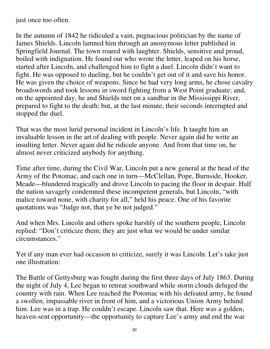just once too often.

In the autumn of 1842 he ridiculed a vain, pugnacious politician by the name of James Shields. Lincoln lamned him through an anonymous letter published in Springfield Journal. The town roared with laughter. Shields, sensitive and proud, boiled with indignation. He found out who wrote the letter, leaped on his horse, started after Lincoln, and challenged him to fight a duel. Lincoln didn't want to fight. He was opposed to dueling, but he couldn't get out of it and save his honor. He was given the choice of weapons. Since he had very long arms, he chose cavalry broadswords and took lessons in sword fighting from a West Point graduate; and, on the appointed day, he and Shields met on a sandbar in the Mississippi River, prepared to fight to the death; but, at the last minute, their seconds interrupted and stopped the duel.

That was the most lurid personal incident in Lincoln's life. It taught him an invaluable lesson in the art of dealing with people. Never again did he write an insulting letter. Never again did he ridicule anyone. And from that time on, he almost never criticized anybody for anything.

Time after time, during the Civil War, Lincoln put a new general at the head of the Army of the Potomac, and each one in turn—McClellan, Pope, Burnside, Hooker, Meade—blundered tragically and drove Lincoln to pacing the floor in despair. Half the nation savagely condemned these incompetent generals, but Lincoln, "with malice toward none, with charity for all," held his peace. One of his favorite quotations was "Judge not, that ye be not judged."

And when Mrs. Lincoln and others spoke harshly of the southern people, Lincoln replied: "Don't criticize them; they are just what we would be under similar circumstances."

Yet if any man ever had occasion to criticize, surely it was Lincoln. Let's take just one illustration:

The Battle of Gettysburg was fought during the first three days of July 1863. During the night of July 4, Lee began to retreat southward while storm clouds deluged the country with rain. When Lee reached the Potomac with his defeated army, he found a swollen, impassable river in front of him, and a victorious Union Army behind him. Lee was in a trap. He couldn't escape. Lincoln saw that. Here was a golden, heaven-sent opportunity—the opportunity to capture Lee's army and end the war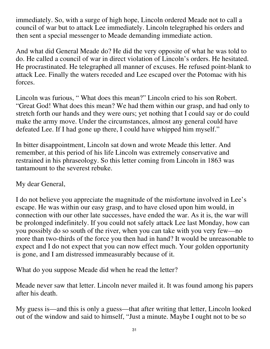immediately. So, with a surge of high hope, Lincoln ordered Meade not to call a council of war but to attack Lee immediately. Lincoln telegraphed his orders and then sent a special messenger to Meade demanding immediate action.

And what did General Meade do? He did the very opposite of what he was told to do. He called a council of war in direct violation of Lincoln's orders. He hesitated. He procrastinated. He telegraphed all manner of excuses. He refused point-blank to attack Lee. Finally the waters receded and Lee escaped over the Potomac with his forces.

Lincoln was furious, " What does this mean?" Lincoln cried to his son Robert. "Great God! What does this mean? We had them within our grasp, and had only to stretch forth our hands and they were ours; yet nothing that I could say or do could make the army move. Under the circumstances, almost any general could have defeated Lee. If I had gone up there, I could have whipped him myself."

In bitter disappointment, Lincoln sat down and wrote Meade this letter. And remember, at this period of his life Lincoln was extremely conservative and restrained in his phraseology. So this letter coming from Lincoln in 1863 was tantamount to the severest rebuke.

My dear General,

I do not believe you appreciate the magnitude of the misfortune involved in Lee's escape. He was within our easy grasp, and to have closed upon him would, in connection with our other late successes, have ended the war. As it is, the war will be prolonged indefinitely. If you could not safely attack Lee last Monday, how can you possibly do so south of the river, when you can take with you very few—no more than two-thirds of the force you then had in hand? It would be unreasonable to expect and I do not expect that you can now effect much. Your golden opportunity is gone, and I am distressed immeasurably because of it.

What do you suppose Meade did when he read the letter?

Meade never saw that letter. Lincoln never mailed it. It was found among his papers after his death.

My guess is—and this is only a guess—that after writing that letter, Lincoln looked out of the window and said to himself, "Just a minute. Maybe I ought not to be so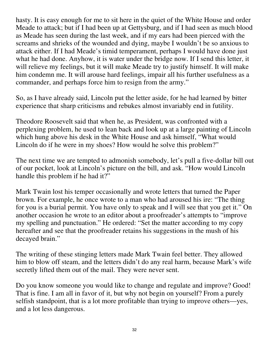hasty. It is easy enough for me to sit here in the quiet of the White House and order Meade to attack; but if I had been up at Gettysburg, and if I had seen as much blood as Meade has seen during the last week, and if my ears had been pierced with the screams and shrieks of the wounded and dying, maybe I wouldn't be so anxious to attack either. If I had Meade's timid temperament, perhaps I would have done just what he had done. Anyhow, it is water under the bridge now. If I send this letter, it will relieve my feelings, but it will make Meade try to justify himself. It will make him condemn me. It will arouse hard feelings, impair all his further usefulness as a commander, and perhaps force him to resign from the army."

So, as I have already said, Lincoln put the letter aside, for he had learned by bitter experience that sharp criticisms and rebukes almost invariably end in futility.

Theodore Roosevelt said that when he, as President, was confronted with a perplexing problem, he used to lean back and look up at a large painting of Lincoln which hung above his desk in the White House and ask himself, "What would Lincoln do if he were in my shoes? How would he solve this problem?"

The next time we are tempted to admonish somebody, let's pull a five-dollar bill out of our pocket, look at Lincoln's picture on the bill, and ask. "How would Lincoln handle this problem if he had it?"

Mark Twain lost his temper occasionally and wrote letters that turned the Paper brown. For example, he once wrote to a man who had aroused his ire: "The thing for you is a burial permit. You have only to speak and I will see that you get it." On another occasion he wrote to an editor about a proofreader's attempts to "improve my spelling and punctuation." He ordered: "Set the matter according to my copy hereafter and see that the proofreader retains his suggestions in the mush of his decayed brain."

The writing of these stinging letters made Mark Twain feel better. They allowed him to blow off steam, and the letters didn't do any real harm, because Mark's wife secretly lifted them out of the mail. They were never sent.

Do you know someone you would like to change and regulate and improve? Good! That is fine. I am all in favor of it, but why not begin on yourself? From a purely selfish standpoint, that is a lot more profitable than trying to improve others—yes, and a lot less dangerous.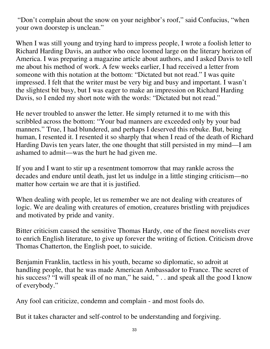"Don't complain about the snow on your neighbor's roof," said Confucius, "when your own doorstep is unclean."

When I was still young and trying hard to impress people, I wrote a foolish letter to Richard Harding Davis, an author who once loomed large on the literary horizon of America. I was preparing a magazine article about authors, and I asked Davis to tell me about his method of work. A few weeks earlier, I had received a letter from someone with this notation at the bottom: "Dictated but not read." I was quite impressed. I felt that the writer must be very big and busy and important. I wasn't the slightest bit busy, but I was eager to make an impression on Richard Harding Davis, so I ended my short note with the words: "Dictated but not read."

He never troubled to answer the letter. He simply returned it to me with this scribbled across the bottom: "Your bad manners are exceeded only by your bad manners." True, I had blundered, and perhaps I deserved this rebuke. But, being human, I resented it. I resented it so sharply that when I read of the death of Richard Harding Davis ten years later, the one thought that still persisted in my mind—I am ashamed to admit—was the hurt he had given me.

If you and I want to stir up a resentment tomorrow that may rankle across the decades and endure until death, just let us indulge in a little stinging criticism—no matter how certain we are that it is justified.

When dealing with people, let us remember we are not dealing with creatures of logic. We are dealing with creatures of emotion, creatures bristling with prejudices and motivated by pride and vanity.

Bitter criticism caused the sensitive Thomas Hardy, one of the finest novelists ever to enrich English literature, to give up forever the writing of fiction. Criticism drove Thomas Chatterton, the English poet, to suicide.

Benjamin Franklin, tactless in his youth, became so diplomatic, so adroit at handling people, that he was made American Ambassador to France. The secret of his success? "I will speak ill of no man," he said, " . . and speak all the good I know of everybody."

Any fool can criticize, condemn and complain - and most fools do.

But it takes character and self-control to be understanding and forgiving.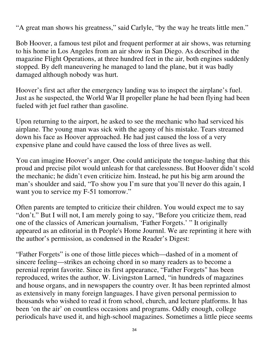"A great man shows his greatness," said Carlyle, "by the way he treats little men."

Bob Hoover, a famous test pilot and frequent performer at air shows, was returning to his home in Los Angeles from an air show in San Diego. As described in the magazine Flight Operations, at three hundred feet in the air, both engines suddenly stopped. By deft maneuvering he managed to land the plane, but it was badly damaged although nobody was hurt.

Hoover's first act after the emergency landing was to inspect the airplane's fuel. Just as he suspected, the World War II propeller plane he had been flying had been fueled with jet fuel rather than gasoline.

Upon returning to the airport, he asked to see the mechanic who had serviced his airplane. The young man was sick with the agony of his mistake. Tears streamed down his face as Hoover approached. He had just caused the loss of a very expensive plane and could have caused the loss of three lives as well.

You can imagine Hoover's anger. One could anticipate the tongue-lashing that this proud and precise pilot would unleash for that carelessness. But Hoover didn't scold the mechanic; he didn't even criticize him. Instead, he put his big arm around the man's shoulder and said, "To show you I'm sure that you'll never do this again, I want you to service my F-51 tomorrow."

Often parents are tempted to criticize their children. You would expect me to say "don't." But I will not, I am merely going to say, "Before you criticize them, read one of the classics of American journalism, 'Father Forgets.' " It originally appeared as an editorial in th People's Home Journnl. We are reprinting it here with the author's permission, as condensed in the Reader's Digest:

"Father Forgets" is one of those little pieces which—dashed of in a moment of sincere feeling—strikes an echoing chord in so many readers as to become a perenial reprint favorite. Since its first appearance, "Father Forgets" has been reproduced, writes the author, W. Livingston Larned, "in hundreds of magazines and house organs, and in newspapers the country over. It has been reprinted almost as extensively in many foreign languages. I have given personal permission to thousands who wished to read it from school, church, and lecture platforms. It has been 'on the air' on countless occasions and programs. Oddly enough, college periodicals have used it, and high-school magazines. Sometimes a little piece seems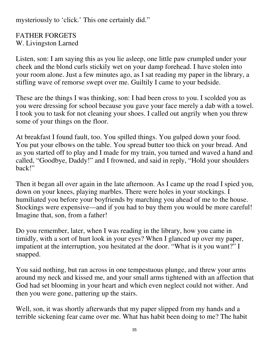mysteriously to 'click.' This one certainly did."

FATHER FORGETS W. Livingston Larned

Listen, son: I am saying this as you lie asleep, one little paw crumpled under your cheek and the blond curls stickily wet on your damp forehead. I have stolen into your room alone. Just a few minutes ago, as I sat reading my paper in the library, a stifling wave of remorse swept over me. Guiltily I came to your bedside.

These are the things I was thinking, son: I had been cross to you. I scolded you as you were dressing for school because you gave your face merely a dab with a towel. I took you to task for not cleaning your shoes. I called out angrily when you threw some of your things on the floor.

At breakfast I found fault, too. You spilled things. You gulped down your food. You put your elbows on the table. You spread butter too thick on your bread. And as you started off to play and I made for my train, you turned and waved a hand and called, "Goodbye, Daddy!" and I frowned, and said in reply, "Hold your shoulders back!"

Then it began all over again in the late afternoon. As I came up the road I spied you, down on your knees, playing marbles. There were holes in your stockings. I humiliated you before your boyfriends by marching you ahead of me to the house. Stockings were expensive—and if you had to buy them you would be more careful! Imagine that, son, from a father!

Do you remember, later, when I was reading in the library, how you came in timidly, with a sort of hurt look in your eyes? When I glanced up over my paper, impatient at the interruption, you hesitated at the door. "What is it you want?" I snapped.

You said nothing, but ran across in one tempestuous plunge, and threw your arms around my neck and kissed me, and your small arms tightened with an affection that God had set blooming in your heart and which even neglect could not wither. And then you were gone, pattering up the stairs.

Well, son, it was shortly afterwards that my paper slipped from my hands and a terrible sickening fear came over me. What has habit been doing to me? The habit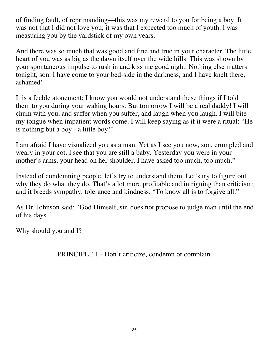of finding fault, of reprimanding—this was my reward to you for being a boy. It was not that I did not love you; it was that I expected too much of youth. I was measuring you by the yardstick of my own years.

And there was so much that was good and fine and true in your character. The little heart of you was as big as the dawn itself over the wide hills. This was shown by your spontaneous impulse to rush in and kiss me good night. Nothing else matters tonight, son. I have come to your bed-side in the darkness, and I have knelt there, ashamed!

It is a feeble atonement; I know you would not understand these things if I told them to you during your waking hours. But tomorrow I will be a real daddy! I will chum with you, and suffer when you suffer, and laugh when you laugh. I will bite my tongue when impatient words come. I will keep saying as if it were a ritual: "He is nothing but a boy - a little boy!"

I am afraid I have visualized you as a man. Yet as I see you now, son, crumpled and weary in your cot, I see that you are still a baby. Yesterday you were in your mother's arms, your head on her shoulder. I have asked too much, too much."

Instead of condemning people, let's try to understand them. Let's try to figure out why they do what they do. That's a lot more profitable and intriguing than criticism; and it breeds sympathy, tolerance and kindness. "To know all is to forgive all."

As Dr. Johnson said: "God Himself, sir, does not propose to judge man until the end of his days."

Why should you and I?

#### PRINCIPLE 1 - Don't criticize, condemn or complain.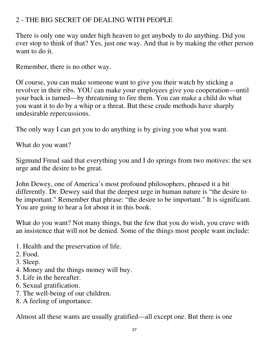# 2 - THE BIG SECRET OF DEALING WITH PEOPLE

There is only one way under high heaven to get anybody to do anything. Did you ever stop to think of that? Yes, just one way. And that is by making the other person want to do it.

Remember, there is no other way.

Of course, you can make someone want to give you their watch by sticking a revolver in their ribs. YOU can make your employees give you cooperation—until your back is turned—by threatening to fire them. You can make a child do what you want it to do by a whip or a threat. But these crude methods have sharply undesirable repercussions.

The only way I can get you to do anything is by giving you what you want.

What do you want?

Sigmund Freud said that everything you and I do springs from two motives: the sex urge and the desire to be great.

John Dewey, one of America's most profound philosophers, phrased it a bit differently. Dr. Dewey said that the deepest urge in human nature is "the desire to be important." Remember that phrase: "the desire to be important." It is significant. You are going to hear a lot about it in this book.

What do you want? Not many things, but the few that you do wish, you crave with an insistence that will not be denied. Some of the things most people want include:

- 1. Health and the preservation of life.
- 2. Food.
- 3. Sleep.
- 4. Money and the things money will buy.
- 5. Life in the hereafter.
- 6. Sexual gratification.
- 7. The well-being of our children.
- 8. A feeling of importance.

Almost all these wants are usually gratified—all except one. But there is one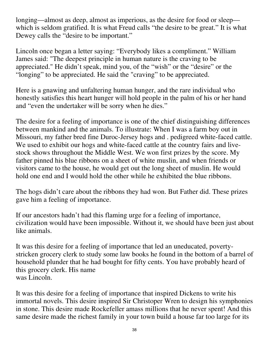longing—almost as deep, almost as imperious, as the desire for food or sleep which is seldom gratified. It is what Freud calls "the desire to be great." It is what Dewey calls the "desire to be important."

Lincoln once began a letter saying: "Everybody likes a compliment." William James said: "The deepest principle in human nature is the craving to be appreciated." He didn't speak, mind you, of the "wish" or the "desire" or the "longing" to be appreciated. He said the "craving" to be appreciated.

Here is a gnawing and unfaltering human hunger, and the rare individual who honestly satisfies this heart hunger will hold people in the palm of his or her hand and "even the undertaker will be sorry when he dies."

The desire for a feeling of importance is one of the chief distinguishing differences between mankind and the animals. To illustrate: When I was a farm boy out in Missouri, my father bred fine Duroc-Jersey hogs and . pedigreed white-faced cattle. We used to exhibit our hogs and white-faced cattle at the country fairs and livestock shows throughout the Middle West. We won first prizes by the score. My father pinned his blue ribbons on a sheet of white muslin, and when friends or visitors came to the house, he would get out the long sheet of muslin. He would hold one end and I would hold the other while he exhibited the blue ribbons.

The hogs didn't care about the ribbons they had won. But Father did. These prizes gave him a feeling of importance.

If our ancestors hadn't had this flaming urge for a feeling of importance, civilization would have been impossible. Without it, we should have been just about like animals.

It was this desire for a feeling of importance that led an uneducated, povertystricken grocery clerk to study some law books he found in the bottom of a barrel of household plunder that he had bought for fifty cents. You have probably heard of this grocery clerk. His name was Lincoln.

It was this desire for a feeling of importance that inspired Dickens to write his immortal novels. This desire inspired Sir Christoper Wren to design his symphonies in stone. This desire made Rockefeller amass millions that he never spent! And this same desire made the richest family in your town build a house far too large for its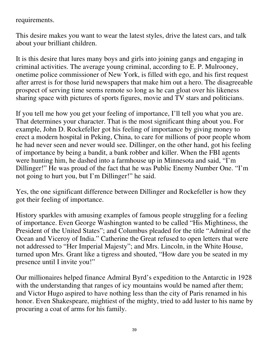requirements.

This desire makes you want to wear the latest styles, drive the latest cars, and talk about your brilliant children.

It is this desire that lures many boys and girls into joining gangs and engaging in criminal activities. The average young criminal, according to E. P. Mulrooney, onetime police commissioner of New York, is filled with ego, and his first request after arrest is for those lurid newspapers that make him out a hero. The disagreeable prospect of serving time seems remote so long as he can gloat over his likeness sharing space with pictures of sports figures, movie and TV stars and politicians.

If you tell me how you get your feeling of importance, I'll tell you what you are. That determines your character. That is the most significant thing about you. For example, John D. Rockefeller got his feeling of importance by giving money to erect a modern hospital in Peking, China, to care for millions of poor people whom he had never seen and never would see. Dillinger, on the other hand, got his feeling of importance by being a bandit, a bank robber and killer. When the FBI agents were hunting him, he dashed into a farmhouse up in Minnesota and said, "I'm Dillinger!" He was proud of the fact that he was Public Enemy Number One. "I'm not going to hurt you, but I'm Dillinger!" he said.

Yes, the one significant difference between Dillinger and Rockefeller is how they got their feeling of importance.

History sparkles with amusing examples of famous people struggling for a feeling of importance. Even George Washington wanted to be called "His Mightiness, the President of the United States"; and Columbus pleaded for the title "Admiral of the Ocean and Viceroy of India." Catherine the Great refused to open letters that were not addressed to "Her Imperial Majesty"; and Mrs. Lincoln, in the White House, turned upon Mrs. Grant like a tigress and shouted, "How dare you be seated in my presence until I invite you!"

Our millionaires helped finance Admiral Byrd's expedition to the Antarctic in 1928 with the understanding that ranges of icy mountains would be named after them; and Victor Hugo aspired to have nothing less than the city of Paris renamed in his honor. Even Shakespeare, mightiest of the mighty, tried to add luster to his name by procuring a coat of arms for his family.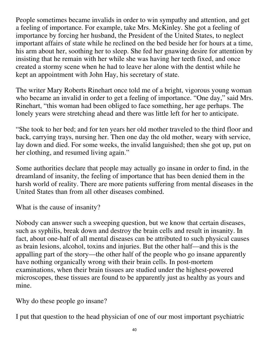People sometimes became invalids in order to win sympathy and attention, and get a feeling of importance. For example, take Mrs. McKinley. She got a feeling of importance by forcing her husband, the President of the United States, to neglect important affairs of state while he reclined on the bed beside her for hours at a time, his arm about her, soothing her to sleep. She fed her gnawing desire for attention by insisting that he remain with her while she was having her teeth fixed, and once created a stormy scene when he had to leave her alone with the dentist while he kept an appointment with John Hay, his secretary of state.

The writer Mary Roberts Rinehart once told me of a bright, vigorous young woman who became an invalid in order to get a feeling of importance. "One day," said Mrs. Rinehart, "this woman had been obliged to face something, her age perhaps. The lonely years were stretching ahead and there was little left for her to anticipate.

"She took to her bed; and for ten years her old mother traveled to the third floor and back, carrying trays, nursing her. Then one day the old mother, weary with service, lay down and died. For some weeks, the invalid languished; then she got up, put on her clothing, and resumed living again."

Some authorities declare that people may actually go insane in order to find, in the dreamland of insanity, the feeling of importance that has been denied them in the harsh world of reality. There are more patients suffering from mental diseases in the United States than from all other diseases combined.

What is the cause of insanity?

Nobody can answer such a sweeping question, but we know that certain diseases, such as syphilis, break down and destroy the brain cells and result in insanity. In fact, about one-half of all mental diseases can be attributed to such physical causes as brain lesions, alcohol, toxins and injuries. But the other half—and this is the appalling part of the story—the other half of the people who go insane apparently have nothing organically wrong with their brain cells. In post-mortem examinations, when their brain tissues are studied under the highest-powered microscopes, these tissues are found to be apparently just as healthy as yours and mine.

Why do these people go insane?

I put that question to the head physician of one of our most important psychiatric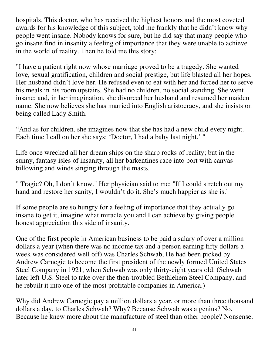hospitals. This doctor, who has received the highest honors and the most coveted awards for his knowledge of this subject, told me frankly that he didn't know why people went insane. Nobody knows for sure, but he did say that many people who go insane find in insanity a feeling of importance that they were unable to achieve in the world of reality. Then he told me this story:

"I have a patient right now whose marriage proved to be a tragedy. She wanted love, sexual gratification, children and social prestige, but life blasted all her hopes. Her husband didn't love her. He refused even to eat with her and forced her to serve his meals in his room upstairs. She had no children, no social standing. She went insane; and, in her imagination, she divorced her husband and resumed her maiden name. She now believes she has married into English aristocracy, and she insists on being called Lady Smith.

"And as for children, she imagines now that she has had a new child every night. Each time I call on her she says: 'Doctor, I had a baby last night.' "

Life once wrecked all her dream ships on the sharp rocks of reality; but in the sunny, fantasy isles of insanity, all her barkentines race into port with canvas billowing and winds singing through the masts.

" Tragic? Oh, I don't know." Her physician said to me: "If I could stretch out my hand and restore her sanity, I wouldn't do it. She's much happier as she is."

If some people are so hungry for a feeling of importance that they actually go insane to get it, imagine what miracle you and I can achieve by giving people honest appreciation this side of insanity.

One of the first people in American business to be paid a salary of over a million dollars a year (when there was no income tax and a person earning fifty dollars a week was considered well off) was Charles Schwab, He had been picked by Andrew Carnegie to become the first president of the newly formed United States Steel Company in 1921, when Schwab was only thirty-eight years old. (Schwab later left U.S. Steel to take over the then-troubled Bethlehem Steel Company, and he rebuilt it into one of the most profitable companies in America.)

Why did Andrew Carnegie pay a million dollars a year, or more than three thousand dollars a day, to Charles Schwab? Why? Because Schwab was a genius? No. Because he knew more about the manufacture of steel than other people? Nonsense.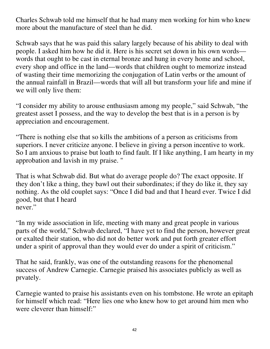Charles Schwab told me himself that he had many men working for him who knew more about the manufacture of steel than he did.

Schwab says that he was paid this salary largely because of his ability to deal with people. I asked him how he did it. Here is his secret set down in his own words words that ought to be cast in eternal bronze and hung in every home and school, every shop and office in the land—words that children ought to memorize instead of wasting their time memorizing the conjugation of Latin verbs or the amount of the annual rainfall in Brazil—words that will all but transform your life and mine if we will only live them:

"I consider my ability to arouse enthusiasm among my people," said Schwab, "the greatest asset I possess, and the way to develop the best that is in a person is by appreciation and encouragement.

"There is nothing else that so kills the ambitions of a person as criticisms from superiors. I never criticize anyone. I believe in giving a person incentive to work. So I am anxious to praise but loath to find fault. If I like anything, I am hearty in my approbation and lavish in my praise. "

That is what Schwab did. But what do average people do? The exact opposite. If they don't like a thing, they bawl out their subordinates; if they do like it, they say nothing. As the old couplet says: "Once I did bad and that I heard ever. Twice I did good, but that I heard never."

"In my wide association in life, meeting with many and great people in various parts of the world," Schwab declared, "I have yet to find the person, however great or exalted their station, who did not do better work and put forth greater effort under a spirit of approval than they would ever do under a spirit of criticism."

That he said, frankly, was one of the outstanding reasons for the phenomenal success of Andrew Carnegie. Carnegie praised his associates publicly as well as prvately.

Carnegie wanted to praise his assistants even on his tombstone. He wrote an epitaph for himself which read: "Here lies one who knew how to get around him men who were cleverer than himself:"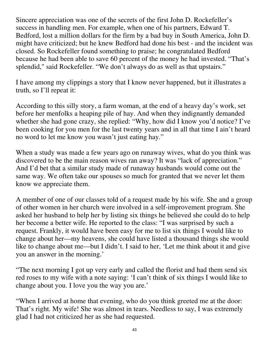Sincere appreciation was one of the secrets of the first John D. Rockefeller's success in handling men. For example, when one of his partners, Edward T. Bedford, lost a million dollars for the firm by a bad buy in South America, John D. might have criticized; but he knew Bedford had done his best - and the incident was closed. So Rockefeller found something to praise; he congratulated Bedford because he had been able to save 60 percent of the money he had invested. "That's splendid," said Rockefeller. "We don't always do as well as that upstairs."

I have among my clippings a story that I know never happened, but it illustrates a truth, so I'll repeat it:

According to this silly story, a farm woman, at the end of a heavy day's work, set before her menfolks a heaping pile of hay. And when they indignantly demanded whether she had gone crazy, she replied: "Why, how did I know you'd notice? I've been cooking for you men for the last twenty years and in all that time I ain't heard no word to let me know you wasn't just eating hay."

When a study was made a few years ago on runaway wives, what do you think was discovered to be the main reason wives ran away? It was "lack of appreciation." And I'd bet that a similar study made of runaway husbands would come out the same way. We often take our spouses so much for granted that we never let them know we appreciate them.

A member of one of our classes told of a request made by his wife. She and a group of other women in her church were involved in a self-improvement program. She asked her husband to help her by listing six things he believed she could do to help her become a better wife. He reported to the class: "I was surprised by such a request. Frankly, it would have been easy for me to list six things I would like to change about her—my heavens, she could have listed a thousand things she would like to change about me—but I didn't. I said to her, 'Let me think about it and give you an answer in the morning.'

"The next morning I got up very early and called the florist and had them send six red roses to my wife with a note saying: 'I can't think of six things I would like to change about you. I love you the way you are.'

"When I arrived at home that evening, who do you think greeted me at the door: That's right. My wife! She was almost in tears. Needless to say, I was extremely glad I had not criticized her as she had requested.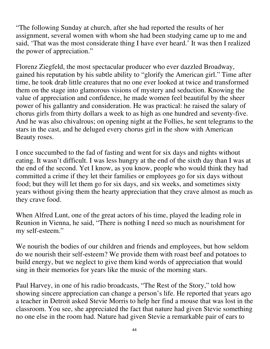"The following Sunday at church, after she had reported the results of her assignment, several women with whom she had been studying came up to me and said, 'That was the most considerate thing I have ever heard.' It was then I realized the power of appreciation."

Florenz Ziegfeld, the most spectacular producer who ever dazzled Broadway, gained his reputation by his subtle ability to "glorify the American girl." Time after time, he took drab little creatures that no one ever looked at twice and transformed them on the stage into glamorous visions of mystery and seduction. Knowing the value of appreciation and confidence, he made women feel beautiful by the sheer power of his gallantry and consideration. He was practical: he raised the salary of chorus girls from thirty dollars a week to as high as one hundred and seventy-five. And he was also chivalrous; on opening night at the Follies, he sent telegrams to the stars in the cast, and he deluged every chorus girl in the show with American Beauty roses.

I once succumbed to the fad of fasting and went for six days and nights without eating. It wasn't difficult. I was less hungry at the end of the sixth day than I was at the end of the second. Yet I know, as you know, people who would think they had committed a crime if they let their families or employees go for six days without food; but they will let them go for six days, and six weeks, and sometimes sixty years without giving them the hearty appreciation that they crave almost as much as they crave food.

When Alfred Lunt, one of the great actors of his time, played the leading role in Reunion in Vienna, he said, "There is nothing I need so much as nourishment for my self-esteem."

We nourish the bodies of our children and friends and employees, but how seldom do we nourish their self-esteem? We provide them with roast beef and potatoes to build energy, but we neglect to give them kind words of appreciation that would sing in their memories for years like the music of the morning stars.

Paul Harvey, in one of his radio broadcasts, "The Rest of the Story," told how showing sincere appreciation can change a person's life. He reported that years ago a teacher in Detroit asked Stevie Morris to help her find a mouse that was lost in the classroom. You see, she appreciated the fact that nature had given Stevie something no one else in the room had. Nature had given Stevie a remarkable pair of ears to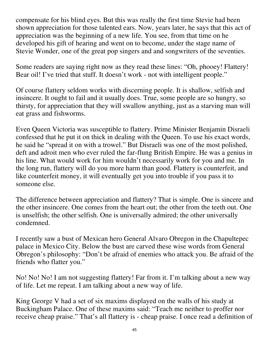compensate for his blind eyes. But this was really the first time Stevie had been shown appreciation for those talented ears. Now, years later, he says that this act of appreciation was the beginning of a new life. You see, from that time on he developed his gift of hearing and went on to become, under the stage name of Stevie Wonder, one of the great pop singers and and songwriters of the seventies.

Some readers are saying right now as they read these lines: "Oh, phooey! Flattery! Bear oil! I've tried that stuff. It doesn't work - not with intelligent people."

Of course flattery seldom works with discerning people. It is shallow, selfish and insincere. It ought to fail and it usually does. True, some people are so hungry, so thirsty, for appreciation that they will swallow anything, just as a starving man will eat grass and fishworms.

Even Queen Victoria was susceptible to flattery. Prime Minister Benjamin Disraeli confessed that he put it on thick in dealing with the Queen. To use his exact words, he said he "spread it on with a trowel." But Disraeli was one of the most polished, deft and adroit men who ever ruled the far-flung British Empire. He was a genius in his line. What would work for him wouldn't necessarily work for you and me. In the long run, flattery will do you more harm than good. Flattery is counterfeit, and like counterfeit money, it will eventually get you into trouble if you pass it to someone else.

The difference between appreciation and flattery? That is simple. One is sincere and the other insincere. One comes from the heart out; the other from the teeth out. One is unselfish; the other selfish. One is universally admired; the other universally condemned.

I recently saw a bust of Mexican hero General Alvaro Obregon in the Chapultepec palace in Mexico City. Below the bust are carved these wise words from General Obregon's philosophy: "Don't be afraid of enemies who attack you. Be afraid of the friends who flatter you."

No! No! No! I am not suggesting flattery! Far from it. I'm talking about a new way of life. Let me repeat. I am talking about a new way of life.

King George V had a set of six maxims displayed on the walls of his study at Buckingham Palace. One of these maxims said: "Teach me neither to proffer nor receive cheap praise." That's all flattery is - cheap praise. I once read a definition of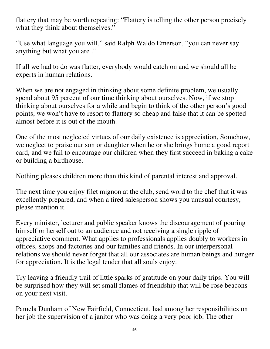flattery that may be worth repeating: "Flattery is telling the other person precisely what they think about themselves."

"Use what language you will," said Ralph Waldo Emerson, "you can never say anything but what you are ."

If all we had to do was flatter, everybody would catch on and we should all be experts in human relations.

When we are not engaged in thinking about some definite problem, we usually spend about 95 percent of our time thinking about ourselves. Now, if we stop thinking about ourselves for a while and begin to think of the other person's good points, we won't have to resort to flattery so cheap and false that it can be spotted almost before it is out of the mouth.

One of the most neglected virtues of our daily existence is appreciation, Somehow, we neglect to praise our son or daughter when he or she brings home a good report card, and we fail to encourage our children when they first succeed in baking a cake or building a birdhouse.

Nothing pleases children more than this kind of parental interest and approval.

The next time you enjoy filet mignon at the club, send word to the chef that it was excellently prepared, and when a tired salesperson shows you unusual courtesy, please mention it.

Every minister, lecturer and public speaker knows the discouragement of pouring himself or herself out to an audience and not receiving a single ripple of appreciative comment. What applies to professionals applies doubly to workers in offices, shops and factories and our families and friends. In our interpersonal relations we should never forget that all our associates are human beings and hunger for appreciation. It is the legal tender that all souls enjoy.

Try leaving a friendly trail of little sparks of gratitude on your daily trips. You will be surprised how they will set small flames of friendship that will be rose beacons on your next visit.

Pamela Dunham of New Fairfield, Connecticut, had among her responsibilities on her job the supervision of a janitor who was doing a very poor job. The other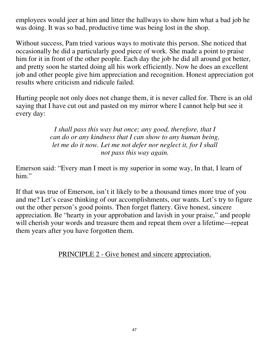employees would jeer at him and litter the hallways to show him what a bad job he was doing. It was so bad, productive time was being lost in the shop.

Without success, Pam tried various ways to motivate this person. She noticed that occasionally he did a particularly good piece of work. She made a point to praise him for it in front of the other people. Each day the job he did all around got better, and pretty soon he started doing all his work efficiently. Now he does an excellent job and other people give him appreciation and recognition. Honest appreciation got results where criticism and ridicule failed.

Hurting people not only does not change them, it is never called for. There is an old saying that I have cut out and pasted on my mirror where I cannot help but see it every day:

> *I shall pass this way but once; any good, therefore, that I can do or any kindness that I can show to any human being, let me do it now. Let me not defer nor neglect it, for I shall not pass this way again.*

Emerson said: "Every man I meet is my superior in some way, In that, I learn of him."

If that was true of Emerson, isn't it likely to be a thousand times more true of you and me? Let's cease thinking of our accomplishments, our wants. Let's try to figure out the other person's good points. Then forget flattery. Give honest, sincere appreciation. Be "hearty in your approbation and lavish in your praise," and people will cherish your words and treasure them and repeat them over a lifetime—repeat them years after you have forgotten them.

PRINCIPLE 2 - Give honest and sincere appreciation.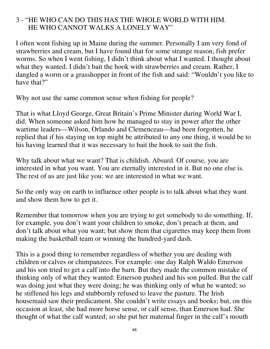### 3 - "HE WHO CAN DO THIS HAS THE WHOLE WORLD WITH HIM. HE WHO CANNOT WALKS A LONELY WAY"

I often went fishing up in Maine during the summer. Personally I am very fond of strawberries and cream, but I have found that for some strange reason, fish prefer worms. So when I went fishing, I didn't think about what I wanted. I thought about what they wanted. I didn't bait the hook with strawberries and cream. Rather, I dangled a worm or a grasshopper in front of the fish and said: "Wouldn't you like to have that?"

Why not use the same common sense when fishing for people?

That is what Lloyd George, Great Britain's Prime Minister during World War I, did. When someone asked him how he managed to stay in power after the other wartime leaders—Wilson, Orlando and Clemenceau—had been forgotten, he replied that if his staying on top might be attributed to any one thing, it would be to his having learned that it was necessary to bait the hook to suit the fish.

Why talk about what we want? That is childish. Absurd. Of course, you are interested in what you want. You are eternally interested in it. But no one else is. The rest of us are just like you: we are interested in what we want.

So the only way on earth to influence other people is to talk about what they want and show them how to get it.

Remember that tomorrow when you are trying to get somebody to do something. If, for example, you don't want your children to smoke, don't preach at them, and don't talk about what you want; but show them that cigarettes may keep them from making the basketball team or winning the hundred-yard dash.

This is a good thing to remember regardless of whether you are dealing with children or calves or chimpanzees. For example: one day Ralph Waldo Emerson and his son tried to get a calf into the barn. But they made the common mistake of thinking only of what they wanted: Emerson pushed and his son pulled. But the calf was doing just what they were doing; he was thinking only of what he wanted; so he stiffened his legs and stubbornly refused to leave the pasture. The Irish housemaid saw their predicament. She couldn't write essays and books; but, on this occasion at least, she had more horse sense, or calf sense, than Emerson had. She thought of what the calf wanted; so she put her maternal finger in the calf's mouth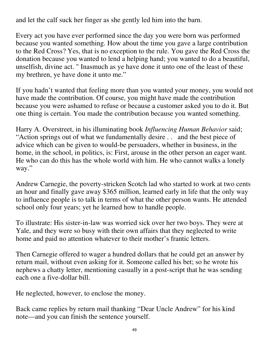and let the calf suck her finger as she gently led him into the barn.

Every act you have ever performed since the day you were born was performed because you wanted something. How about the time you gave a large contribution to the Red Cross? Yes, that is no exception to the rule. You gave the Red Cross the donation because you wanted to lend a helping hand; you wanted to do a beautiful, unselfish, divine act. " Inasmuch as ye have done it unto one of the least of these my brethren, ye have done it unto me."

If you hadn't wanted that feeling more than you wanted your money, you would not have made the contribution. Of course, you might have made the contribution because you were ashamed to refuse or because a customer asked you to do it. But one thing is certain. You made the contribution because you wanted something.

Harry A. Overstreet, in his illuminating book *Influencing Human Behavior* said; "Action springs out of what we fundamentally desire . . and the best piece of advice which can be given to would-be persuaders, whether in business, in the home, in the school, in politics, is: First, arouse in the other person an eager want. He who can do this has the whole world with him. He who cannot walks a lonely way."

Andrew Carnegie, the poverty-stricken Scotch lad who started to work at two cents an hour and finally gave away \$365 million, learned early in life that the only way to influence people is to talk in terms of what the other person wants. He attended school only four years; yet he learned how to handle people.

To illustrate: His sister-in-law was worried sick over her two boys. They were at Yale, and they were so busy with their own affairs that they neglected to write home and paid no attention whatever to their mother's frantic letters.

Then Carnegie offered to wager a hundred dollars that he could get an answer by return mail, without even asking for it. Someone called his bet; so he wrote his nephews a chatty letter, mentioning casually in a post-script that he was sending each one a five-dollar bill.

He neglected, however, to enclose the money.

Back came replies by return mail thanking "Dear Uncle Andrew" for his kind note—and you can finish the sentence yourself.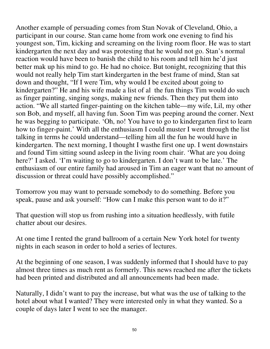Another example of persuading comes from Stan Novak of Cleveland, Ohio, a participant in our course. Stan came home from work one evening to find his youngest son, Tim, kicking and screaming on the living room floor. He was to start kindergarten the next day and was protesting that he would not go. Stan's normal reaction would have been to banish the child to his room and tell him he'd just better mak up his mind to go. He had no choice. But tonight, recognizing that this would not really help Tim start kindergarten in the best frame of mind, Stan sat down and thought, "If I were Tim, why would I be excited about going to kindergarten?" He and his wife made a list of al the fun things Tim would do such as finger painting, singing songs, making new friends. Then they put them into action. "We all started finger-painting on the kitchen table—my wife, Lil, my other son Bob, and myself, all having fun. Soon Tim was peeping around the corner. Next he was begging to participate. 'Oh, no! You have to go to kindergarten first to learn how to finger-paint.' With all the enthusiasm I could muster I went through the list talking in terms he could understand—telling him all the fun he would have in kindergarten. The next morning, I thought I wasthe first one up. I went downstairs and found Tim sitting sound asleep in the living room chair. 'What are you doing here?' I asked. 'I'm waiting to go to kindergarten. I don't want to be late.' The enthusiasm of our entire family had aroused in Tim an eager want that no amount of discussion or threat could have possibly accomplished."

Tomorrow you may want to persuade somebody to do something. Before you speak, pause and ask yourself: "How can I make this person want to do it?"

That question will stop us from rushing into a situation heedlessly, with futile chatter about our desires.

At one time I rented the grand ballroom of a certain New York hotel for twenty nights in each season in order to hold a series of lectures.

At the beginning of one season, I was suddenly informed that I should have to pay almost three times as much rent as formerly. This news reached me after the tickets had been printed and distributed and all announcements had been made.

Naturally, I didn't want to pay the increase, but what was the use of talking to the hotel about what I wanted? They were interested only in what they wanted. So a couple of days later I went to see the manager.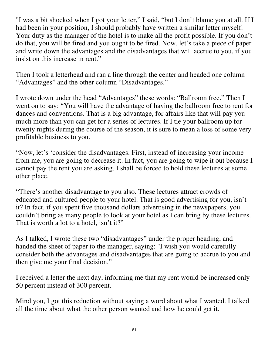"I was a bit shocked when I got your letter," I said, "but I don't blame you at all. If I had been in your position, I should probably have written a similar letter myself. Your duty as the manager of the hotel is to make all the profit possible. If you don't do that, you will be fired and you ought to be fired. Now, let's take a piece of paper and write down the advantages and the disadvantages that will accrue to you, if you insist on this increase in rent."

Then I took a letterhead and ran a line through the center and headed one column "Advantages" and the other column "Disadvantages."

I wrote down under the head "Advantages" these words: "Ballroom free." Then I went on to say: "You will have the advantage of having the ballroom free to rent for dances and conventions. That is a big advantage, for affairs like that will pay you much more than you can get for a series of lectures. If I tie your ballroom up for twenty nights during the course of the season, it is sure to mean a loss of some very profitable business to you.

"Now, let's 'consider the disadvantages. First, instead of increasing your income from me, you are going to decrease it. In fact, you are going to wipe it out because I cannot pay the rent you are asking. I shall be forced to hold these lectures at some other place.

"There's another disadvantage to you also. These lectures attract crowds of educated and cultured people to your hotel. That is good advertising for you, isn't it? In fact, if you spent five thousand dollars advertising in the newspapers, you couldn't bring as many people to look at your hotel as I can bring by these lectures. That is worth a lot to a hotel, isn't it?"

As I talked, I wrote these two "disadvantages" under the proper heading, and handed the sheet of paper to the manager, saying: "I wish you would carefully consider both the advantages and disadvantages that are going to accrue to you and then give me your final decision."

I received a letter the next day, informing me that my rent would be increased only 50 percent instead of 300 percent.

Mind you, I got this reduction without saying a word about what I wanted. I talked all the time about what the other person wanted and how he could get it.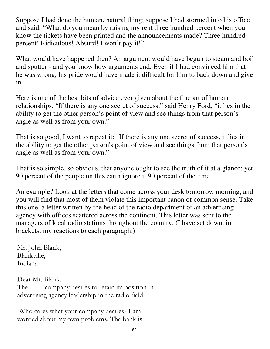Suppose I had done the human, natural thing; suppose I had stormed into his office and said, "What do you mean by raising my rent three hundred percent when you know the tickets have been printed and the announcements made? Three hundred percent! Ridiculous! Absurd! I won't pay it!"

What would have happened then? An argument would have begun to steam and boil and sputter - and you know how arguments end. Even if I had convinced him that he was wrong, his pride would have made it difficult for him to back down and give in.

Here is one of the best bits of advice ever given about the fine art of human relationships. "If there is any one secret of success," said Henry Ford, "it lies in the ability to get the other person's point of view and see things from that person's angle as well as from your own."

That is so good, I want to repeat it: "If there is any one secret of success, it lies in the ability to get the other person's point of view and see things from that person's angle as well as from your own."

That is so simple, so obvious, that anyone ought to see the truth of it at a glance; yet 90 percent of the people on this earth ignore it 90 percent of the time.

An example? Look at the letters that come across your desk tomorrow morning, and you will find that most of them violate this important canon of common sense. Take this one, a letter written by the head of the radio department of an advertising agency with offices scattered across the continent. This letter was sent to the managers of local radio stations throughout the country. (I have set down, in brackets, my reactions to each paragraph.)

Mr. John Blank, Blankville, Indiana

Dear Mr. Blank:

The ------ company desires to retain its position in advertising agency leadership in the radio field.

[Who cares what your company desires? I am worried about my own problems. The bank is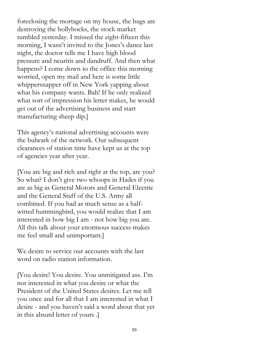foreclosing the mortage on my house, the bugs are destroying the hollyhocks, the stock market tumbled yesterday. I missed the eight-fifteen this morning, I wasn't invited to the Jones's dance last night, the doctor tells me I have high blood pressure and neuritis and dandruff. And then what happens? I come down to the office this morning worried, open my mail and here is some little whippersnapper off in New York yapping about what his company wants. Bah! If he only realized what sort of impression his letter makes, he would get out of the advertising business and start manufacturing sheep dip.]

This agency's national advertising accounts were the bulwark of the network. Our subsequent clearances of station time have kept us at the top of agencies year after year.

[You are big and rich and right at the top, are you?] So what? I don't give two whoops in Hades if you are as big as General Motors and General Electric and the General Staff of the U.S. Army all combined. If you had as much sense as a halfwitted hummingbird, you would realize that I am interested in how big I am - not how big you are. All this talk about your enormous success makes me feel small and unimportant.]

We desire to service our accounts with the last word on radio station information.

[You desire! You desire. You unmitigated ass. I'm not interested in what you desire or what the President of the United States desires. Let me tell you once and for all that I am interested in what I desire - and you haven't said a word about that yet in this absurd letter of yours .]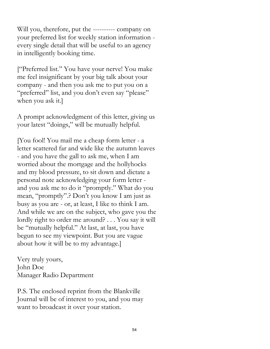Will you, therefore, put the ---------- company on your preferred list for weekly station information every single detail that will be useful to an agency in intelligently booking time.

["Preferred list." You have your nerve! You make me feel insignificant by your big talk about your company - and then you ask me to put you on a "preferred" list, and you don't even say "please" when you ask it.]

A prompt acknowledgment of this letter, giving us your latest "doings," will be mutually helpful.

[You fool! You mail me a cheap form letter - a letter scattered far and wide like the autumn leaves - and you have the gall to ask me, when I am worried about the mortgage and the hollyhocks and my blood pressure, to sit down and dictate a personal note acknowledging your form letter and you ask me to do it "promptly." What do you mean, "promptly".? Don't you know I am just as busy as you are - or, at least, I like to think I am. And while we are on the subject, who gave you the lordly right to order me around? . . . You say it will be "mutually helpful." At last, at last, you have begun to see my viewpoint. But you are vague about how it will be to my advantage.]

Very truly yours, John Doe Manager Radio Department

P.S. The enclosed reprint from the Blankville Journal will be of interest to you, and you may want to broadcast it over your station.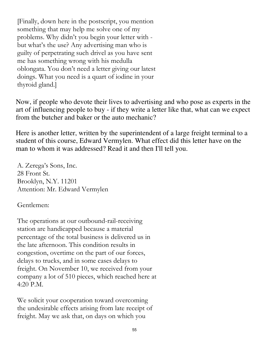[Finally, down here in the postscript, you mention something that may help me solve one of my problems. Why didn't you begin your letter with but what's the use? Any advertising man who is guilty of perpetrating such drivel as you have sent me has something wrong with his medulla oblongata. You don't need a letter giving our latest doings. What you need is a quart of iodine in your thyroid gland.]

Now, if people who devote their lives to advertising and who pose as experts in the art of influencing people to buy - if they write a letter like that, what can we expect from the butcher and baker or the auto mechanic?

Here is another letter, written by the superintendent of a large freight terminal to a student of this course, Edward Vermylen. What effect did this letter have on the man to whom it was addressed? Read it and then I'll tell you.

A. Zerega's Sons, Inc. 28 Front St. Brooklyn, N.Y. 11201 Attention: Mr. Edward Vermylen

#### Gentlemen:

The operations at our outbound-rail-receiving station are handicapped because a material percentage of the total business is delivered us in the late afternoon. This condition results in congestion, overtime on the part of our forces, delays to trucks, and in some cases delays to freight. On November 10, we received from your company a lot of 510 pieces, which reached here at 4:20 P.M.

We solicit your cooperation toward overcoming the undesirable effects arising from late receipt of freight. May we ask that, on days on which you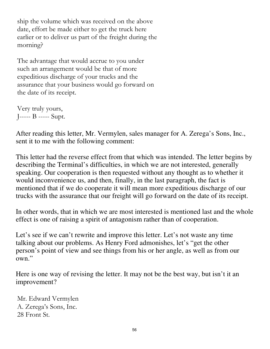ship the volume which was received on the above date, effort be made either to get the truck here earlier or to deliver us part of the freight during the morning?

The advantage that would accrue to you under such an arrangement would be that of more expeditious discharge of your trucks and the assurance that your business would go forward on the date of its receipt.

Very truly yours, J----- B ----- Supt.

After reading this letter, Mr. Vermylen, sales manager for A. Zerega's Sons, Inc., sent it to me with the following comment:

This letter had the reverse effect from that which was intended. The letter begins by describing the Terminal's difficulties, in which we are not interested, generally speaking. Our cooperation is then requested without any thought as to whether it would inconvenience us, and then, finally, in the last paragraph, the fact is mentioned that if we do cooperate it will mean more expeditious discharge of our trucks with the assurance that our freight will go forward on the date of its receipt.

In other words, that in which we are most interested is mentioned last and the whole effect is one of raising a spirit of antagonism rather than of cooperation.

Let's see if we can't rewrite and improve this letter. Let's not waste any time talking about our problems. As Henry Ford admonishes, let's "get the other person's point of view and see things from his or her angle, as well as from our own."

Here is one way of revising the letter. It may not be the best way, but isn't it an improvement?

Mr. Edward Vermylen A. Zerega's Sons, Inc. 28 Front St.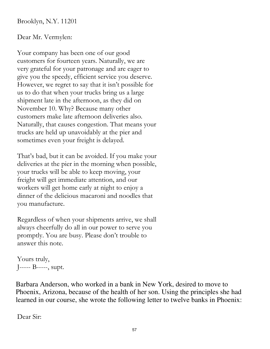Brooklyn, N.Y. 11201

Dear Mr. Vermylen:

Your company has been one of our good customers for fourteen years. Naturally, we are very grateful for your patronage and are eager to give you the speedy, efficient service you deserve. However, we regret to say that it isn't possible for us to do that when your trucks bring us a large shipment late in the afternoon, as they did on November 10. Why? Because many other customers make late afternoon deliveries also. Naturally, that causes congestion. That means your trucks are held up unavoidably at the pier and sometimes even your freight is delayed.

That's bad, but it can be avoided. If you make your deliveries at the pier in the morning when possible, your trucks will be able to keep moving, your freight will get immediate attention, and our workers will get home early at night to enjoy a dinner of the delicious macaroni and noodles that you manufacture.

Regardless of when your shipments arrive, we shall always cheerfully do all in our power to serve you promptly. You are busy. Please don't trouble to answer this note.

Yours truly, J----- B-----, supt.

Barbara Anderson, who worked in a bank in New York, desired to move to Phoenix, Arizona, because of the health of her son. Using the principles she had learned in our course, she wrote the following letter to twelve banks in Phoenix:

Dear Sir: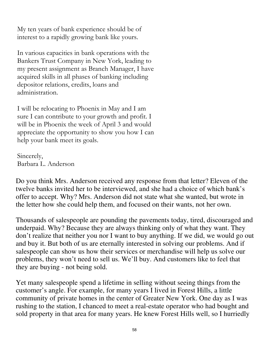My ten years of bank experience should be of interest to a rapidly growing bank like yours.

In various capacities in bank operations with the Bankers Trust Company in New York, leading to my present assignment as Branch Manager, I have acquired skills in all phases of banking including depositor relations, credits, loans and administration.

I will be relocating to Phoenix in May and I am sure I can contribute to your growth and profit. I will be in Phoenix the week of April 3 and would appreciate the opportunity to show you how I can help your bank meet its goals.

Sincerely, Barbara L. Anderson

Do you think Mrs. Anderson received any response from that letter? Eleven of the twelve banks invited her to be interviewed, and she had a choice of which bank's offer to accept. Why? Mrs. Anderson did not state what she wanted, but wrote in the letter how she could help them, and focused on their wants, not her own.

Thousands of salespeople are pounding the pavements today, tired, discouraged and underpaid. Why? Because they are always thinking only of what they want. They don't realize that neither you nor I want to buy anything. If we did, we would go out and buy it. But both of us are eternally interested in solving our problems. And if salespeople can show us how their services or merchandise will help us solve our problems, they won't need to sell us. We'll buy. And customers like to feel that they are buying - not being sold.

Yet many salespeople spend a lifetime in selling without seeing things from the customer's angle. For example, for many years I lived in Forest Hills, a little community of private homes in the center of Greater New York. One day as I was rushing to the station, I chanced to meet a real-estate operator who had bought and sold property in that area for many years. He knew Forest Hills well, so I hurriedly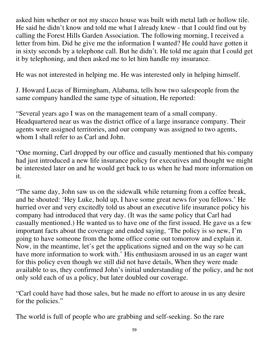asked him whether or not my stucco house was built with metal lath or hollow tile. He said he didn't know and told me what I already knew - that I could find out by calling the Forest Hills Garden Association. The following morning, I received a letter from him. Did he give me the information I wanted? He could have gotten it in sixty seconds by a telephone call. But he didn't. He told me again that I could get it by telephoning, and then asked me to let him handle my insurance.

He was not interested in helping me. He was interested only in helping himself.

J. Howard Lucas of Birmingham, Alabama, tells how two salespeople from the same company handled the same type of situation, He reported:

"Several years ago I was on the management team of a small company. Headquartered near us was the district office of a large insurance company. Their agents were assigned territories, and our company was assigned to two agents, whom I shall refer to as Carl and John.

"One morning, Carl dropped by our office and casually mentioned that his company had just introduced a new life insurance policy for executives and thought we might be interested later on and he would get back to us when he had more information on it.

"The same day, John saw us on the sidewalk while returning from a coffee break, and he shouted: 'Hey Luke, hold up, I have some great news for you fellows.' He hurried over and very excitedly told us about an executive life insurance policy his company had introduced that very day. (It was the same policy that Carl had casually mentioned.) He wanted us to have one of the first issued. He gave us a few important facts about the coverage and ended saying, 'The policy is so new, I'm going to have someone from the home office come out tomorrow and explain it. Now, in the meantime, let's get the applications signed and on the way so he can have more information to work with.' His enthusiasm aroused in us an eager want for this policy even though we still did not have details, When they were made available to us, they confirmed John's initial understanding of the policy, and he not only sold each of us a policy, but later doubled our coverage.

"Carl could have had those sales, but he made no effort to arouse in us any desire for the policies."

The world is full of people who are grabbing and self-seeking. So the rare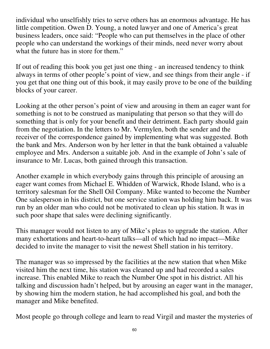individual who unselfishly tries to serve others has an enormous advantage. He has little competition. Owen D. Young, a noted lawyer and one of America's great business leaders, once said: "People who can put themselves in the place of other people who can understand the workings of their minds, need never worry about what the future has in store for them."

If out of reading this book you get just one thing - an increased tendency to think always in terms of other people's point of view, and see things from their angle - if you get that one thing out of this book, it may easily prove to be one of the building blocks of your career.

Looking at the other person's point of view and arousing in them an eager want for something is not to be construed as manipulating that person so that they will do something that is only for your benefit and their detriment. Each party should gain from the negotiation. In the letters to Mr. Vermylen, both the sender and the receiver of the correspondence gained by implementing what was suggested. Both the bank and Mrs. Anderson won by her letter in that the bank obtained a valuable employee and Mrs. Anderson a suitable job. And in the example of John's sale of insurance to Mr. Lucas, both gained through this transaction.

Another example in which everybody gains through this principle of arousing an eager want comes from Michael E. Whidden of Warwick, Rhode Island, who is a territory salesman for the Shell Oil Company. Mike wanted to become the Number One salesperson in his district, but one service station was holding him back. It was run by an older man who could not be motivated to clean up his station. It was in such poor shape that sales were declining significantly.

This manager would not listen to any of Mike's pleas to upgrade the station. After many exhortations and heart-to-heart talks—all of which had no impact—Mike decided to invite the manager to visit the newest Shell station in his territory.

The manager was so impressed by the facilities at the new station that when Mike visited him the next time, his station was cleaned up and had recorded a sales increase. This enabled Mike to reach the Number One spot in his district. All his talking and discussion hadn't helped, but by arousing an eager want in the manager, by showing him the modern station, he had accomplished his goal, and both the manager and Mike benefited.

Most people go through college and learn to read Virgil and master the mysteries of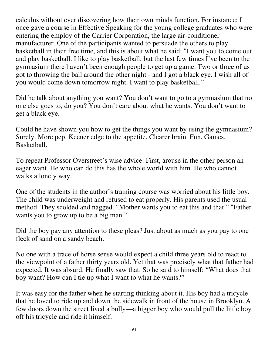calculus without ever discovering how their own minds function. For instance: I once gave a course in Effective Speaking for the young college graduates who were entering the employ of the Carrier Corporation, the large air-conditioner manufacturer. One of the participants wanted to persuade the others to play basketball in their free time, and this is about what he said: "I want you to come out and play basketball. I like to play basketball, but the last few times I've been to the gymnasium there haven't been enough people to get up a game. Two or three of us got to throwing the ball around the other night - and I got a black eye. I wish all of you would come down tomorrow night. I want to play basketball."

Did he talk about anything you want? You don't want to go to a gymnasium that no one else goes to, do you? You don't care about what he wants. You don't want to get a black eye.

Could he have shown you how to get the things you want by using the gymnasium? Surely. More pep. Keener edge to the appetite. Clearer brain. Fun. Games. Basketball.

To repeat Professor Overstreet's wise advice: First, arouse in the other person an eager want. He who can do this has the whole world with him. He who cannot walks a lonely way.

One of the students in the author's training course was worried about his little boy. The child was underweight and refused to eat properly. His parents used the usual method. They scolded and nagged. "Mother wants you to eat this and that." "Father wants you to grow up to be a big man."

Did the boy pay any attention to these pleas? Just about as much as you pay to one fleck of sand on a sandy beach.

No one with a trace of horse sense would expect a child three years old to react to the viewpoint of a father thirty years old. Yet that was precisely what that father had expected. It was absurd. He finally saw that. So he said to himself: "What does that boy want? How can I tie up what I want to what he wants?"

It was easy for the father when he starting thinking about it. His boy had a tricycle that he loved to ride up and down the sidewalk in front of the house in Brooklyn. A few doors down the street lived a bully—a bigger boy who would pull the little boy off his tricycle and ride it himself.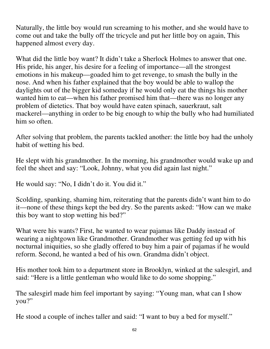Naturally, the little boy would run screaming to his mother, and she would have to come out and take the bully off the tricycle and put her little boy on again, This happened almost every day.

What did the little boy want? It didn't take a Sherlock Holmes to answer that one. His pride, his anger, his desire for a feeling of importance—all the strongest emotions in his makeup—goaded him to get revenge, to smash the bully in the nose. And when his father explained that the boy would be able to wallop the daylights out of the bigger kid someday if he would only eat the things his mother wanted him to eat—when his father promised him that—there was no longer any problem of dietetics. That boy would have eaten spinach, sauerkraut, salt mackerel—anything in order to be big enough to whip the bully who had humiliated him so often.

After solving that problem, the parents tackled another: the little boy had the unholy habit of wetting his bed.

He slept with his grandmother. In the morning, his grandmother would wake up and feel the sheet and say: "Look, Johnny, what you did again last night."

He would say: "No, I didn't do it. You did it."

Scolding, spanking, shaming him, reiterating that the parents didn't want him to do it—none of these things kept the bed dry. So the parents asked: "How can we make this boy want to stop wetting his bed?"

What were his wants? First, he wanted to wear pajamas like Daddy instead of wearing a nightgown like Grandmother. Grandmother was getting fed up with his nocturnal iniquities, so she gladly offered to buy him a pair of pajamas if he would reform. Second, he wanted a bed of his own. Grandma didn't object.

His mother took him to a department store in Brooklyn, winked at the salesgirl, and said: "Here is a little gentleman who would like to do some shopping."

The salesgirl made him feel important by saying: "Young man, what can I show you?"

He stood a couple of inches taller and said: "I want to buy a bed for myself."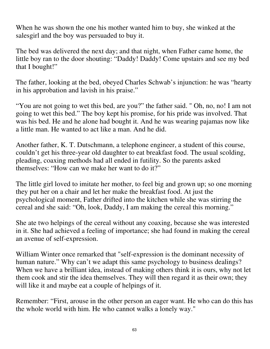When he was shown the one his mother wanted him to buy, she winked at the salesgirl and the boy was persuaded to buy it.

The bed was delivered the next day; and that night, when Father came home, the little boy ran to the door shouting: "Daddy! Daddy! Come upstairs and see my bed that I bought!"

The father, looking at the bed, obeyed Charles Schwab's injunction: he was "hearty in his approbation and lavish in his praise."

"You are not going to wet this bed, are you?" the father said. " Oh, no, no! I am not going to wet this bed." The boy kept his promise, for his pride was involved. That was his bed. He and he alone had bought it. And he was wearing pajamas now like a little man. He wanted to act like a man. And he did.

Another father, K. T. Dutschmann, a telephone engineer, a student of this course, couldn't get his three-year old daughter to eat breakfast food. The usual scolding, pleading, coaxing methods had all ended in futility. So the parents asked themselves: "How can we make her want to do it?"

The little girl loved to imitate her mother, to feel big and grown up; so one morning they put her on a chair and let her make the breakfast food. At just the psychological moment, Father drifted into the kitchen while she was stirring the cereal and she said: "Oh, look, Daddy, I am making the cereal this morning."

She ate two helpings of the cereal without any coaxing, because she was interested in it. She had achieved a feeling of importance; she had found in making the cereal an avenue of self-expression.

William Winter once remarked that "self-expression is the dominant necessity of human nature." Why can't we adapt this same psychology to business dealings? When we have a brilliant idea, instead of making others think it is ours, why not let them cook and stir the idea themselves. They will then regard it as their own; they will like it and maybe eat a couple of helpings of it.

Remember: "First, arouse in the other person an eager want. He who can do this has the whole world with him. He who cannot walks a lonely way."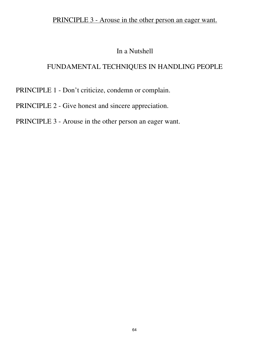#### PRINCIPLE 3 - Arouse in the other person an eager want.

## In a Nutshell

## FUNDAMENTAL TECHNIQUES IN HANDLING PEOPLE

- PRINCIPLE 1 Don't criticize, condemn or complain.
- PRINCIPLE 2 Give honest and sincere appreciation.

#### PRINCIPLE 3 - Arouse in the other person an eager want.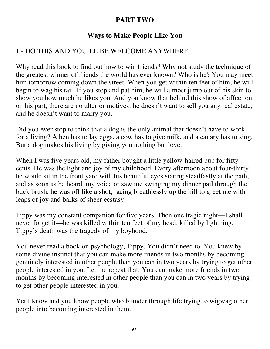## **PART TWO**

## **Ways to Make People Like You**

# 1 - DO THIS AND YOU'LL BE WELCOME ANYWHERE

Why read this book to find out how to win friends? Why not study the technique of the greatest winner of friends the world has ever known? Who is he? You may meet him tomorrow coming down the street. When you get within ten feet of him, he will begin to wag his tail. If you stop and pat him, he will almost jump out of his skin to show you how much he likes you. And you know that behind this show of affection on his part, there are no ulterior motives: he doesn't want to sell you any real estate, and he doesn't want to marry you.

Did you ever stop to think that a dog is the only animal that doesn't have to work for a living? A hen has to lay eggs, a cow has to give milk, and a canary has to sing. But a dog makes his living by giving you nothing but love.

When I was five years old, my father bought a little yellow-haired pup for fifty cents. He was the light and joy of my childhood. Every afternoon about four-thirty, he would sit in the front yard with his beautiful eyes staring steadfastly at the path, and as soon as he heard my voice or saw me swinging my dinner pail through the buck brush, he was off like a shot, racing breathlessly up the hill to greet me with leaps of joy and barks of sheer ecstasy.

Tippy was my constant companion for five years. Then one tragic night—I shall never forget it—he was killed within ten feet of my head, killed by lightning. Tippy's death was the tragedy of my boyhood.

You never read a book on psychology, Tippy. You didn't need to. You knew by some divine instinct that you can make more friends in two months by becoming genuinely interested in other people than you can in two years by trying to get other people interested in you. Let me repeat that. You can make more friends in two months by becoming interested in other people than you can in two years by trying to get other people interested in you.

Yet I know and you know people who blunder through life trying to wigwag other people into becoming interested in them.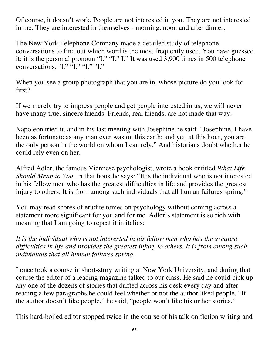Of course, it doesn't work. People are not interested in you. They are not interested in me. They are interested in themselves - morning, noon and after dinner.

The New York Telephone Company made a detailed study of telephone conversations to find out which word is the most frequently used. You have guessed it: it is the personal pronoun "I." "I." I." It was used 3,900 times in 500 telephone conversations. "I." "I." "I." "I."

When you see a group photograph that you are in, whose picture do you look for first?

If we merely try to impress people and get people interested in us, we will never have many true, sincere friends. Friends, real friends, are not made that way.

Napoleon tried it, and in his last meeting with Josephine he said: "Josephine, I have been as fortunate as any man ever was on this earth; and yet, at this hour, you are the only person in the world on whom I can rely." And historians doubt whether he could rely even on her.

Alfred Adler, the famous Viennese psychologist, wrote a book entitled *What Life Should Mean to You*. In that book he says: "It is the individual who is not interested in his fellow men who has the greatest difficulties in life and provides the greatest injury to others. It is from among such individuals that all human failures spring."

You may read scores of erudite tomes on psychology without coming across a statement more significant for you and for me. Adler's statement is so rich with meaning that I am going to repeat it in italics:

*It is the individual who is not interested in his fellow men who has the greatest difficulties in life and provides the greatest injury to others. It is from among such individuals that all humun failures spring.*

I once took a course in short-story writing at New York University, and during that course the editor of a leading magazine talked to our class. He said he could pick up any one of the dozens of stories that drifted across his desk every day and after reading a few paragraphs he could feel whether or not the author liked people. "If the author doesn't like people," he said, "people won't like his or her stories."

This hard-boiled editor stopped twice in the course of his talk on fiction writing and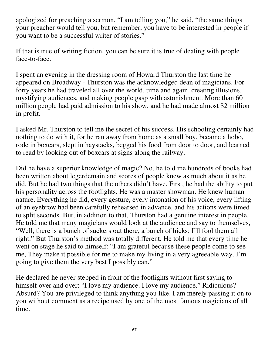apologized for preaching a sermon. "I am telling you," he said, "the same things your preacher would tell you, but remember, you have to be interested in people if you want to be a successful writer of stories."

If that is true of writing fiction, you can be sure it is true of dealing with people face-to-face.

I spent an evening in the dressing room of Howard Thurston the last time he appeared on Broadway - Thurston was the acknowledged dean of magicians. For forty years he had traveled all over the world, time and again, creating illusions, mystifying audiences, and making people gasp with astonishment. More than 60 million people had paid admission to his show, and he had made almost \$2 million in profit.

I asked Mr. Thurston to tell me the secret of his success. His schooling certainly had nothing to do with it, for he ran away from home as a small boy, became a hobo, rode in boxcars, slept in haystacks, begged his food from door to door, and learned to read by looking out of boxcars at signs along the railway.

Did he have a superior knowledge of magic? No, he told me hundreds of books had been written about legerdemain and scores of people knew as much about it as he did. But he had two things that the others didn't have. First, he had the ability to put his personality across the footlights. He was a master showman. He knew human nature. Everything he did, every gesture, every intonation of his voice, every lifting of an eyebrow had been carefully rehearsed in advance, and his actions were timed to split seconds. But, in addition to that, Thurston had a genuine interest in people. He told me that many magicians would look at the audience and say to themselves, "Well, there is a bunch of suckers out there, a bunch of hicks; I'll fool them all right." But Thurston's method was totally different. He told me that every time he went on stage he said to himself: "I am grateful because these people come to see me, They make it possible for me to make my living in a very agreeable way. I'm going to give them the very best I possibly can."

He declared he never stepped in front of the footlights without first saying to himself over and over: "I love my audience. I love my audience." Ridiculous? Absurd? You are privileged to think anything you like. I am merely passing it on to you without comment as a recipe used by one of the most famous magicians of all time.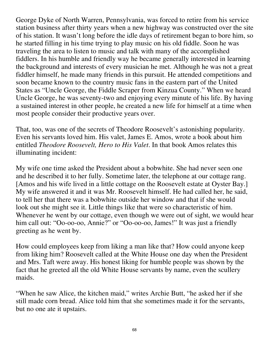George Dyke of North Warren, Pennsylvania, was forced to retire from his service station business after thirty years when a new highway was constructed over the site of his station. It wasn't long before the idle days of retirement began to bore him, so he started filling in his time trying to play music on his old fiddle. Soon he was traveling the area to listen to music and talk with many of the accomplished fiddlers. In his humble and friendly way he became generally interested in learning the background and interests of every musician he met. Although he was not a great fiddler himself, he made many friends in this pursuit. He attended competitions and soon became known to the country music fans in the eastern part of the United States as "Uncle George, the Fiddle Scraper from Kinzua County." When we heard Uncle George, he was seventy-two and enjoying every minute of his life. By having a sustained interest in other people, he created a new life for himself at a time when most people consider their productive years over.

That, too, was one of the secrets of Theodore Roosevelt's astonishing popularity. Even his servants loved him. His valet, James E. Amos, wrote a book about him entitled *Theodore Roosevelt, Hero to His Valet*. In that book Amos relates this illuminating incident:

My wife one time asked the President about a bobwhite. She had never seen one and he described it to her fully. Sometime later, the telephone at our cottage rang. [Amos and his wife lived in a little cottage on the Roosevelt estate at Oyster Bay.] My wife answered it and it was Mr. Roosevelt himself. He had called her, he said, to tell her that there was a bobwhite outside her window and that if she would look out she might see it. Little things like that were so characteristic of him. Whenever he went by our cottage, even though we were out of sight, we would hear him call out: "Oo-oo-oo, Annie?" or "Oo-oo-oo, James!" It was just a friendly greeting as he went by.

How could employees keep from liking a man like that? How could anyone keep from liking him? Roosevelt called at the White House one day when the President and Mrs. Taft were away. His honest liking for humble people was shown by the fact that he greeted all the old White House servants by name, even the scullery maids.

"When he saw Alice, the kitchen maid," writes Archie Butt, "he asked her if she still made corn bread. Alice told him that she sometimes made it for the servants, but no one ate it upstairs.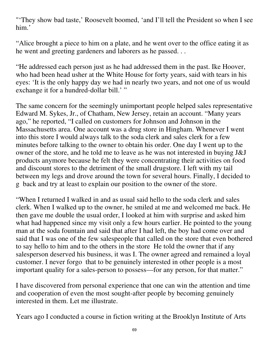"'They show bad taste,' Roosevelt boomed, 'and I'll tell the President so when I see him.'

"Alice brought a piece to him on a plate, and he went over to the office eating it as he went and greeting gardeners and laborers as he passed. . .

"He addressed each person just as he had addressed them in the past. Ike Hoover, who had been head usher at the White House for forty years, said with tears in his eyes: 'It is the only happy day we had in nearly two years, and not one of us would exchange it for a hundred-dollar bill.' "

The same concern for the seemingly unimportant people helped sales representative Edward M. Sykes, Jr., of Chatham, New Jersey, retain an account. "Many years ago," he reported, "I called on customers for Johnson and Johnson in the Massachusetts area. One account was a drug store in Hingham. Whenever I went into this store I would always talk to the soda clerk and sales clerk for a few minutes before talking to the owner to obtain his order. One day I went up to the owner of the store, and he told me to leave as he was not interested in buying J&J products anymore because he felt they were concentrating their activities on food and discount stores to the detriment of the small drugstore. I left with my tail between my legs and drove around the town for several hours. Finally, I decided to g back and try at least to explain our position to the owner of the store.

"When I returned I walked in and as usual said hello to the soda clerk and sales clerk. When I walked up to the owner, he smiled at me and welcomed me back. He then gave me double the usual order, I looked at him with surprise and asked him what had happened since my visit only a few hours earlier. He pointed to the young man at the soda fountain and said that after I had left, the boy had come over and said that I was one of the few salespeople that called on the store that even bothered to say hello to him and to the others in the store He told the owner that if any salesperson deserved his business, it was I. The owner agreed and remained a loyal customer. I never forgo that to be genuinely interested in other people is a most important quality for a sales-person to possess—for any person, for that matter."

I have discovered from personal experience that one can win the attention and time and cooperation of even the most sought-after people by becoming genuinely interested in them. Let me illustrate.

Years ago I conducted a course in fiction writing at the Brooklyn Institute of Arts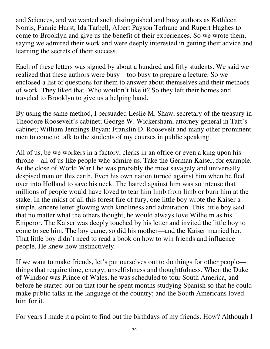and Sciences, and we wanted such distinguished and busy authors as Kathleen Norris, Fannie Hurst, Ida Tarbell, Albert Payson Terhune and Rupert Hughes to come to Brooklyn and give us the benefit of their experiences. So we wrote them, saying we admired their work and were deeply interested in getting their advice and learning the secrets of their success.

Each of these letters was signed by about a hundred and fifty students. We said we realized that these authors were busy—too busy to prepare a lecture. So we enclosed a list of questions for them to answer about themselves and their methods of work. They liked that. Who wouldn't like it? So they left their homes and traveled to Brooklyn to give us a helping hand.

By using the same method, I persuaded Leslie M. Shaw, secretary of the treasury in Theodore Roosevelt's cabinet; George W. Wickersham, attorney general in Taft's cabinet; William Jennings Bryan; Franklin D. Roosevelt and many other prominent men to come to talk to the students of my courses in public speaking.

All of us, be we workers in a factory, clerks in an office or even a king upon his throne—all of us like people who admire us. Take the German Kaiser, for example. At the close of World War I he was probably the most savagely and universally despised man on this earth. Even his own nation turned against him when he fled over into Holland to save his neck. The hatred against him was so intense that millions of people would have loved to tear him limb from limb or burn him at the stake. In the midst of all this forest fire of fury, one little boy wrote the Kaiser a simple, sincere letter glowing with kindliness and admiration. This little boy said that no matter what the others thought, he would always love Wilhelm as his Emperor. The Kaiser was deeply touched by his letter and invited the little boy to come to see him. The boy came, so did his mother—and the Kaiser married her. That little boy didn't need to read a book on how to win friends and influence people. He knew how instinctively.

If we want to make friends, let's put ourselves out to do things for other people things that require time, energy, unselfishness and thoughtfulness. When the Duke of Windsor was Prince of Wales, he was scheduled to tour South America, and before he started out on that tour he spent months studying Spanish so that he could make public talks in the language of the country; and the South Americans loved him for it.

For years I made it a point to find out the birthdays of my friends. How? Although I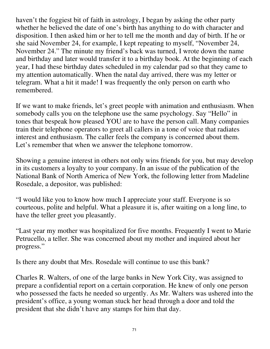haven't the foggiest bit of faith in astrology, I began by asking the other party whether he believed the date of one's birth has anything to do with character and disposition. I then asked him or her to tell me the month and day of birth. If he or she said November 24, for example, I kept repeating to myself, "November 24, November 24." The minute my friend's back was turned, I wrote down the name and birthday and later would transfer it to a birthday book. At the beginning of each year, I had these birthday dates scheduled in my calendar pad so that they came to my attention automatically. When the natal day arrived, there was my letter or telegram. What a hit it made! I was frequently the only person on earth who remembered.

If we want to make friends, let's greet people with animation and enthusiasm. When somebody calls you on the telephone use the same psychology. Say "Hello" in tones that bespeak how pleased YOU are to have the person call. Many companies train their telephone operators to greet all callers in a tone of voice that radiates interest and enthusiasm. The caller feels the company is concerned about them. Let's remember that when we answer the telephone tomorrow.

Showing a genuine interest in others not only wins friends for you, but may develop in its customers a loyalty to your company. In an issue of the publication of the National Bank of North America of New York, the following letter from Madeline Rosedale, a depositor, was published:

"I would like you to know how much I appreciate your staff. Everyone is so courteous, polite and helpful. What a pleasure it is, after waiting on a long line, to have the teller greet you pleasantly.

"Last year my mother was hospitalized for five months. Frequently I went to Marie Petrucello, a teller. She was concerned about my mother and inquired about her progress."

Is there any doubt that Mrs. Rosedale will continue to use this bank?

Charles R. Walters, of one of the large banks in New York City, was assigned to prepare a confidential report on a certain corporation. He knew of only one person who possessed the facts he needed so urgently. As Mr. Walters was ushered into the president's office, a young woman stuck her head through a door and told the president that she didn't have any stamps for him that day.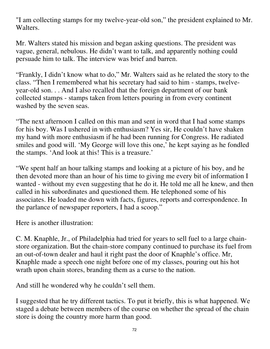"I am collecting stamps for my twelve-year-old son," the president explained to Mr. Walters.

Mr. Walters stated his mission and began asking questions. The president was vague, general, nebulous. He didn't want to talk, and apparently nothing could persuade him to talk. The interview was brief and barren.

"Frankly, I didn't know what to do," Mr. Walters said as he related the story to the class. "Then I remembered what his secretary had said to him - stamps, twelveyear-old son. . . And I also recalled that the foreign department of our bank collected stamps - stamps taken from letters pouring in from every continent washed by the seven seas.

"The next afternoon I called on this man and sent in word that I had some stamps for his boy. Was I ushered in with enthusiasm? Yes sir, He couldn't have shaken my hand with more enthusiasm if he had been running for Congress. He radiated smiles and good will. 'My George will love this one,' he kept saying as he fondled the stamps. 'And look at this! This is a treasure.'

"We spent half an hour talking stamps and looking at a picture of his boy, and he then devoted more than an hour of his time to giving me every bit of information I wanted - without my even suggesting that he do it. He told me all he knew, and then called in his subordinates and questioned them. He telephoned some of his associates. He loaded me down with facts, figures, reports and correspondence. In the parlance of newspaper reporters, I had a scoop."

Here is another illustration:

C. M. Knaphle, Jr., of Philadelphia had tried for years to sell fuel to a large chainstore organization. But the chain-store company continued to purchase its fuel from an out-of-town dealer and haul it right past the door of Knaphle's office. Mr, Knaphle made a speech one night before one of my classes, pouring out his hot wrath upon chain stores, branding them as a curse to the nation.

And still he wondered why he couldn't sell them.

I suggested that he try different tactics. To put it briefly, this is what happened. We staged a debate between members of the course on whether the spread of the chain store is doing the country more harm than good.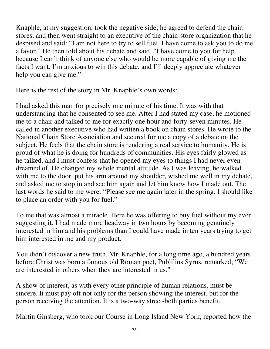Knaphle, at my suggestion, took the negative side; he agreed to defend the chain stores, and then went straight to an executive of the chain-store organization that he despised and said: "I am not here to try to sell fuel. I have come to ask you to do me a favor." He then told about his debate and said, "I have come to you for help because I can't think of anyone else who would be more capable of giving me the facts I want. I'm anxious to win this debate, and I'll deeply appreciate whatever help you can give me."

Here is the rest of the story in Mr. Knaphle's own words:

I had asked this man for precisely one minute of his time. It was with that understanding that he consented to see me. After I had stated my case, he motioned me to a chair and talked to me for exactly one hour and forty-seven minutes. He called in another executive who had written a book on chain stores. He wrote to the National Chain Store Association and secured for me a copy of a debate on the subject. He feels that the chain store is rendering a real service to humanity. He is proud of what he is doing for hundreds of communities. His eyes fairly glowed as he talked, and I must confess that he opened my eyes to things I had never even dreamed of. He changed my whole mental attitude. As I was leaving, he walked with me to the door, put his arm around my shoulder, wished me well in my debate, and asked me to stop in and see him again and let him know how I made out. The last words he said to me were: "Please see me again later in the spring. I should like to place an order with you for fuel."

To me that was almost a miracle. Here he was offering to buy fuel without my even suggesting it. I had made more headway in two hours by becoming genuinely interested in him and his problems than I could have made in ten years trying to get him interested in me and my product.

You didn't discover a new truth, Mr. Knaphle, for a long time ago, a hundred years before Christ was born a famous old Roman poet, Publilius Syrus, remarked; "We are interested in others when they are interested in us."

A show of interest, as with every other principle of human relations, must be sincere. It must pay off not only for the person showing the interest, but for the person receiving the attention. It is a two-way street-both parties benefit.

Martin Ginsberg, who took our Course in Long Island New York, reported how the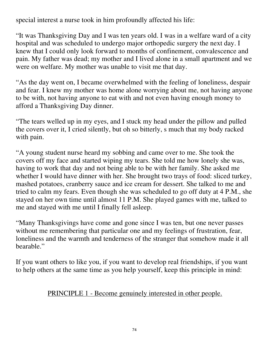special interest a nurse took in him profoundly affected his life:

"It was Thanksgiving Day and I was ten years old. I was in a welfare ward of a city hospital and was scheduled to undergo major orthopedic surgery the next day. I knew that I could only look forward to months of confinement, convalescence and pain. My father was dead; my mother and I lived alone in a small apartment and we were on welfare. My mother was unable to visit me that day.

"As the day went on, I became overwhelmed with the feeling of loneliness, despair and fear. I knew my mother was home alone worrying about me, not having anyone to be with, not having anyone to eat with and not even having enough money to afford a Thanksgiving Day dinner.

"The tears welled up in my eyes, and I stuck my head under the pillow and pulled the covers over it, I cried silently, but oh so bitterly, s much that my body racked with pain.

"A young student nurse heard my sobbing and came over to me. She took the covers off my face and started wiping my tears. She told me how lonely she was, having to work that day and not being able to be with her family. She asked me whether I would have dinner with her. She brought two trays of food: sliced turkey, mashed potatoes, cranberry sauce and ice cream for dessert. She talked to me and tried to calm my fears. Even though she was scheduled to go off duty at 4 P.M., she stayed on her own time until almost 11 P.M. She played games with me, talked to me and stayed with me until I finally fell asleep.

"Many Thanksgivings have come and gone since I was ten, but one never passes without me remembering that particular one and my feelings of frustration, fear, loneliness and the warmth and tenderness of the stranger that somehow made it all bearable."

If you want others to like you, if you want to develop real friendships, if you want to help others at the same time as you help yourself, keep this principle in mind:

#### PRINCIPLE 1 - Become genuinely interested in other people.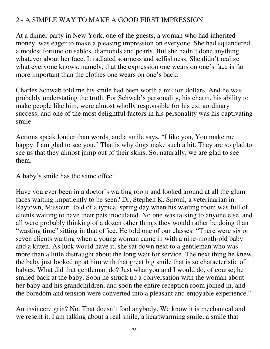## 2 - A SIMPLE WAY TO MAKE A GOOD FIRST IMPRESSION

At a dinner party in New York, one of the guests, a woman who had inherited money, was eager to make a pleasing impression on everyone. She had squandered a modest fortune on sables, diamonds and pearls. But she hadn't done anything whatever about her face. It radiated sourness and selfishness. She didn't realize what everyone knows: namely, that the expression one wears on one's face is far more important than the clothes one wears on one's back.

Charles Schwab told me his smile had been worth a million dollars. And he was probably understating the truth. For Schwab's personality, his charm, his ability to make people like him, were almost wholly responsible for his extraordinary success; and one of the most delightful factors in his personality was his captivating smile.

Actions speak louder than words, and a smile says, "I like you, You make me happy. I am glad to see you." That is why dogs make such a hit. They are so glad to see us that they almost jump out of their skins. So, naturally, we are glad to see them.

A baby's smile has the same effect.

Have you ever been in a doctor's waiting room and looked around at all the glum faces waiting impatiently to be seen? Dr, Stephen K. Sproul, a veterinarian in Raytown, Missouri, told of a typical spring day when his waiting room was full of clients waiting to have their pets inoculated. No one was talking to anyone else, and all were probably thinking of a dozen other things they would rather be doing than "wasting time" sitting in that office. He told one of our classes: "There were six or seven clients waiting when a young woman came in with a nine-month-old baby and a kitten. As luck would have it, she sat down next to a gentleman who was more than a little distraught about the long wait for service. The next thing he knew, the baby just looked up at him with that great big smile that is so characteristic of babies. What did that gentleman do? Just what you and I would do, of course; he smiled back at the baby. Soon he struck up a conversation with the woman about her baby and his grandchildren, and soon the entire reception room joined in, and the boredom and tension were converted into a pleasant and enjoyable experience."

An insincere grin? No. That doesn't fool anybody. We know it is mechanical and we resent it. I am talking about a real smile, a heartwarming smile, a smile that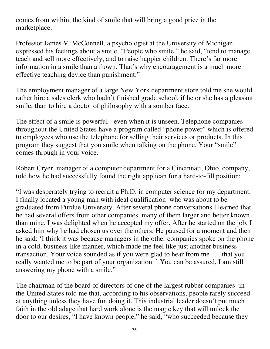comes from within, the kind of smile that will bring a good price in the marketplace.

Professor James V. McConnell, a psychologist at the University of Michigan, expressed his feelings about a smile. "People who smile," he said, "tend to manage teach and sell more effectively, and to raise happier children. There's far more information in a smile than a frown. That's why encouragement is a much more effective teaching device than punishment."

The employment manager of a large New York department store told me she would rather hire a sales clerk who hadn't finished grade school, if he or she has a pleasant smile, than to hire a doctor of philosophy with a somber face.

The effect of a smile is powerful - even when it is unseen. Telephone companies throughout the United States have a program called "phone power" which is offered to employees who use the telephone for selling their services or products. In this program they suggest that you smile when talking on the phone. Your "smile" comes through in your voice.

Robert Cryer, manager of a computer department for a Cincinnati, Ohio, company, told how he had successfully found the right applican for a hard-to-fill position:

"I was desperately trying to recruit a Ph.D. in computer science for my department. I finally located a young man with ideal qualification who was about to be graduated from Purdue University. After several phone conversations I learned that he had several offers from other companies, many of them larger and better known than mine. I was delighted when he accepted my offer. After he started on the job, I asked him why he had chosen us over the others. He paused for a moment and then he said: 'I think it was because managers in the other companies spoke on the phone in a cold, business-like manner, which made me feel like just another business transaction, Your voice sounded as if you were glad to hear from me . . . that you really wanted me to be part of your organization. ' You can be assured, I am still answering my phone with a smile."

The chairman of the board of directors of one of the largest rubber companies 'in the United States told me that, according to his observations, people rarely succeed at anything unless they have fun doing it. This industrial leader doesn't put much faith in the old adage that hard work alone is the magic key that will unlock the door to our desires, "I have known people," he said, "who succeeded because they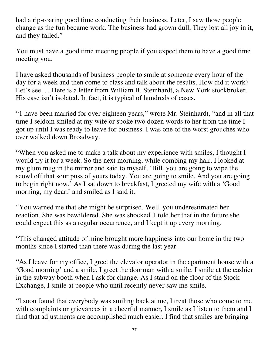had a rip-roaring good time conducting their business. Later, I saw those people change as the fun became work. The business had grown dull, They lost all joy in it, and they failed."

You must have a good time meeting people if you expect them to have a good time meeting you.

I have asked thousands of business people to smile at someone every hour of the day for a week and then come to class and talk about the results. How did it work? Let's see. . . Here is a letter from William B. Steinhardt, a New York stockbroker. His case isn't isolated. In fact, it is typical of hundreds of cases.

"1 have been married for over eighteen years," wrote Mr. Steinhardt, "and in all that time I seldom smiled at my wife or spoke two dozen words to her from the time I got up until I was ready to leave for business. I was one of the worst grouches who ever walked down Broadway.

"When you asked me to make a talk about my experience with smiles, I thought I would try it for a week. So the next morning, while combing my hair, I looked at my glum mug in the mirror and said to myself, 'Bill, you are going to wipe the scowl off that sour puss of yours today. You are going to smile. And you are going to begin right now.' As I sat down to breakfast, I greeted my wife with a 'Good morning, my dear,' and smiled as I said it.

"You warned me that she might be surprised. Well, you underestimated her reaction. She was bewildered. She was shocked. I told her that in the future she could expect this as a regular occurrence, and I kept it up every morning.

"This changed attitude of mine brought more happiness into our home in the two months since I started than there was during the last year.

"As I leave for my office, I greet the elevator operator in the apartment house with a 'Good morning' and a smile, I greet the doorman with a smile. I smile at the cashier in the subway booth when I ask for change. As I stand on the floor of the Stock Exchange, I smile at people who until recently never saw me smile.

"I soon found that everybody was smiling back at me, I treat those who come to me with complaints or grievances in a cheerful manner, I smile as I listen to them and I find that adjustments are accomplished much easier. I find that smiles are bringing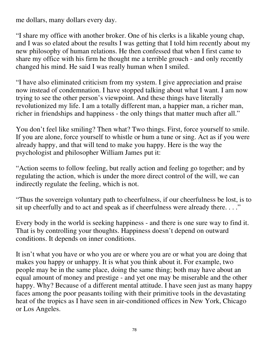me dollars, many dollars every day.

"I share my office with another broker. One of his clerks is a likable young chap, and I was so elated about the results I was getting that I told him recently about my new philosophy of human relations. He then confessed that when I first came to share my office with his firm he thought me a terrible grouch - and only recently changed his mind. He said I was really human when I smiled.

"I have also eliminated criticism from my system. I give appreciation and praise now instead of condemnation. I have stopped talking about what I want. I am now trying to see the other person's viewpoint. And these things have literally revolutionized my life. I am a totally different man, a happier man, a richer man, richer in friendships and happiness - the only things that matter much after all."

You don't feel like smiling? Then what? Two things. First, force yourself to smile. If you are alone, force yourself to whistle or hum a tune or sing. Act as if you were already happy, and that will tend to make you happy. Here is the way the psychologist and philosopher William James put it:

"Action seems to follow feeling, but really action and feeling go together; and by regulating the action, which is under the more direct control of the will, we can indirectly regulate the feeling, which is not.

"Thus the sovereign voluntary path to cheerfulness, if our cheerfulness be lost, is to sit up cheerfully and to act and speak as if cheerfulness were already there. . . ."

Every body in the world is seeking happiness - and there is one sure way to find it. That is by controlling your thoughts. Happiness doesn't depend on outward conditions. It depends on inner conditions.

It isn't what you have or who you are or where you are or what you are doing that makes you happy or unhappy. It is what you think about it. For example, two people may be in the same place, doing the same thing; both may have about an equal amount of money and prestige - and yet one may be miserable and the other happy. Why? Because of a different mental attitude. I have seen just as many happy faces among the poor peasants toiling with their primitive tools in the devastating heat of the tropics as I have seen in air-conditioned offices in New York, Chicago or Los Angeles.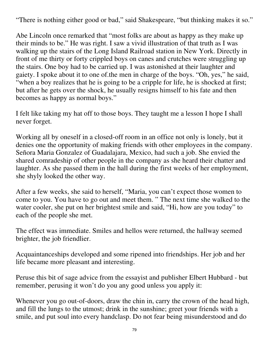"There is nothing either good or bad," said Shakespeare, "but thinking makes it so."

Abe Lincoln once remarked that "most folks are about as happy as they make up their minds to be." He was right. I saw a vivid illustration of that truth as I was walking up the stairs of the Long Island Railroad station in New York. Directly in front of me thirty or forty crippled boys on canes and crutches were struggling up the stairs. One boy had to be carried up. I was astonished at their laughter and gaiety. I spoke about it to one of.the men in charge of the boys. "Oh, yes," he said, "when a boy realizes that he is going to be a cripple for life, he is shocked at first; but after he gets over the shock, he usually resigns himself to his fate and then becomes as happy as normal boys."

I felt like taking my hat off to those boys. They taught me a lesson I hope I shall never forget.

Working all by oneself in a closed-off room in an office not only is lonely, but it denies one the opportunity of making friends with other employees in the company. Señora Maria Gonzalez of Guadalajara, Mexico, had such a job. She envied the shared comradeship of other people in the company as she heard their chatter and laughter. As she passed them in the hall during the first weeks of her employment, she shyly looked the other way.

After a few weeks, she said to herself, "Maria, you can't expect those women to come to you. You have to go out and meet them. " The next time she walked to the water cooler, she put on her brightest smile and said, "Hi, how are you today" to each of the people she met.

The effect was immediate. Smiles and hellos were returned, the hallway seemed brighter, the job friendlier.

Acquaintanceships developed and some ripened into friendships. Her job and her life became more pleasant and interesting.

Peruse this bit of sage advice from the essayist and publisher Elbert Hubbard - but remember, perusing it won't do you any good unless you apply it:

Whenever you go out-of-doors, draw the chin in, carry the crown of the head high, and fill the lungs to the utmost; drink in the sunshine; greet your friends with a smile, and put soul into every handclasp. Do not fear being misunderstood and do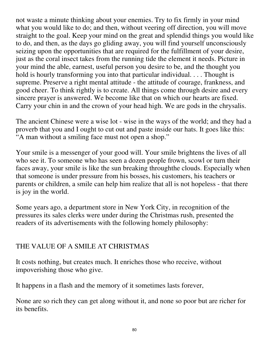not waste a minute thinking about your enemies. Try to fix firmly in your mind what you would like to do; and then, without veering off direction, you will move straight to the goal. Keep your mind on the great and splendid things you would like to do, and then, as the days go gliding away, you will find yourself unconsciously seizing upon the opportunities that are required for the fulfillment of your desire, just as the coral insect takes from the running tide the element it needs. Picture in your mind the able, earnest, useful person you desire to be, and the thought you hold is hourly transforming you into that particular individual. ... Thought is supreme. Preserve a right mental attitude - the attitude of courage, frankness, and good cheer. To think rightly is to create. All things come through desire and every sincere prayer is answered. We become like that on which our hearts are fixed. Carry your chin in and the crown of your head high. We are gods in the chrysalis.

The ancient Chinese were a wise lot - wise in the ways of the world; and they had a proverb that you and I ought to cut out and paste inside our hats. It goes like this: "A man without a smiling face must not open a shop."

Your smile is a messenger of your good will. Your smile brightens the lives of all who see it. To someone who has seen a dozen people frown, scowl or turn their faces away, your smile is like the sun breaking throughthe clouds. Especially when that someone is under pressure from his bosses, his customers, his teachers or parents or children, a smile can help him realize that all is not hopeless - that there is joy in the world.

Some years ago, a department store in New York City, in recognition of the pressures its sales clerks were under during the Christmas rush, presented the readers of its advertisements with the following homely philosophy:

### THE VALUE OF A SMILE AT CHRISTMAS

It costs nothing, but creates much. It enriches those who receive, without impoverishing those who give.

It happens in a flash and the memory of it sometimes lasts forever,

None are so rich they can get along without it, and none so poor but are richer for its benefits.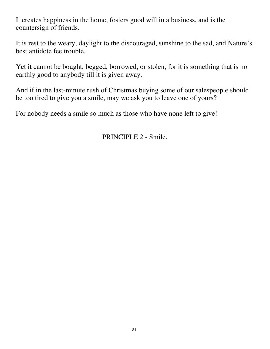It creates happiness in the home, fosters good will in a business, and is the countersign of friends.

It is rest to the weary, daylight to the discouraged, sunshine to the sad, and Nature's best antidote fee trouble.

Yet it cannot be bought, begged, borrowed, or stolen, for it is something that is no earthly good to anybody till it is given away.

And if in the last-minute rush of Christmas buying some of our salespeople should be too tired to give you a smile, may we ask you to leave one of yours?

For nobody needs a smile so much as those who have none left to give!

### PRINCIPLE 2 - Smile.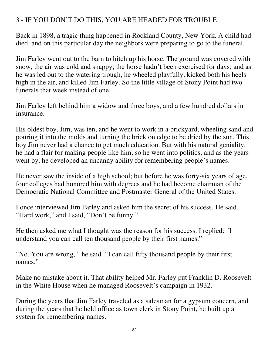## 3 - IF YOU DON'T DO THIS, YOU ARE HEADED FOR TROUBLE

Back in 1898, a tragic thing happened in Rockland County, New York. A child had died, and on this particular day the neighbors were preparing to go to the funeral.

Jim Farley went out to the barn to hitch up his horse. The ground was covered with snow, the air was cold and snappy; the horse hadn't been exercised for days; and as he was led out to the watering trough, he wheeled playfully, kicked both his heels high in the air, and killed Jim Farley. So the little village of Stony Point had two funerals that week instead of one.

Jim Farley left behind him a widow and three boys, and a few hundred dollars in insurance.

His oldest boy, Jim, was ten, and he went to work in a brickyard, wheeling sand and pouring it into the molds and turning the brick on edge to be dried by the sun. This boy Jim never had a chance to get much education. But with his natural geniality, he had a flair for making people like him, so he went into politics, and as the years went by, he developed an uncanny ability for remembering people's names.

He never saw the inside of a high school; but before he was forty-six years of age, four colleges had honored him with degrees and he had become chairman of the Democratic National Committee and Postmaster General of the United States.

I once interviewed Jim Farley and asked him the secret of his success. He said, "Hard work," and I said, "Don't be funny."

He then asked me what I thought was the reason for his success. I replied: "I understand you can call ten thousand people by their first names."

"No. You are wrong, " he said. "I can call fifty thousand people by their first names."

Make no mistake about it. That ability helped Mr. Farley put Franklin D. Roosevelt in the White House when he managed Roosevelt's campaign in 1932.

During the years that Jim Farley traveled as a salesman for a gypsum concern, and during the years that he held office as town clerk in Stony Point, he built up a system for remembering names.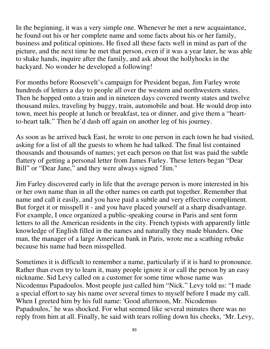In the beginning, it was a very simple one. Whenever he met a new acquaintance, he found out his or her complete name and some facts about his or her family, business and political opinions. He fixed all these facts well in mind as part of the picture, and the next time he met that person, even if it was a year later, he was able to shake hands, inquire after the family, and ask about the hollyhocks in the backyard. No wonder he developed a following!

For months before Roosevelt's campaign for President began, Jim Farley wrote hundreds of letters a day to people all over the western and northwestern states. Then he hopped onto a train and in nineteen days covered twenty states and twelve thousand miles, traveling by buggy, train, automobile and boat. He would drop into town, meet his people at lunch or breakfast, tea or dinner, and give them a "heartto-heart talk." Then he'd dash off again on another leg of his journey.

As soon as he arrived back East, he wrote to one person in each town he had visited, asking for a list of all the guests to whom he had talked. The final list contained thousands and thousands of names; yet each person on that list was paid the subtle flattery of getting a personal letter from James Farley. These letters began "Dear Bill" or "Dear Jane," and they were always signed "Jim."

Jim Farley discovered early in life that the average person is more interested in his or her own name than in all the other names on earth put together. Remember that name and call it easily, and you have paid a subtle and very effective compliment. But forget it or misspell it - and you have placed yourself at a sharp disadvantage. For example, I once organized a public-speaking course in Paris and sent form letters to all the American residents in the city. French typists with apparently little knowledge of English filled in the names and naturally they made blunders. One man, the manager of a large American bank in Paris, wrote me a scathing rebuke because his name had been misspelled.

Sometimes it is difficult to remember a name, particularly if it is hard to pronounce. Rather than even try to learn it, many people ignore it or call the person by an easy nickname. Sid Levy called on a customer for some time whose name was Nicodemus Papadoulos. Most people just called him "Nick." Levy told us: "I made a special effort to say his name over several times to myself before I made my call. When I greeted him by his full name: 'Good afternoon, Mr. Nicodemus Papadoulos,' he was shocked. For what seemed like several minutes there was no reply from him at all. Finally, he said with tears rolling down his cheeks, 'Mr. Levy,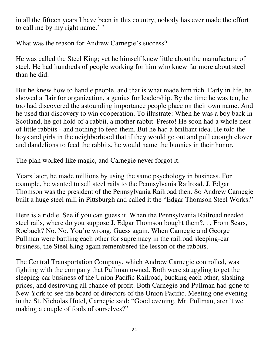in all the fifteen years I have been in this country, nobody has ever made the effort to call me by my right name.' "

What was the reason for Andrew Carnegie's success?

He was called the Steel King; yet he himself knew little about the manufacture of steel. He had hundreds of people working for him who knew far more about steel than he did.

But he knew how to handle people, and that is what made him rich. Early in life, he showed a flair for organization, a genius for leadership. By the time he was ten, he too had discovered the astounding importance people place on their own name. And he used that discovery to win cooperation. To illustrate: When he was a boy back in Scotland, he got hold of a rabbit, a mother rabbit. Presto! He soon had a whole nest of little rabbits - and nothing to feed them. But he had a brilliant idea. He told the boys and girls in the neighborhood that if they would go out and pull enough clover and dandelions to feed the rabbits, he would name the bunnies in their honor.

The plan worked like magic, and Carnegie never forgot it.

Years later, he made millions by using the same psychology in business. For example, he wanted to sell steel rails to the Pennsylvania Railroad. J. Edgar Thomson was the president of the Pennsylvania Railroad then. So Andrew Carnegie built a huge steel mill in Pittsburgh and called it the "Edgar Thomson Steel Works."

Here is a riddle. See if you can guess it. When the Pennsylvania Railroad needed steel rails, where do you suppose J. Edgar Thomson bought them?. . , From Sears, Roebuck? No. No. You're wrong. Guess again. When Carnegie and George Pullman were battling each other for supremacy in the railroad sleeping-car business, the Steel King again remembered the lesson of the rabbits.

The Central Transportation Company, which Andrew Carnegie controlled, was fighting with the company that Pullman owned. Both were struggling to get the sleeping-car business of the Union Pacific Railroad, bucking each other, slashing prices, and destroving all chance of profit. Both Carnegie and Pullman had gone to New York to see the board of directors of the Union Pacific. Meeting one evening in the St. Nicholas Hotel, Carnegie said: "Good evening, Mr. Pullman, aren't we making a couple of fools of ourselves?"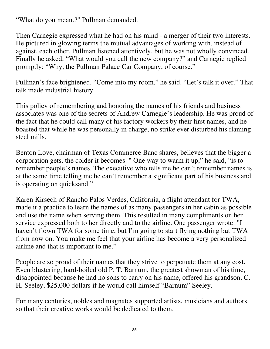"What do you mean.?" Pullman demanded.

Then Carnegie expressed what he had on his mind - a merger of their two interests. He pictured in glowing terms the mutual advantages of working with, instead of against, each other. Pullman listened attentively, but he was not wholly convinced. Finally he asked, "What would you call the new company?" and Carnegie replied promptly: "Why, the Pullman Palace Car Company, of course."

Pullman's face brightened. "Come into my room," he said. "Let's talk it over." That talk made industrial history.

This policy of remembering and honoring the names of his friends and business associates was one of the secrets of Andrew Carnegie's leadership. He was proud of the fact that he could call many of his factory workers by their first names, and he boasted that while he was personally in charge, no strike ever disturbed his flaming steel mills.

Benton Love, chairman of Texas Commerce Banc shares, believes that the bigger a corporation gets, the colder it becomes. " One way to warm it up," he said, "is to remember people's names. The executive who tells me he can't remember names is at the same time telling me he can't remember a significant part of his business and is operating on quicksand."

Karen Kirsech of Rancho Palos Verdes, California, a flight attendant for TWA, made it a practice to learn the names of as many passengers in her cabin as possible and use the name when serving them. This resulted in many compliments on her service expressed both to her directly and to the airline. One passenger wrote: "I haven't flown TWA for some time, but I'm going to start flying nothing but TWA from now on. You make me feel that your airline has become a very personalized airline and that is important to me."

People are so proud of their names that they strive to perpetuate them at any cost. Even blustering, hard-boiled old P. T. Barnum, the greatest showman of his time, disappointed because he had no sons to carry on his name, offered his grandson, C. H. Seeley, \$25,000 dollars if he would call himself "Barnum" Seeley.

For many centuries, nobles and magnates supported artists, musicians and authors so that their creative works would be dedicated to them.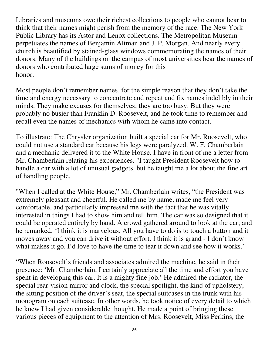Libraries and museums owe their richest collections to people who cannot bear to think that their names might perish from the memory of the race. The New York Public Library has its Astor and Lenox collections. The Metropolitan Museum perpetuates the names of Benjamin Altman and J. P. Morgan. And nearly every church is beautified by stained-glass windows commemorating the names of their donors. Many of the buildings on the campus of most universities bear the names of donors who contributed large sums of money for this honor.

Most people don't remember names, for the simple reason that they don't take the time and energy necessary to concentrate and repeat and fix names indelibly in their minds. They make excuses for themselves; they are too busy. But they were probably no busier than Franklin D. Roosevelt, and he took time to remember and recall even the names of mechanics with whom he came into contact.

To illustrate: The Chrysler organization built a special car for Mr. Roosevelt, who could not use a standard car because his legs were paralyzed. W. F. Chamberlain and a mechanic delivered it to the White House. I have in front of me a letter from Mr. Chamberlain relating his experiences. "I taught President Roosevelt how to handle a car with a lot of unusual gadgets, but he taught me a lot about the fine art of handling people.

"When I called at the White House," Mr. Chamberlain writes, "the President was extremely pleasant and cheerful. He called me by name, made me feel very comfortable, and particularly impressed me with the fact that he was vitally interested in things I had to show him and tell him. The car was so designed that it could be operated entirely by hand. A crowd gathered around to look at the car; and he remarked: 'I think it is marvelous. All you have to do is to touch a button and it moves away and you can drive it without effort. I think it is grand - I don't know what makes it go. I'd love to have the time to tear it down and see how it works.'

"When Roosevelt's friends and associates admired the machine, he said in their presence: 'Mr. Chamberlain, I certainly appreciate all the time and effort you have spent in developing this car. It is a mighty fine job.' He admired the radiator, the special rear-vision mirror and clock, the special spotlight, the kind of upholstery, the sitting position of the driver's seat, the special suitcases in the trunk with his monogram on each suitcase. In other words, he took notice of every detail to which he knew I had given considerable thought. He made a point of bringing these various pieces of equipment to the attention of Mrs. Roosevelt, Miss Perkins, the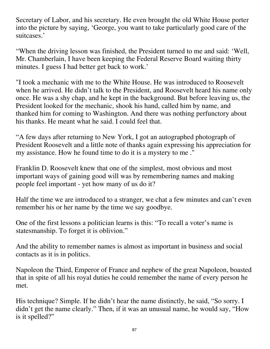Secretary of Labor, and his secretary. He even brought the old White House porter into the picture by saying, 'George, you want to take particularly good care of the suitcases.'

"When the driving lesson was finished, the President turned to me and said: 'Well, Mr. Chamberlain, I have been keeping the Federal Reserve Board waiting thirty minutes. I guess I had better get back to work.'

"I took a mechanic with me to the White House. He was introduced to Roosevelt when he arrived. He didn't talk to the President, and Roosevelt heard his name only once. He was a shy chap, and he kept in the background. But before leaving us, the President looked for the mechanic, shook his hand, called him by name, and thanked him for coming to Washington. And there was nothing perfunctory about his thanks. He meant what he said. I could feel that.

"A few days after returning to New York, I got an autographed photograph of President Roosevelt and a little note of thanks again expressing his appreciation for my assistance. How he found time to do it is a mystery to me ."

Franklin D. Roosevelt knew that one of the simplest, most obvious and most important ways of gaining good will was by remembering names and making people feel important - yet how many of us do it?

Half the time we are introduced to a stranger, we chat a few minutes and can't even remember his or her name by the time we say goodbye.

One of the first lessons a politician learns is this: "To recall a voter's name is statesmanship. To forget it is oblivion."

And the ability to remember names is almost as important in business and social contacts as it is in politics.

Napoleon the Third, Emperor of France and nephew of the great Napoleon, boasted that in spite of all his royal duties he could remember the name of every person he met.

His technique? Simple. If he didn't hear the name distinctly, he said, "So sorry. I didn't get the name clearly." Then, if it was an unusual name, he would say, "How is it spelled?"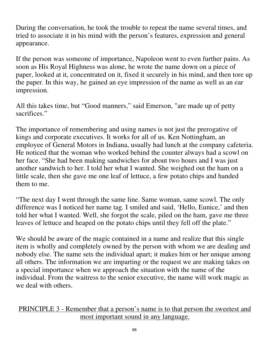During the conversation, he took the trouble to repeat the name several times, and tried to associate it in his mind with the person's features, expression and general appearance.

If the person was someone of importance, Napoleon went to even further pains. As soon as His Royal Highness was alone, he wrote the name down on a piece of paper, looked at it, concentrated on it, fixed it securely in his mind, and then tore up the paper. In this way, he gained an eye impression of the name as well as an ear impression.

All this takes time, but "Good manners," said Emerson, "are made up of petty sacrifices."

The importance of remembering and using names is not just the prerogative of kings and corporate executives. It works for all of us. Ken Nottingham, an employee of General Motors in Indiana, usually had lunch at the company cafeteria. He noticed that the woman who worked behind the counter always had a scowl on her face. "She had been making sandwiches for about two hours and I was just another sandwich to her. I told her what I wanted. She weighed out the ham on a little scale, then she gave me one leaf of lettuce, a few potato chips and handed them to me.

"The next day I went through the same line. Same woman, same scowl. The only difference was I noticed her name tag. I smiled and said, 'Hello, Eunice,' and then told her what I wanted. Well, she forgot the scale, piled on the ham, gave me three leaves of lettuce and heaped on the potato chips until they fell off the plate."

We should be aware of the magic contained in a name and realize that this single item is wholly and completely owned by the person with whom we are dealing and nobody else. The name sets the individual apart; it makes him or her unique among all others. The information we are imparting or the request we are making takes on a special importance when we approach the situation with the name of the individual. From the waitress to the senior executive, the name will work magic as we deal with others.

PRINCIPLE 3 - Remember that a person's name is to that person the sweetest and most important sound in any language.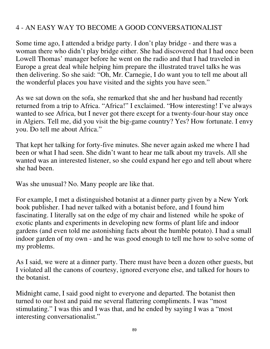### 4 - AN EASY WAY TO BECOME A GOOD CONVERSATIONALIST

Some time ago, I attended a bridge party. I don't play bridge - and there was a woman there who didn't play bridge either. She had discovered that I had once been Lowell Thomas' manager before he went on the radio and that I had traveled in Europe a great deal while helping him prepare the illustrated travel talks he was then delivering. So she said: "Oh, Mr. Carnegie, I do want you to tell me about all the wonderful places you have visited and the sights you have seen."

As we sat down on the sofa, she remarked that she and her husband had recently returned from a trip to Africa. "Africa!" I exclaimed. "How interesting! I've always wanted to see Africa, but I never got there except for a twenty-four-hour stay once in Algiers. Tell me, did you visit the big-game country? Yes? How fortunate. I envy you. Do tell me about Africa."

That kept her talking for forty-five minutes. She never again asked me where I had been or what I had seen. She didn't want to hear me talk about my travels. All she wanted was an interested listener, so she could expand her ego and tell about where she had been.

Was she unusual? No. Many people are like that.

For example, I met a distinguished botanist at a dinner party given by a New York book publisher. I had never talked with a botanist before, and I found him fascinating. I literally sat on the edge of my chair and listened while he spoke of exotic plants and experiments in developing new forms of plant life and indoor gardens (and even told me astonishing facts about the humble potato). I had a small indoor garden of my own - and he was good enough to tell me how to solve some of my problems.

As I said, we were at a dinner party. There must have been a dozen other guests, but I violated all the canons of courtesy, ignored everyone else, and talked for hours to the botanist.

Midnight came, I said good night to everyone and departed. The botanist then turned to our host and paid me several flattering compliments. I was "most stimulating." I was this and I was that, and he ended by saying I was a "most interesting conversationalist."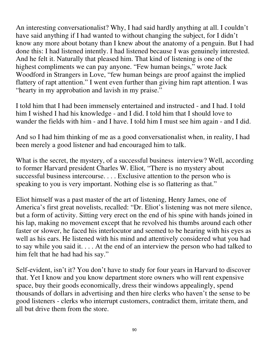An interesting conversationalist? Why, I had said hardly anything at all. I couldn't have said anything if I had wanted to without changing the subject, for I didn't know any more about botany than I knew about the anatomy of a penguin. But I had done this: I had listened intently. I had listened because I was genuinely interested. And he felt it. Naturally that pleased him. That kind of listening is one of the highest compliments we can pay anyone. "Few human beings," wrote Jack Woodford in Strangers in Love, "few human beings are proof against the implied flattery of rapt attention." I went even further than giving him rapt attention. I was "hearty in my approbation and lavish in my praise."

I told him that I had been immensely entertained and instructed - and I had. I told him I wished I had his knowledge - and I did. I told him that I should love to wander the fields with him - and I have. I told him I must see him again - and I did.

And so I had him thinking of me as a good conversationalist when, in reality, I had been merely a good listener and had encouraged him to talk.

What is the secret, the mystery, of a successful business interview? Well, according to former Harvard president Charles W. Eliot, "There is no mystery about successful business intercourse. . . . Exclusive attention to the person who is speaking to you is very important. Nothing else is so flattering as that."

Eliot himself was a past master of the art of listening, Henry James, one of America's first great novelists, recalled: "Dr. Eliot's listening was not mere silence, but a form of activity. Sitting very erect on the end of his spine with hands joined in his lap, making no movement except that he revolved his thumbs around each other faster or slower, he faced his interlocutor and seemed to be hearing with his eyes as well as his ears. He listened with his mind and attentively considered what you had to say while you said it. . . . At the end of an interview the person who had talked to him felt that he had had his say."

Self-evident, isn't it? You don't have to study for four years in Harvard to discover that. Yet I know and you know department store owners who will rent expensive space, buy their goods economically, dress their windows appealingly, spend thousands of dollars in advertising and then hire clerks who haven't the sense to be good listeners - clerks who interrupt customers, contradict them, irritate them, and all but drive them from the store.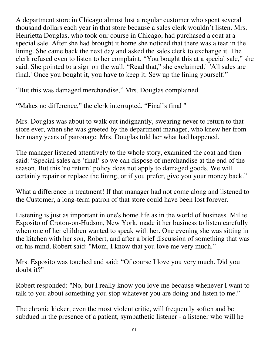A department store in Chicago almost lost a regular customer who spent several thousand dollars each year in that store because a sales clerk wouldn't listen. Mrs. Henrietta Douglas, who took our course in Chicago, had purchased a coat at a special sale. After she had brought it home she noticed that there was a tear in the lining. She came back the next day and asked the sales clerk to exchange it. The clerk refused even to listen to her complaint. "You bought this at a special sale," she said. She pointed to a sign on the wall. "Read that," she exclaimed." 'All sales are final.' Once you bought it, you have to keep it. Sew up the lining yourself."

"But this was damaged merchandise," Mrs. Douglas complained.

"Makes no difference," the clerk interrupted. "Final's final "

Mrs. Douglas was about to walk out indignantly, swearing never to return to that store ever, when she was greeted by the department manager, who knew her from her many years of patronage. Mrs. Douglas told her what had happened.

The manager listened attentively to the whole story, examined the coat and then said: "Special sales are 'final' so we can dispose of merchandise at the end of the season. But this 'no return' policy does not apply to damaged goods. We will certainly repair or replace the lining, or if you prefer, give you your money back."

What a difference in treatment! If that manager had not come along and listened to the Customer, a long-term patron of that store could have been lost forever.

Listening is just as important in one's home life as in the world of business. Millie Esposito of Croton-on-Hudson, New York, made it her business to listen carefully when one of her children wanted to speak with her. One evening she was sitting in the kitchen with her son, Robert, and after a brief discussion of something that was on his mind, Robert said: "Mom, I know that you love me very much."

Mrs. Esposito was touched and said: "Of course I love you very much. Did you doubt it?"

Robert responded: "No, but I really know you love me because whenever I want to talk to you about something you stop whatever you are doing and listen to me."

The chronic kicker, even the most violent critic, will frequently soften and be subdued in the presence of a patient, sympathetic listener - a listener who will he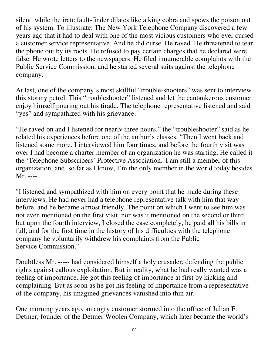silent while the irate fault-finder dilates like a king cobra and spews the poison out of his system. To illustrate: The New York Telephone Company discovered a few years ago that it had to deal with one of the most vicious customers who ever cursed a customer service representative. And he did curse. He raved. He threatened to tear the phone out by its roots. He refused to pay certain charges that he declared were false. He wrote letters to the newspapers. He filed innumerable complaints with the Public Service Commission, and he started several suits against the telephone company.

At last, one of the company's most skillful "trouble-shooters" was sent to interview this stormy petrel. This "troubleshooter" listened and let the cantankerous customer enjoy himself pouring out his tirade. The telephone representative listened and said "yes" and sympathized with his grievance.

"He raved on and I listened for nearlv three hours," the "troubleshooter" said as he related his experiences before one of the author's classes. "Then I went back and listened some more. I interviewed him four times, and before the fourth visit was over I had become a charter member of an organization he was starting. He called it the 'Telephone Subscribers' Protective Association.' I am still a member of this organization, and, so far as I know, I'm the only member in the world today besides Mr. ----.

"I listened and sympathized with him on every point that he made during these interviews. He had never had a telephone representative talk with him that way before, and he became almost friendly. The point on which I went to see him was not even mentioned on the first visit, nor was it mentioned on the second or third, but upon the fourth interview, I closed the case completely, he paid all his bills in full, and for the first time in the history of his difficulties with the telephone company he voluntarily withdrew his complaints from the Public Service Commission."

Doubtless Mr. ----- had considered himself a holy crusader, defending the public rights against callous exploitation. But in reality, what he had really wanted was a feeling of importance. He got this feeling of importance at first by kicking and complaining. But as soon as he got his feeling of importance from a representative of the company, his imagined grievances vanished into thin air.

One morning years ago, an angry customer stormed into the office of Julian F. Detmer, founder of the Detmer Woolen Company, which later became the world's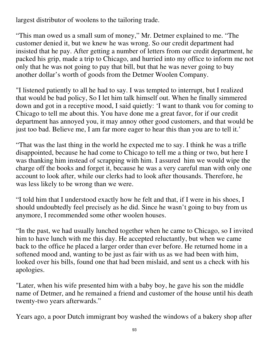largest distributor of woolens to the tailoring trade.

"This man owed us a small sum of money," Mr. Detmer explained to me. "The customer denied it, but we knew he was wrong. So our credit department had insisted that he pay. After getting a number of letters from our credit department, he packed his grip, made a trip to Chicago, and hurried into my office to inform me not only that he was not going to pay that bill, but that he was never going to buy another dollar's worth of goods from the Detmer Woolen Company.

"I listened patiently to all he had to say. I was tempted to interrupt, but I realized that would be bad policy, So I let him talk himself out. When he finally simmered down and got in a receptive mood, I said quietly: 'I want to thank vou for coming to Chicago to tell me about this. You have done me a great favor, for if our credit department has annoyed you, it may annoy other good customers, and that would be just too bad. Believe me, I am far more eager to hear this than you are to tell it.'

"That was the last thing in the world he expected me to say. I think he was a trifle disappointed, because he had come to Chicago to tell me a thing or two, but here I was thanking him instead of scrapping with him. I assured him we would wipe the charge off the books and forget it, because he was a very careful man with only one account to look after, while our clerks had to look after thousands. Therefore, he was less likely to be wrong than we were.

"I told him that I understood exactly how he felt and that, if I were in his shoes, I should undoubtedly feel precisely as he did. Since he wasn't going to buy from us anymore, I recommended some other woolen houses.

"In the past, we had usually lunched together when he came to Chicago, so I invited him to have lunch with me this day. He accepted reluctantly, but when we came back to the office he placed a larger order than ever before. He returned home in a softened mood and, wanting to be just as fair with us as we had been with him, looked over his bills, found one that had been mislaid, and sent us a check with his apologies.

"Later, when his wife presented him with a baby boy, he gave his son the middle name of Detmer, and he remained a friend and customer of the house until his death twenty-two years afterwards."

Years ago, a poor Dutch immigrant boy washed the windows of a bakery shop after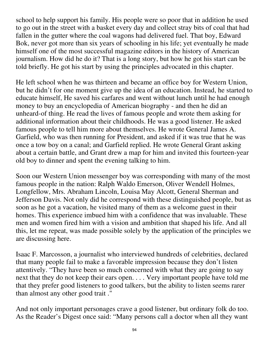school to help support his family. His people were so poor that in addition he used to go out in the street with a basket every day and collect stray bits of coal that had fallen in the gutter where the coal wagons had delivered fuel. That boy, Edward Bok, never got more than six years of schooling in his life; yet eventually he made himself one of the most successful magazine editors in the history of American journalism. How did he do it? That is a long story, but how he got his start can be told briefly. He got his start by using the principles advocated in this chapter.

He left school when he was thirteen and became an office boy for Western Union, but he didn't for one moment give up the idea of an education. Instead, he started to educate himself, He saved his carfares and went without lunch until he had enough money to buy an encyclopedia of American biography - and then he did an unheard-of thing. He read the lives of famous people and wrote them asking for additional information about their childhoods. He was a good listener. He asked famous people to tell him more about themselves. He wrote General James A. Garfield, who was then running for President, and asked if it was true that he was once a tow boy on a canal; and Garfield replied. He wrote General Grant asking about a certain battle, and Grant drew a map for him and invited this fourteen-year old boy to dinner and spent the evening talking to him.

Soon our Western Union messenger boy was corresponding with many of the most famous people in the nation: Ralph Waldo Emerson, Oliver Wendell Holmes, Longfellow, Mrs. Abraham Lincoln, Louisa May Alcott, General Sherman and Jefferson Davis. Not only did he correspond with these distinguished people, but as soon as he got a vacation, he visited many of them as a welcome guest in their homes. This experience imbued him with a confidence that was invaluable. These men and women fired him with a vision and ambition that shaped his life. And all this, let me repeat, was made possible solely by the application of the principles we are discussing here.

Isaac F. Marcosson, a journalist who interviewed hundreds of celebrities, declared that many people fail to make a favorable impression because they don't listen attentively. "They have been so much concerned with what they are going to say next that they do not keep their ears open. . . . Very important people have told me that they prefer good listeners to good talkers, but the ability to listen seems rarer than almost any other good trait ."

And not only important personages crave a good listener, but ordinary folk do too. As the Reader's Digest once said: "Many persons call a doctor when all they want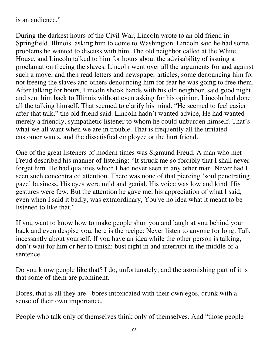is an audience,"

During the darkest hours of the Civil War, Lincoln wrote to an old friend in Springfield, Illinois, asking him to come to Washington. Lincoln said he had some problems he wanted to discuss with him. The old neighbor called at the White House, and Lincoln talked to him for hours about the advisability of issuing a proclamation freeing the slaves. Lincoln went over all the arguments for and against such a move, and then read letters and newspaper articles, some denouncing him for not freeing the slaves and others denouncing him for fear he was going to free them. After talking for hours, Lincoln shook hands with his old neighbor, said good night, and sent him back to Illinois without even asking for his opinion. Lincoln had done all the talking himself. That seemed to clarify his mind. "He seemed to feel easier after that talk," the old friend said. Lincoln hadn't wanted advice, He had wanted merely a friendly, sympathetic listener to whom he could unburden himself. That's what we all want when we are in trouble. That is frequently all the irritated customer wants, and the dissatisfied employee or the hurt friend.

One of the great listeners of modern times was Sigmund Freud. A man who met Freud described his manner of listening: "It struck me so forcibly that I shall never forget him. He had qualities which I had never seen in any other man. Never had I seen such concentrated attention. There was none of that piercing 'soul penetrating gaze' business. His eyes were mild and genial. His voice was low and kind. His gestures were few. But the attention he gave me, his appreciation of what I said, even when I said it badly, was extraordinary, You've no idea what it meant to be listened to like that."

If you want to know how to make people shun you and laugh at you behind your back and even despise you, here is the recipe: Never listen to anyone for long. Talk incessantly about yourself. If you have an idea while the other person is talking, don't wait for him or her to finish: bust right in and interrupt in the middle of a sentence.

Do you know people like that? I do, unfortunately; and the astonishing part of it is that some of them are prominent.

Bores, that is all they are - bores intoxicated with their own egos, drunk with a sense of their own importance.

People who talk only of themselves think only of themselves. And "those people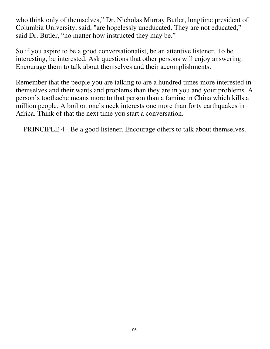who think only of themselves," Dr. Nicholas Murray Butler, longtime president of Columbia University, said, "are hopelessly uneducated. They are not educated," said Dr. Butler, "no matter how instructed they may be."

So if you aspire to be a good conversationalist, be an attentive listener. To be interesting, be interested. Ask questions that other persons will enjoy answering. Encourage them to talk about themselves and their accomplishments.

Remember that the people you are talking to are a hundred times more interested in themselves and their wants and problems than they are in you and your problems. A person's toothache means more to that person than a famine in China which kills a million people. A boil on one's neck interests one more than forty earthquakes in Africa. Think of that the next time you start a conversation.

PRINCIPLE 4 - Be a good listener. Encourage others to talk about themselves.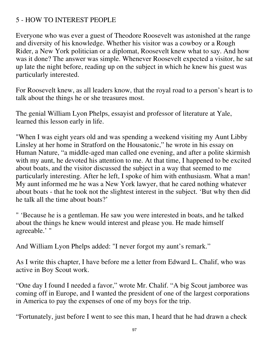### 5 - HOW TO INTEREST PEOPLE

Everyone who was ever a guest of Theodore Roosevelt was astonished at the range and diversity of his knowledge. Whether his visitor was a cowboy or a Rough Rider, a New York politician or a diplomat, Roosevelt knew what to say. And how was it done? The answer was simple. Whenever Roosevelt expected a visitor, he sat up late the night before, reading up on the subject in which he knew his guest was particularly interested.

For Roosevelt knew, as all leaders know, that the royal road to a person's heart is to talk about the things he or she treasures most.

The genial William Lyon Phelps, essayist and professor of literature at Yale, learned this lesson early in life.

"When I was eight years old and was spending a weekend visiting my Aunt Libby Linsley at her home in Stratford on the Housatonic," he wrote in his essay on Human Nature, "a middle-aged man called one evening, and after a polite skirmish with my aunt, he devoted his attention to me. At that time, I happened to be excited about boats, and the visitor discussed the subject in a way that seemed to me particularly interesting. After he left, I spoke of him with enthusiasm. What a man! My aunt informed me he was a New York lawyer, that he cared nothing whatever about boats - that he took not the slightest interest in the subject. 'But why then did he talk all the time about boats?'

" 'Because he is a gentleman. He saw you were interested in boats, and he talked about the things he knew would interest and please you. He made himself agreeable.' "

And William Lyon Phelps added: "I never forgot my aunt's remark."

As I write this chapter, I have before me a letter from Edward L. Chalif, who was active in Boy Scout work.

"One day I found I needed a favor," wrote Mr. Chalif. "A big Scout jamboree was coming off in Europe, and I wanted the president of one of the largest corporations in America to pay the expenses of one of my boys for the trip.

"Fortunately, just before I went to see this man, I heard that he had drawn a check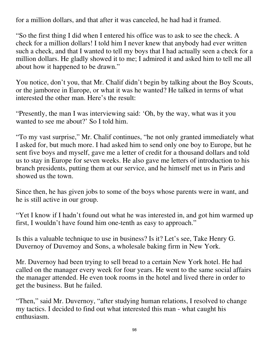for a million dollars, and that after it was canceled, he had had it framed.

"So the first thing I did when I entered his office was to ask to see the check. A check for a million dollars! I told him I never knew that anybody had ever written such a check, and that I wanted to tell my boys that I had actually seen a check for a million dollars. He gladly showed it to me; I admired it and asked him to tell me all about how it happened to be drawn."

You notice, don't you, that Mr. Chalif didn't begin by talking about the Boy Scouts, or the jamboree in Europe, or what it was he wanted? He talked in terms of what interested the other man. Here's the result:

"Presently, the man I was interviewing said: 'Oh, by the way, what was it you wanted to see me about?' So I told him.

"To my vast surprise," Mr. Chalif continues, "he not only granted immediately what I asked for, but much more. I had asked him to send only one boy to Europe, but he sent five boys and myself, gave me a letter of credit for a thousand dollars and told us to stay in Europe for seven weeks. He also gave me letters of introduction to his branch presidents, putting them at our service, and he himself met us in Paris and showed us the town.

Since then, he has given jobs to some of the boys whose parents were in want, and he is still active in our group.

"Yet I know if I hadn't found out what he was interested in, and got him warmed up first, I wouldn't have found him one-tenth as easy to approach."

Is this a valuable technique to use in business? Is it? Let's see, Take Henry G. Duvernoy of Duvemoy and Sons, a wholesale baking firm in New York.

Mr. Duvernoy had been trying to sell bread to a certain New York hotel. He had called on the manager every week for four years. He went to the same social affairs the manager attended. He even took rooms in the hotel and lived there in order to get the business. But he failed.

"Then," said Mr. Duvernoy, "after studying human relations, I resolved to change my tactics. I decided to find out what interested this man - what caught his enthusiasm.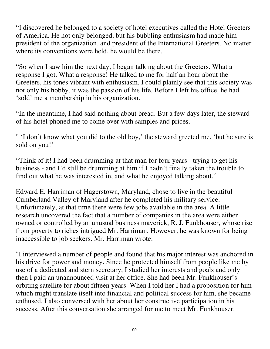"I discovered he belonged to a society of hotel executives called the Hotel Greeters of America. He not only belonged, but his bubbling enthusiasm had made him president of the organization, and president of the International Greeters. No matter where its conventions were held, he would be there.

"So when I saw him the next day, I began talking about the Greeters. What a response I got. What a response! He talked to me for half an hour about the Greeters, his tones vibrant with enthusiasm. I could plainly see that this society was not only his hobby, it was the passion of his life. Before I left his office, he had 'sold' me a membership in his organization.

"In the meantime, I had said nothing about bread. But a few days later, the steward of his hotel phoned me to come over with samples and prices.

" 'I don't know what you did to the old boy,' the steward greeted me, 'but he sure is sold on you!'

"Think of it! I had been drumming at that man for four years - trying to get his business - and I'd still be drumming at him if I hadn't finally taken the trouble to find out what he was interested in, and what he enjoyed talking about."

Edward E. Harriman of Hagerstown, Maryland, chose to live in the beautiful Cumberland Valley of Maryland after he completed his military service. Unfortunately, at that time there were few jobs available in the area. A little research uncovered the fact that a number of companies in the area were either owned or controlled by an unusual business maverick, R. J. Funkhouser, whose rise from poverty to riches intrigued Mr. Harriman. However, he was known for being inaccessible to job seekers. Mr. Harriman wrote:

"I interviewed a number of people and found that his major interest was anchored in his drive for power and money. Since he protected himself from people like me by use of a dedicated and stern secretary, I studied her interests and goals and only then I paid an unannounced visit at her office. She had been Mr. Funkhouser's orbiting satellite for about fifteen years. When I told her I had a proposition for him which might translate itself into financial and political success for him, she became enthused. I also conversed with her about her constructive participation in his success. After this conversation she arranged for me to meet Mr. Funkhouser.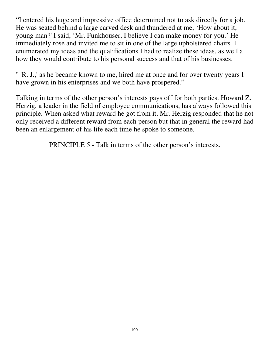"I entered his huge and impressive office determined not to ask directly for a job. He was seated behind a large carved desk and thundered at me, 'How about it, young man?' I said, 'Mr. Funkhouser, I believe I can make money for you.' He immediately rose and invited me to sit in one of the large upholstered chairs. I enumerated my ideas and the qualifications I had to realize these ideas, as well a how they would contribute to his personal success and that of his businesses.

" 'R. J.,' as he became known to me, hired me at once and for over twenty years I have grown in his enterprises and we both have prospered."

Talking in terms of the other person's interests pays off for both parties. Howard Z. Herzig, a leader in the field of employee communications, has always followed this principle. When asked what reward he got from it, Mr. Herzig responded that he not only received a different reward from each person but that in general the reward had been an enlargement of his life each time he spoke to someone.

PRINCIPLE 5 - Talk in terms of the other person's interests.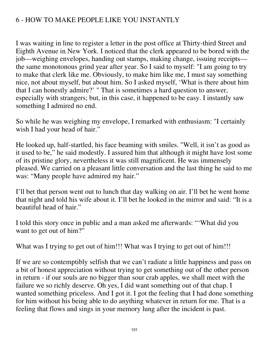# 6 - HOW TO MAKE PEOPLE LIKE YOU INSTANTLY

I was waiting in line to register a letter in the post office at Thirty-third Street and Eighth Avenue in New York. I noticed that the clerk appeared to be bored with the job—weighing envelopes, handing out stamps, making change, issuing receipts the same monotonous grind year after year. So I said to myself: "I am going to try to make that clerk like me. Obviously, to make him like me, I must say something nice, not about myself, but about him. So I asked myself, 'What is there about him that I can honestly admire?' " That is sometimes a hard question to answer, especially with strangers; but, in this case, it happened to be easy. I instantly saw something I admired no end.

So while he was weighing my envelope, I remarked with enthusiasm: "I certainly wish I had your head of hair."

He looked up, half-startled, his face beaming with smiles. "Well, it isn't as good as it used to be," he said modestly. I assured him that although it might have lost some of its pristine glory, nevertheless it was still magnificent. He was immensely pleased. We carried on a pleasant little conversation and the last thing he said to me was: "Many people have admired my hair."

I'll bet that person went out to lunch that day walking on air. I'll bet he went home that night and told his wife about it. I'll bet he looked in the mirror and said: "It is a beautiful head of hair."

I told this story once in public and a man asked me afterwards: "'What did you want to get out of him?"

What was I trying to get out of him!!! What was I trying to get out of him!!!

If we are so contemptibly selfish that we can't radiate a little happiness and pass on a bit of honest appreciation without trying to get something out of the other person in return - if our souls are no bigger than sour crab apples, we shall meet with the failure we so richly deserve. Oh yes, I did want something out of that chap. I wanted something priceless. And I got it. I got the feeling that I had done something for him without his being able to do anything whatever in return for me. That is a feeling that flows and sings in your memory lung after the incident is past.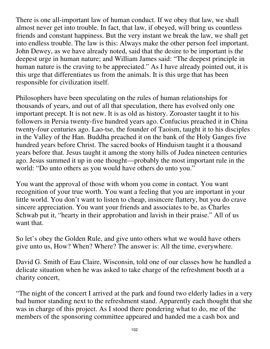There is one all-important law of human conduct. If we obey that law, we shall almost never get into trouble. In fact, that law, if obeyed, will bring us countless friends and constant happiness. But the very instant we break the law, we shall get into endless trouble. The law is this: Always make the other person feel important. John Dewey, as we have already noted, said that the desire to be important is the deepest urge in human nature; and William James said: "The deepest principle in human nature is the craving to be appreciated." As I have already pointed out, it is this urge that differentiates us from the animals. It is this urge that has been responsible for civilization itself.

Philosophers have been speculating on the rules of human relationships for thousands of years, and out of all that speculation, there has evolved only one important precept. It is not new. It is as old as history. Zoroaster taught it to his followers in Persia twenty-five hundred years ago. Confucius preached it in China twenty-four centuries ago. Lao-tse, the founder of Taoism, taught it to his disciples in the Valley of the Han. Buddha preached it on the bank of the Holy Ganges five hundred years before Christ. The sacred books of Hinduism taught it a thousand years before that. Jesus taught it among the stony hills of Judea nineteen centuries ago. Jesus summed it up in one thought—probably the most important rule in the world: "Do unto others as you would have others do unto you."

You want the approval of those with whom you come in contact. You want recognition of your true worth. You want a feeling that you are important in your little world. You don't want to listen to cheap, insincere flattery, but you do crave sincere appreciation. You want your friends and associates to be, as Charles Schwab put it, "hearty in their approbation and lavish in their praise." All of us want that.

So let's obey the Golden Rule, and give unto others what we would have others give unto us, How? When? Where? The answer is: All the time, everywhere.

David G. Smith of Eau Claire, Wisconsin, told one of our classes how he handled a delicate situation when he was asked to take charge of the refreshment booth at a charity concert,

"The night of the concert I arrived at the park and found two elderly ladies in a very bad humor standing next to the refreshment stand. Apparently each thought that she was in charge of this project. As I stood there pondering what to do, me of the members of the sponsoring committee appeared and handed me a cash box and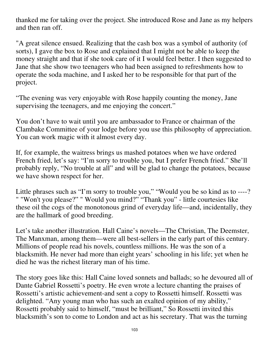thanked me for taking over the project. She introduced Rose and Jane as my helpers and then ran off.

"A great silence ensued. Realizing that the cash box was a symbol of authority (of sorts), I gave the box to Rose and explained that I might not be able to keep the money straight and that if she took care of it I would feel better. I then suggested to Jane that she show two teenagers who had been assigned to refreshments how to operate the soda machine, and I asked her to be responsible for that part of the project.

"The evening was very enjoyable with Rose happily counting the money, Jane supervising the teenagers, and me enjoying the concert."

You don't have to wait until you are ambassador to France or chairman of the Clambake Committee of your lodge before you use this philosophy of appreciation. You can work magic with it almost every day.

If, for example, the waitress brings us mashed potatoes when we have ordered French fried, let's say: "I'm sorry to trouble you, but I prefer French fried." She'll probably reply, "No trouble at all" and will be glad to change the potatoes, because we have shown respect for her.

Little phrases such as "I'm sorry to trouble you," "Would you be so kind as to ----? " "Won't you please?" " Would you mind?" "Thank you" - little courtesies like these oil the cogs of the monotonous grind of everyday life—and, incidentally, they are the hallmark of good breeding.

Let's take another illustration. Hall Caine's novels—The Christian, The Deemster, The Manxman, among them—were all best-sellers in the early part of this century. Millions of people read his novels, countless millions. He was the son of a blacksmith. He never had more than eight years' schooling in his life; yet when he died he was the richest literary man of his time.

The story goes like this: Hall Caine loved sonnets and ballads; so he devoured all of Dante Gabriel Rossetti's poetry. He even wrote a lecture chanting the praises of Rossetti's artistic achievement-and sent a copy to Rossetti himself. Rossetti was delighted. "Any young man who has such an exalted opinion of my ability," Rossetti probably said to himself, "must be brilliant," So Rossetti invited this blacksmith's son to come to London and act as his secretary. That was the turning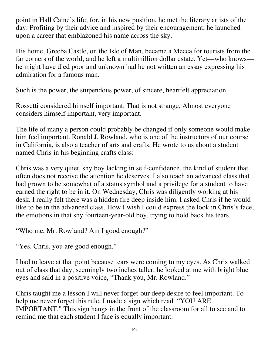point in Hall Caine's life; for, in his new position, he met the literary artists of the day. Profiting by their advice and inspired by their encouragement, he launched upon a career that emblazoned his name across the sky.

His home, Greeba Castle, on the Isle of Man, became a Mecca for tourists from the far corners of the world, and he left a multimillion dollar estate. Yet—who knows he might have died poor and unknown had he not written an essay expressing his admiration for a famous man.

Such is the power, the stupendous power, of sincere, heartfelt appreciation.

Rossetti considered himself important. That is not strange, Almost everyone considers himself important, very important.

The life of many a person could probably be changed if only someone would make him feel important. Ronald J. Rowland, who is one of the instructors of our course in California, is also a teacher of arts and crafts. He wrote to us about a student named Chris in his beginning crafts class:

Chris was a very quiet, shy boy lacking in self-confidence, the kind of student that often does not receive the attention he deserves. I also teach an advanced class that had grown to be somewhat of a status symbol and a privilege for a student to have earned the right to be in it. On Wednesday, Chris was diligently working at his desk. I really felt there was a hidden fire deep inside him. I asked Chris if he would like to be in the advanced class. How I wish I could express the look in Chris's face, the emotions in that shy fourteen-year-old boy, trying to hold back his tears.

"Who me, Mr. Rowland? Am I good enough?"

"Yes, Chris, you are good enough."

I had to leave at that point because tears were coming to my eyes. As Chris walked out of class that day, seemingly two inches taller, he looked at me with bright blue eyes and said in a positive voice, "Thank you, Mr. Rowland."

Chris taught me a lesson I will never forget-our deep desire to feel important. To help me never forget this rule, I made a sign which read "YOU ARE IMPORTANT." This sign hangs in the front of the classroom for all to see and to remind me that each student I face is equally important.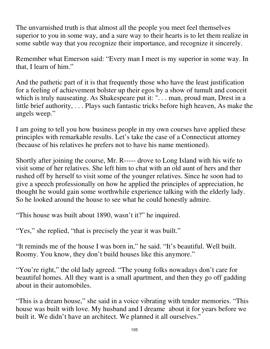The unvarnished truth is that almost all the people you meet feel themselves superior to you in some way, and a sure way to their hearts is to let them realize in some subtle way that you recognize their importance, and recognize it sincerely.

Remember what Emerson said: "Every man I meet is my superior in some way. In that, I learn of him."

And the pathetic part of it is that frequently those who have the least justification for a feeling of achievement bolster up their egos by a show of tumult and conceit which is truly nauseating. As Shakespeare put it: ". . . man, proud man, Drest in a little brief authority, . . . Plays such fantastic tricks before high heaven, As make the angels weep."

I am going to tell you how business people in my own courses have applied these principles with remarkable results. Let's take the case of a Connecticut attorney (because of his relatives he prefers not to have his name mentioned).

Shortly after joining the course, Mr. R----- drove to Long Island with his wife to visit some of her relatives. She left him to chat with an old aunt of hers and ther rushed off by herself to visit some of the younger relatives. Since he soon had to give a speech professionally on how he applied the principles of appreciation, he thought he would gain some worthwhile experience talking with the elderly lady. So he looked around the house to see what he could honestly admire.

"This house was built about 1890, wasn't it?" he inquired.

"Yes," she replied, "that is precisely the year it was built."

"It reminds me of the house I was born in," he said. "It's beautiful. Well built. Roomy. You know, they don't build houses like this anymore."

"You're right," the old lady agreed. "The young folks nowadays don't care for beautiful homes. All they want is a small apartment, and then they go off gadding about in their automobiles.

"This is a dream house," she said in a voice vibrating with tender memories. "This house was built with love. My husband and I dreame about it for years before we built it. We didn't have an architect. We planned it all ourselves."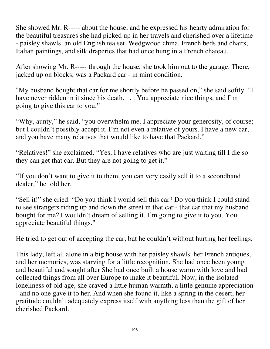She showed Mr. R----- about the house, and he expressed his hearty admiration for the beautiful treasures she had picked up in her travels and cherished over a lifetime - paisley shawls, an old English tea set, Wedgwood china, French beds and chairs, Italian paintings, and silk draperies that had once hung in a French chateau.

After showing Mr. R----- through the house, she took him out to the garage. There, jacked up on blocks, was a Packard car - in mint condition.

"My husband bought that car for me shortly before he passed on," she said softly. "I have never ridden in it since his death. . . . You appreciate nice things, and I'm going to give this car to you."

"Why, aunty," he said, "you overwhelm me. I appreciate your generosity, of course; but I couldn't possibly accept it. I'm not even a relative of yours. I have a new car, and you have many relatives that would like to have that Packard."

"Relatives!" she exclaimed. "Yes, I have relatives who are just waiting till I die so they can get that car. But they are not going to get it."

"If you don't want to give it to them, you can very easily sell it to a secondhand dealer," he told her.

"Sell it!" she cried. "Do you think I would sell this car? Do you think I could stand to see strangers riding up and down the street in that car - that car that my husband bought for me? I wouldn't dream of selling it. I'm going to give it to you. You appreciate beautiful things."

He tried to get out of accepting the car, but he couldn't without hurting her feelings.

This lady, left all alone in a big house with her paisley shawls, her French antiques, and her memories, was starving for a little recognition, She had once been young and beautiful and sought after She had once built a house warm with love and had collected things from all over Europe to make it beautiful. Now, in the isolated loneliness of old age, she craved a little human warmth, a little genuine appreciation - and no one gave it to her. And when she found it, like a spring in the desert, her gratitude couldn't adequately express itself with anything less than the gift of her cherished Packard.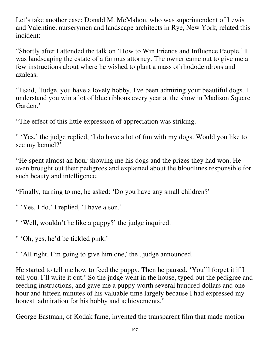Let's take another case: Donald M. McMahon, who was superintendent of Lewis and Valentine, nurserymen and landscape architects in Rye, New York, related this incident:

"Shortly after I attended the talk on 'How to Win Friends and Influence People,' I was landscaping the estate of a famous attorney. The owner came out to give me a few instructions about where he wished to plant a mass of rhododendrons and azaleas.

"I said, 'Judge, you have a lovely hobby. I've been admiring your beautiful dogs. I understand you win a lot of blue ribbons every year at the show in Madison Square Garden.'

"The effect of this little expression of appreciation was striking.

" 'Yes,' the judge replied, 'I do have a lot of fun with my dogs. Would you like to see my kennel?'

"He spent almost an hour showing me his dogs and the prizes they had won. He even brought out their pedigrees and explained about the bloodlines responsible for such beauty and intelligence.

"Finally, turning to me, he asked: 'Do you have any small children?'

" 'Yes, I do,' I replied, 'I have a son.'

" 'Well, wouldn't he like a puppy?' the judge inquired.

" 'Oh, yes, he'd be tickled pink.'

" 'All right, I'm going to give him one,' the . judge announced.

He started to tell me how to feed the puppy. Then he paused. 'You'll forget it if I tell you. I'll write it out.' So the judge went in the house, typed out the pedigree and feeding instructions, and gave me a puppy worth several hundred dollars and one hour and fifteen minutes of his valuable time largely because I had expressed my honest admiration for his hobby and achievements."

George Eastman, of Kodak fame, invented the transparent film that made motion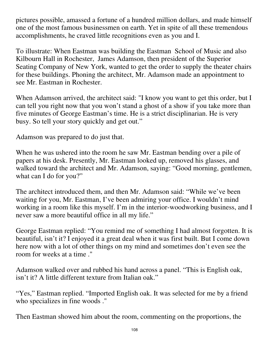pictures possible, amassed a fortune of a hundred million dollars, and made himself one of the most famous businessmen on earth. Yet in spite of all these tremendous accomplishments, he craved little recognitions even as you and I.

To illustrate: When Eastman was building the Eastman School of Music and also Kilbourn Hall in Rochester, James Adamson, then president of the Superior Seating Company of New York, wanted to get the order to supply the theater chairs for these buildings. Phoning the architect, Mr. Adamson made an appointment to see Mr. Eastman in Rochester.

When Adamson arrived, the architect said: "I know you want to get this order, but I can tell you right now that you won't stand a ghost of a show if you take more than five minutes of George Eastman's time. He is a strict disciplinarian. He is very busy. So tell your story quickly and get out."

Adamson was prepared to do just that.

When he was ushered into the room he saw Mr. Eastman bending over a pile of papers at his desk. Presently, Mr. Eastman looked up, removed his glasses, and walked toward the architect and Mr. Adamson, saying: "Good morning, gentlemen, what can I do for you?"

The architect introduced them, and then Mr. Adamson said: "While we've been waiting for you, Mr. Eastman, I've been admiring your office. I wouldn't mind working in a room like this myself. I'm in the interior-woodworking business, and I never saw a more beautiful office in all my life."

George Eastman replied: "You remind me of something I had almost forgotten. It is beautiful, isn't it? I enjoyed it a great deal when it was first built. But I come down here now with a lot of other things on my mind and sometimes don't even see the room for weeks at a time ."

Adamson walked over and rubbed his hand across a panel. "This is English oak, isn't it? A little different texture from Italian oak."

"Yes," Eastman replied. "Imported English oak. It was selected for me by a friend who specializes in fine woods ."

Then Eastman showed him about the room, commenting on the proportions, the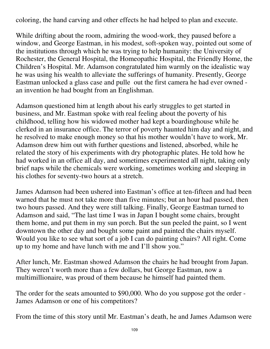coloring, the hand carving and other effects he had helped to plan and execute.

While drifting about the room, admiring the wood-work, they paused before a window, and George Eastman, in his modest, soft-spoken way, pointed out some of the institutions through which he was trying to help humanity: the University of Rochester, the General Hospital, the Homeopathic Hospital, the Friendly Home, the Children's Hospital. Mr. Adamson congratulated him warmly on the idealistic way he was using his wealth to alleviate the sufferings of humanity. Presently, George Eastman unlocked a glass case and pulle out the first camera he had ever owned an invention he had bought from an Englishman.

Adamson questioned him at length about his early struggles to get started in business, and Mr. Eastman spoke with real feeling about the poverty of his childhood, telling how his widowed mother had kept a boardinghouse while he clerked in an insurance office. The terror of poverty haunted him day and night, and he resolved to make enough money so that his mother wouldn't have to work, Mr. Adamson drew him out with further questions and listened, absorbed, while he related the story of his experiments with dry photographic plates. He told how he had worked in an office all day, and sometimes experimented all night, taking only brief naps while the chemicals were working, sometimes working and sleeping in his clothes for seventy-two hours at a stretch.

James Adamson had been ushered into Eastman's office at ten-fifteen and had been warned that he must not take more than five minutes; but an hour had passed, then two hours passed. And they were still talking. Finally, George Eastman turned to Adamson and said, "The last time I was in Japan I bought some chairs, brought them home, and put them in my sun porch. But the sun peeled the paint, so I went downtown the other day and bought some paint and painted the chairs myself. Would you like to see what sort of a job I can do painting chairs? All right. Come up to my home and have lunch with me and I'll show you."

After lunch, Mr. Eastman showed Adamson the chairs he had brought from Japan. They weren't worth more than a few dollars, but George Eastman, now a multimillionaire, was proud of them because he himself had painted them.

The order for the seats amounted to \$90,000. Who do you suppose got the order - James Adamson or one of his competitors?

From the time of this story until Mr. Eastman's death, he and James Adamson were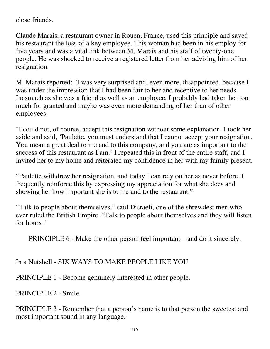close friends.

Claude Marais, a restaurant owner in Rouen, France, used this principle and saved his restaurant the loss of a key employee. This woman had been in his employ for five years and was a vital link between M. Marais and his staff of twenty-one people. He was shocked to receive a registered letter from her advising him of her resignation.

M. Marais reported: "I was very surprised and, even more, disappointed, because I was under the impression that I had been fair to her and receptive to her needs. Inasmuch as she was a friend as well as an employee, I probably had taken her too much for granted and maybe was even more demanding of her than of other employees.

"I could not, of course, accept this resignation without some explanation. I took her aside and said, 'Paulette, you must understand that I cannot accept your resignation. You mean a great deal to me and to this company, and you are as important to the success of this restaurant as I am.' I repeated this in front of the entire staff, and I invited her to my home and reiterated my confidence in her with my family present.

"Paulette withdrew her resignation, and today I can rely on her as never before. I frequently reinforce this by expressing my appreciation for what she does and showing her how important she is to me and to the restaurant."

"Talk to people about themselves," said Disraeli, one of the shrewdest men who ever ruled the British Empire. "Talk to people about themselves and they will listen for hours ."

PRINCIPLE 6 - Make the other person feel important—and do it sincerely.

In a Nutshell - SIX WAYS TO MAKE PEOPLE LIKE YOU

PRINCIPLE 1 - Become genuinely interested in other people.

PRINCIPLE 2 - Smile.

PRINCIPLE 3 - Remember that a person's name is to that person the sweetest and most important sound in any language.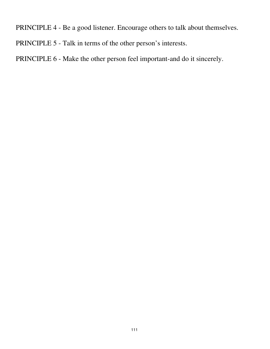PRINCIPLE 4 - Be a good listener. Encourage others to talk about themselves.

PRINCIPLE 5 - Talk in terms of the other person's interests.

PRINCIPLE 6 - Make the other person feel important-and do it sincerely.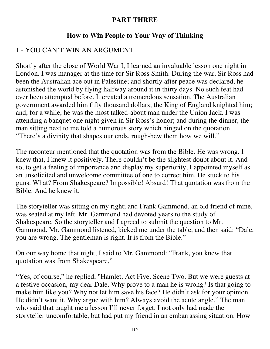#### **PART THREE**

## **How to Win People to Your Way of Thinking**

# 1 - YOU CAN'T WIN AN ARGUMENT

Shortly after the close of World War I, I learned an invaluable lesson one night in London. I was manager at the time for Sir Ross Smith. During the war, Sir Ross had been the Australian ace out in Palestine; and shortly after peace was declared, he astonished the world by flying halfway around it in thirty days. No such feat had ever been attempted before. It created a tremendous sensation. The Australian government awarded him fifty thousand dollars; the King of England knighted him; and, for a while, he was the most talked-about man under the Union Jack. I was attending a banquet one night given in Sir Ross's honor; and during the dinner, the man sitting next to me told a humorous story which hinged on the quotation "There's a divinity that shapes our ends, rough-hew them how we will."

The raconteur mentioned that the quotation was from the Bible. He was wrong. I knew that, I knew it positively. There couldn't be the slightest doubt about it. And so, to get a feeling of importance and display my superiority, I appointed myself as an unsolicited and unwelcome committee of one to correct him. He stuck to his guns. What? From Shakespeare? Impossible! Absurd! That quotation was from the Bible. And he knew it.

The storyteller was sitting on my right; and Frank Gammond, an old friend of mine, was seated at my left. Mr. Gammond had devoted years to the study of Shakespeare, So the storyteller and I agreed to submit the question to Mr. Gammond. Mr. Gammond listened, kicked me under the table, and then said: "Dale, you are wrong. The gentleman is right. It is from the Bible."

On our way home that night, I said to Mr. Gammond: "Frank, you knew that quotation was from Shakespeare,"

"Yes, of course," he replied, "Hamlet, Act Five, Scene Two. But we were guests at a festive occasion, my dear Dale. Why prove to a man he is wrong? Is that going to make him like you? Why not let him save his face? He didn't ask for your opinion. He didn't want it. Why argue with him? Always avoid the acute angle." The man who said that taught me a lesson I'll never forget. I not only had made the storyteller uncomfortable, but had put my friend in an embarrassing situation. How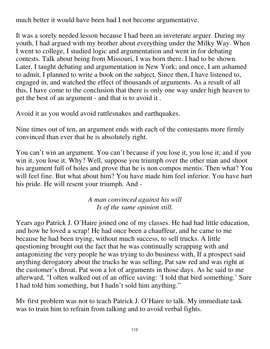much better it would have been had I not become argumentative.

It was a sorely needed lesson because I had been an inveterate arguer. During my youth, I had argued with my brother about everything under the Milky Way. When I went to college, I studied logic and argumentation and went in for debating contests. Talk about being from Missouri, I was born there. I had to be shown. Later, I taught debating and argumentation in New York; and once, I am ashamed to admit, I planned to write a book on the subject. Since then, I have listened to, engaged in, and watched the effect of thousands of arguments. As a result of all this, I have come to the conclusion that there is only one way under high heaven to get the best of an argument - and that is to avoid it .

Avoid it as you would avoid rattlesnakes and earthquakes.

Nine times out of ten, an argument ends with each of the contestants more firmly convinced than ever that he is absolutely right.

You can't win an argument. You can't because if you lose it, you lose it; and if you win it, you lose it. Why? Well, suppose you triumph over the other man and shoot his argument full of holes and prove that he is non compos mentis. Then what? You will feel fine. But what about him? You have made him feel inferior. You have hurt his pride. He will resent your triumph. And -

> *A man convinced against his will Is of the same opinion still.*

Years ago Patrick J. O'Haire joined one of my classes. He had had little education, and how he loved a scrap! He had once been a chauffeur, and he came to me because he had been trying, without much success, to sell trucks. A little questioning brought out the fact that he was continually scrapping with and antagonizing the very people he was trying to do business with, If a prospect said anything derogatory about the trucks he was selling, Pat saw red and was right at the customer's throat. Pat won a lot of arguments in those days. As he said to me afterward, "I often walked out of an office saving: 'I told that bird something.' Sure I had told him something, but I hadn't sold him anything."

Mv first problem was not to teach Patrick J. O'Haire to talk. My immediate task was to train him to refrain from talking and to avoid verbal fights.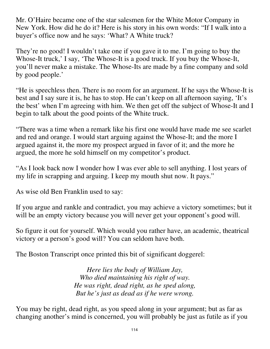Mr. O'Haire became one of the star salesmen for the White Motor Company in New York. How did he do it? Here is his story in his own words: "If I walk into a buyer's office now and he says: 'What? A White truck?

They're no good! I wouldn't take one if you gave it to me. I'm going to buy the Whose-It truck,' I say, 'The Whose-It is a good truck. If you buy the Whose-It, you'll never make a mistake. The Whose-Its are made by a fine company and sold by good people.'

"He is speechless then. There is no room for an argument. If he says the Whose-It is best and I say sure it is, he has to stop. He can't keep on all afternoon saying, 'It's the best' when I'm agreeing with him. We then get off the subject of Whose-It and I begin to talk about the good points of the White truck.

"There was a time when a remark like his first one would have made me see scarlet and red and orange. I would start arguing against the Whose-It; and the more I argued against it, the more my prospect argued in favor of it; and the more he argued, the more he sold himself on my competitor's product.

"As I look back now I wonder how I was ever able to sell anything. I lost years of my life in scrapping and arguing. I keep my mouth shut now. It pays."

As wise old Ben Franklin used to say:

If you argue and rankle and contradict, you may achieve a victory sometimes; but it will be an empty victory because you will never get your opponent's good will.

So figure it out for yourself. Which would you rather have, an academic, theatrical victory or a person's good will? You can seldom have both.

The Boston Transcript once printed this bit of significant doggerel:

*Here lies the body of William Jay, Who died maintaining his right of way. He was right, dead right, as he sped along, But he's just as dead as if he were wrong.*

You may be right, dead right, as you speed along in your argument; but as far as changing another's mind is concerned, you will probably be just as futile as if you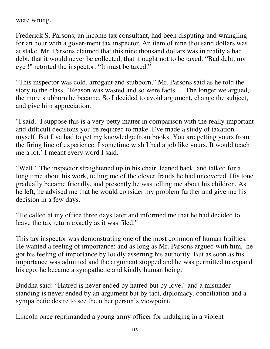were wrong.

Frederick S. Parsons, an income tax consultant, had been disputing and wrangling for an hour with a gover-ment tax inspector. An item of nine thousand dollars was at stake. Mr. Parsons claimed that this nine thousand dollars was in reality a bad debt, that it would never be collected, that it ought not to be taxed. "Bad debt, my eye !" retorted the inspector. "It must be taxed."

"This inspector was cold, arrogant and stubborn," Mr. Parsons said as he told the story to the class. "Reason was wasted and so were facts. . . The longer we argued, the more stubborn he became. So I decided to avoid argument, change the subject, and give him appreciation.

"I said, 'I suppose this is a very petty matter in comparison with the really important and difficult decisions you're required to make. I've made a study of taxation myself. But I've had to get my knowledge from books. You are getting yours from the firing line of experience. I sometime wish I had a job like yours. It would teach me a lot.' I meant every word I said.

"Well." The inspector straightened up in his chair, leaned back, and talked for a long time about his work, telling me of the clever frauds he had uncovered. His tone gradually became friendly, and presently he was telling me about his children. As he left, he advised me that he would consider my problem further and give me his decision in a few days.

"He called at my office three days later and informed me that he had decided to leave the tax return exactly as it was filed."

This tax inspector was demonstrating one of the most common of human frailties. He wanted a feeling of importance; and as long as Mr. Parsons argued with him, he got his feeling of importance by loudly asserting his authority. But as soon as his importance was admitted and the argument stopped and he was permitted to expand his ego, he became a sympathetic and kindly human being.

Buddha said: "Hatred is never ended by hatred but by love," and a misunderstanding is never ended by an argument but by tact, diplomacy, conciliation and a sympathetic desire to see the other person's viewpoint.

Lincoln once reprimanded a young army officer for indulging in a violent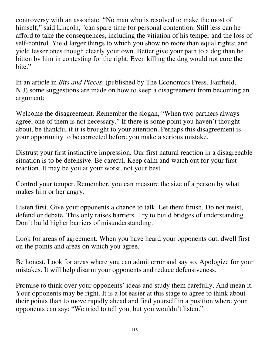controversy with an associate. "No man who is resolved to make the most of himself," said Lincoln, "can spare time for personal contention. Still less can he afford to take the consequences, including the vitiation of his temper and the loss of self-control. Yield larger things to which you show no more than equal rights; and yield lesser ones though clearly your own. Better give your path to a dog than be bitten by him in contesting for the right. Even killing the dog would not cure the bite."

In an article in *Bits and Pieces*, (published by The Economics Press, Fairfield, N.J).some suggestions are made on how to keep a disagreement from becoming an argument:

Welcome the disagreement. Remember the slogan, "When two partners always agree, one of them is not necessary." If there is some point you haven't thought about, be thankful if it is brought to your attention. Perhaps this disagreement is your opportunity to be corrected before you make a serious mistake.

Distrust your first instinctive impression. Our first natural reaction in a disagreeable situation is to be defensive. Be careful. Keep calm and watch out for your first reaction. It may be you at your worst, not your best.

Control your temper. Remember, you can measure the size of a person by what makes him or her angry.

Listen first. Give your opponents a chance to talk. Let them finish. Do not resist, defend or debate. This only raises barriers. Try to build bridges of understanding. Don't build higher barriers of misunderstanding.

Look for areas of agreement. When you have heard your opponents out, dwell first on the points and areas on which you agree.

Be honest, Look for areas where you can admit error and say so. Apologize for your mistakes. It will help disarm your opponents and reduce defensiveness.

Promise to think over your opponents' ideas and study them carefully. And mean it. Your opponents may be right. It is a lot easier at this stage to agree to think about their points than to move rapidly ahead and find yourself in a position where your opponents can say: "We tried to tell you, but you wouldn't listen."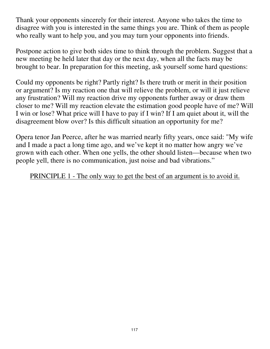Thank your opponents sincerely for their interest. Anyone who takes the time to disagree with you is interested in the same things you are. Think of them as people who really want to help you, and you may turn your opponents into friends.

Postpone action to give both sides time to think through the problem. Suggest that a new meeting be held later that day or the next day, when all the facts may be brought to bear. In preparation for this meeting, ask yourself some hard questions:

Could my opponents be right? Partly right? Is there truth or merit in their position or argument? Is my reaction one that will relieve the problem, or will it just relieve any frustration? Will my reaction drive my opponents further away or draw them closer to me? Will my reaction elevate the estimation good people have of me? Will I win or lose? What price will I have to pay if I win? If I am quiet about it, will the disagreement blow over? Is this difficult situation an opportunity for me?

Opera tenor Jan Peerce, after he was married nearly fifty years, once said: "My wife and I made a pact a long time ago, and we've kept it no matter how angry we've grown with each other. When one yells, the other should listen—because when two people yell, there is no communication, just noise and bad vibrations."

#### PRINCIPLE 1 - The only way to get the best of an argument is to avoid it.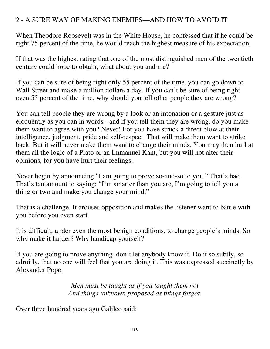## 2 - A SURE WAY OF MAKING ENEMIES—AND HOW TO AVOID IT

When Theodore Roosevelt was in the White House, he confessed that if he could be right 75 percent of the time, he would reach the highest measure of his expectation.

If that was the highest rating that one of the most distinguished men of the twentieth century could hope to obtain, what about you and me?

If you can be sure of being right only 55 percent of the time, you can go down to Wall Street and make a million dollars a day. If you can't be sure of being right even 55 percent of the time, why should you tell other people they are wrong?

You can tell people they are wrong by a look or an intonation or a gesture just as eloquently as you can in words - and if you tell them they are wrong, do you make them want to agree with you? Never! For you have struck a direct blow at their intelligence, judgment, pride and self-respect. That will make them want to strike back. But it will never make them want to change their minds. You may then hurl at them all the logic of a Plato or an Immanuel Kant, but you will not alter their opinions, for you have hurt their feelings.

Never begin by announcing "I am going to prove so-and-so to you." That's bad. That's tantamount to saying: "I'm smarter than you are, I'm going to tell you a thing or two and make you change your mind."

That is a challenge. It arouses opposition and makes the listener want to battle with you before you even start.

It is difficult, under even the most benign conditions, to change people's minds. So why make it harder? Why handicap yourself?

If you are going to prove anything, don't let anybody know it. Do it so subtly, so adroitly, that no one will feel that you are doing it. This was expressed succinctly by Alexander Pope:

> *Men must be taught as if you taught them not And things unknown proposed as things forgot.*

Over three hundred years ago Galileo said: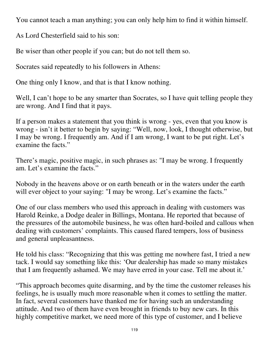You cannot teach a man anything; you can only help him to find it within himself.

As Lord Chesterfield said to his son:

Be wiser than other people if you can; but do not tell them so.

Socrates said repeatedly to his followers in Athens:

One thing only I know, and that is that I know nothing.

Well, I can't hope to be any smarter than Socrates, so I have quit telling people they are wrong. And I find that it pays.

If a person makes a statement that you think is wrong - yes, even that you know is wrong - isn't it better to begin by saying: "Well, now, look, I thought otherwise, but I may be wrong. I frequently am. And if I am wrong, I want to be put right. Let's examine the facts."

There's magic, positive magic, in such phrases as: "I may be wrong. I frequently am. Let's examine the facts."

Nobody in the heavens above or on earth beneath or in the waters under the earth will ever object to your saying: "I may be wrong. Let's examine the facts."

One of our class members who used this approach in dealing with customers was Harold Reinke, a Dodge dealer in Billings, Montana. He reported that because of the pressures of the automobile business, he was often hard-boiled and callous when dealing with customers' complaints. This caused flared tempers, loss of business and general unpleasantness.

He told his class: "Recognizing that this was getting me nowhere fast, I tried a new tack. I would say something like this: 'Our dealership has made so many mistakes that I am frequently ashamed. We may have erred in your case. Tell me about it.'

"This approach becomes quite disarming, and by the time the customer releases his feelings, he is usually much more reasonable when it comes to settling the matter. In fact, several customers have thanked me for having such an understanding attitude. And two of them have even brought in friends to buy new cars. In this highly competitive market, we need more of this type of customer, and I believe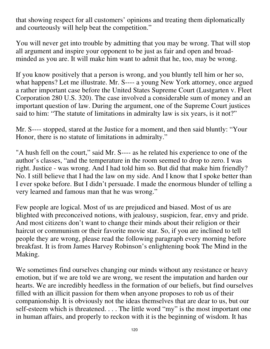that showing respect for all customers' opinions and treating them diplomatically and courteously will help beat the competition."

You will never get into trouble by admitting that you may be wrong. That will stop all argument and inspire your opponent to be just as fair and open and broadminded as you are. It will make him want to admit that he, too, may be wrong.

If you know positively that a person is wrong, and you bluntly tell him or her so, what happens? Let me illustrate. Mr. S---- a young New York attorney, once argued a rather important case before the United States Supreme Court (Lustgarten v. Fleet Corporation 280 U.S. 320). The case involved a considerable sum of money and an important question of law. During the argument, one of the Supreme Court justices said to him: "The statute of limitations in admiralty law is six years, is it not?"

Mr. S---- stopped, stared at the Justice for a moment, and then said bluntly: "Your Honor, there is no statute of limitations in admiralty."

"A hush fell on the court," said Mr. S---- as he related his experience to one of the author's classes, "and the temperature in the room seemed to drop to zero. I was right. Justice - was wrong. And I had told him so. But did that make him friendly? No. I still believe that I had the law on my side. And I know that I spoke better than I ever spoke before. But I didn't persuade. I made the enormous blunder of telling a very learned and famous man that he was wrong."

Few people are logical. Most of us are prejudiced and biased. Most of us are blighted with preconceived notions, with jealousy, suspicion, fear, envy and pride. And most citizens don't want to change their minds about their religion or their haircut or communism or their favorite movie star. So, if you are inclined to tell people they are wrong, please read the following paragraph every morning before breakfast. It is from James Harvey Robinson's enlightening book The Mind in the Making.

We sometimes find ourselves changing our minds without any resistance or heavy emotion, but if we are told we are wrong, we resent the imputation and harden our hearts. We are incredibly heedless in the formation of our beliefs, but find ourselves filled with an illicit passion for them when anyone proposes to rob us of their companionship. It is obviously not the ideas themselves that are dear to us, but our self-esteem which is threatened. . . . The little word "my" is the most important one in human affairs, and properly to reckon with it is the beginning of wisdom. It has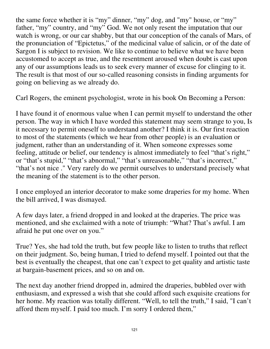the same force whether it is "my" dinner, "my" dog, and "my" house, or "my" father, "my" country, and "my" God. We not only resent the imputation that our watch is wrong, or our car shabby, but that our conception of the canals of Mars, of the pronunciation of "Epictetus," of the medicinal value of salicin, or of the date of Sargon I is subject to revision. We like to continue to believe what we have been accustomed to accept as true, and the resentment aroused when doubt is cast upon any of our assumptions leads us to seek every manner of excuse for clinging to it. The result is that most of our so-called reasoning consists in finding arguments for going on believing as we already do.

Carl Rogers, the eminent psychologist, wrote in his book On Becoming a Person:

I have found it of enormous value when I can permit myself to understand the other person. The way in which I have worded this statement may seem strange to you, Is it necessary to permit oneself to understand another? I think it is. Our first reaction to most of the statements (which we hear from other people) is an evaluation or judgment, rather than an understanding of it. When someone expresses some feeling, attitude or belief, our tendency is almost immediately to feel "that's right," or "that's stupid," "that's abnormal," "that's unreasonable," "that's incorrect," "that's not nice ." Very rarely do we permit ourselves to understand precisely what the meaning of the statement is to the other person.

I once employed an interior decorator to make some draperies for my home. When the bill arrived, I was dismayed.

A few days later, a friend dropped in and looked at the draperies. The price was mentioned, and she exclaimed with a note of triumph: "What? That's awful. I am afraid he put one over on you."

True? Yes, she had told the truth, but few people like to listen to truths that reflect on their judgment. So, being human, I tried to defend myself. I pointed out that the best is eventually the cheapest, that one can't expect to get quality and artistic taste at bargain-basement prices, and so on and on.

The next day another friend dropped in, admired the draperies, bubbled over with enthusiasm, and expressed a wish that she could afford such exquisite creations for her home. My reaction was totally different. "Well, to tell the truth," I said, "I can't afford them myself. I paid too much. I'm sorry I ordered them,"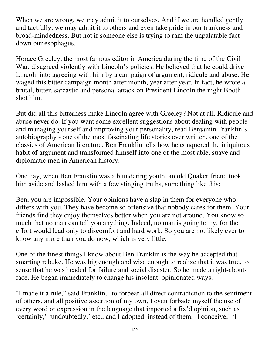When we are wrong, we may admit it to ourselves. And if we are handled gently and tactfully, we may admit it to others and even take pride in our frankness and broad-mindedness. But not if someone else is trying to ram the unpalatable fact down our esophagus.

Horace Greeley, the most famous editor in America during the time of the Civil War, disagreed violently with Lincoln's policies. He believed that he could drive Lincoln into agreeing with him by a campaign of argument, ridicule and abuse. He waged this bitter campaign month after month, year after year. In fact, he wrote a brutal, bitter, sarcastic and personal attack on President Lincoln the night Booth shot him.

But did all this bitterness make Lincoln agree with Greeley? Not at all. Ridicule and abuse never do. If you want some excellent suggestions about dealing with people and managing yourself and improving your personality, read Benjamin Franklin's autobiography - one of the most fascinating life stories ever written, one of the classics of American literature. Ben Franklin tells how he conquered the iniquitous habit of argument and transformed himself into one of the most able, suave and diplomatic men in American history.

One day, when Ben Franklin was a blundering youth, an old Quaker friend took him aside and lashed him with a few stinging truths, something like this:

Ben, you are impossible. Your opinions have a slap in them for everyone who differs with you. They have become so offensive that nobody cares for them. Your friends find they enjoy themselves better when you are not around. You know so much that no man can tell you anything. Indeed, no man is going to try, for the effort would lead only to discomfort and hard work. So you are not likely ever to know any more than you do now, which is very little.

One of the finest things I know about Ben Franklin is the way he accepted that smarting rebuke. He was big enough and wise enough to realize that it was true, to sense that he was headed for failure and social disaster. So he made a right-aboutface. He began immediately to change his insolent, opinionated ways.

"I made it a rule," said Franklin, "to forbear all direct contradiction to the sentiment of others, and all positive assertion of my own, I even forbade myself the use of every word or expression in the language that imported a fix'd opinion, such as 'certainly,' 'undoubtedly,' etc., and I adopted, instead of them, 'I conceive,' 'I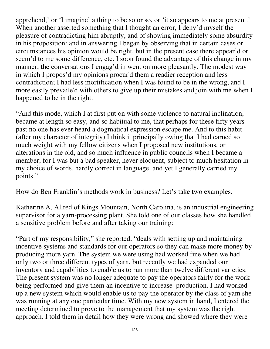apprehend,' or 'I imagine' a thing to be so or so, or 'it so appears to me at present.' When another asserted something that I thought an error, I deny'd myself the pleasure of contradicting him abruptly, and of showing immediately some absurdity in his proposition: and in answering I began by observing that in certain cases or circumstances his opinion would be right, but in the present case there appear'd or seem'd to me some difference, etc. I soon found the advantage of this change in my manner; the conversations I engag'd in went on more pleasantly. The modest way in which I propos'd my opinions procur'd them a readier reception and less contradiction; I had less mortification when I was found to be in the wrong, and I more easily prevaile'd with others to give up their mistakes and join with me when I happened to be in the right.

"And this mode, which I at first put on with some violence to natural inclination, became at length so easy, and so habitual to me, that perhaps for these fifty years past no one has ever heard a dogmatical expression escape me. And to this habit (after my character of integrity) I think it principally owing that I had earned so much weight with my fellow citizens when I proposed new institutions, or alterations in the old, and so much influence in public councils when I became a member; for I was but a bad speaker, never eloquent, subject to much hesitation in my choice of words, hardly correct in language, and yet I generally carried my points."

How do Ben Franklin's methods work in business? Let's take two examples.

Katherine A, Allred of Kings Mountain, North Carolina, is an industrial engineering supervisor for a yarn-processing plant. She told one of our classes how she handled a sensitive problem before and after taking our training:

"Part of my responsibility," she reported, "deals with setting up and maintaining incentive systems and standards for our operators so they can make more money by producing more yarn. The system we were using had worked fine when we had only two or three different types of yarn, but recently we had expanded our inventory and capabilities to enable us to run more than twelve different varieties. The present system was no longer adequate to pay the operators fairly for the work being performed and give them an incentive to increase production. I had worked up a new system which would enable us to pay the operator by the class of yam she was running at any one particular time. With my new system in hand, I entered the meeting determined to prove to the management that my system was the right approach. I told them in detail how they were wrong and showed where they were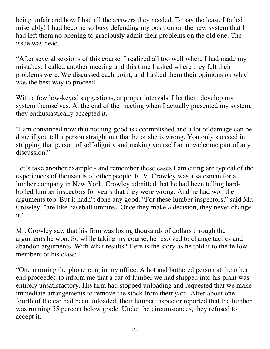being unfair and how I had all the answers they needed. To say the least, I failed miserably! I had become so busy defending my position on the new system that I had left them no opening to graciously admit their problems on the old one. The issue was dead.

"After several sessions of this course, I realized all too well where I had made my mistakes. I called another meeting and this time I asked where they felt their problems were. We discussed each point, and I asked them their opinions on which was the best way to proceed.

With a few low-keyed suggestions, at proper intervals, I let them develop my system themselves. At the end of the meeting when I actually presented my system, they enthusiastically accepted it.

"I am convinced now that nothing good is accomplished and a lot of damage can be done if you tell a person straight out that he or she is wrong. You only succeed in stripping that person of self-dignity and making yourself an unwelcome part of any discussion."

Let's take another example - and remember these cases I am citing are typical of the experiences of thousands of other people. R. V. Crowley was a salesman for a lumber company in New York. Crowley admitted that he had been telling hardboiled lumber inspectors for years that they were wrong. And he had won the arguments too. But it hadn't done any good. "For these lumber inspectors," said Mr. Crowley, "are like baseball umpires. Once they make a decision, they never change it,"

Mr. Crowley saw that his firm was losing thousands of dollars through the arguments he won. So while taking my course, he resolved to change tactics and abandon arguments. With what results? Here is the story as he told it to the fellow members of his class:

"One morning the phone rang in my office. A hot and bothered person at the other end proceeded to inform me that a car of lumber we had shipped into his plant was entirely unsatisfactory. His firm had stopped unloading and requested that we make immediate arrangements to remove the stock from their yard. After about onefourth of the car had been unloaded, their lumber inspector reported that the lumber was running 55 percent below grade. Under the circumstances, they refused to accept it.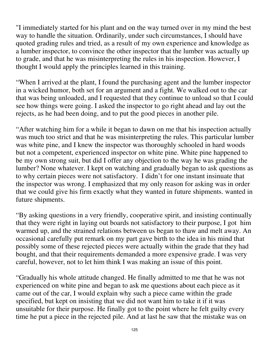"I immediately started for his plant and on the way turned over in my mind the best way to handle the situation. Ordinarily, under such circumstances, I should have quoted grading rules and tried, as a result of my own experience and knowledge as a lumber inspector, to convince the other inspector that the lumber was actually up to grade, and that he was misinterpreting the rules in his inspection. However, I thought I would apply the principles learned in this training.

"When I arrived at the plant, I found the purchasing agent and the lumber inspector in a wicked humor, both set for an argument and a fight. We walked out to the car that was being unloaded, and I requested that they continue to unload so that I could see how things were going. I asked the inspector to go right ahead and lay out the rejects, as he had been doing, and to put the good pieces in another pile.

"After watching him for a while it began to dawn on me that his inspection actually was much too strict and that he was misinterpreting the rules. This particular lumber was white pine, and I knew the inspector was thoroughly schooled in hard woods but not a competent, experienced inspector on white pine. White pine happened to be my own strong suit, but did I offer any objection to the way he was grading the lumber? None whatever. I kept on watching and gradually began to ask questions as to why certain pieces were not satisfactory. I didn't for one instant insinuate that the inspector was wrong. I emphasized that my only reason for asking was in order that we could give his firm exactly what they wanted in future shipments. wanted in future shipments.

"By asking questions in a very friendly, cooperative spirit, and insisting continually that they were right in laying out boards not satisfactory to their purpose, I got him warmed up, and the strained relations between us began to thaw and melt away. An occasional carefully put remark on my part gave birth to the idea in his mind that possibly some of these rejected pieces were actually within the grade that they had bought, and that their requirements demanded a more expensive grade. I was very careful, however, not to let him think I was making an issue of this point.

"Gradually his whole attitude changed. He finally admitted to me that he was not experienced on white pine and began to ask me questions about each piece as it came out of the car, I would explain why such a piece came within the grade specified, but kept on insisting that we did not want him to take it if it was unsuitable for their purpose. He finally got to the point where he felt guilty every time he put a piece in the rejected pile. And at last he saw that the mistake was on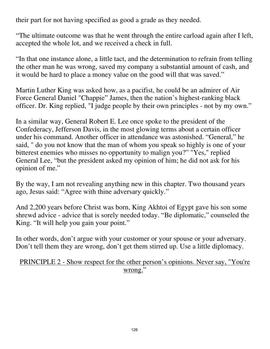their part for not having specified as good a grade as they needed.

"The ultimate outcome was that he went through the entire carload again after I left, accepted the whole lot, and we received a check in full.

"In that one instance alone, a little tact, and the determination to refrain from telling the other man he was wrong, saved my company a substantial amount of cash, and it would be hard to place a money value on the good will that was saved."

Martin Luther King was asked how, as a pacifist, he could be an admirer of Air Force General Daniel "Chappie" James, then the nation's highest-ranking black officer. Dr. King replied, "I judge people by their own principles - not by my own."

In a similar way, General Robert E. Lee once spoke to the president of the Confederacy, Jefferson Davis, in the most glowing terms about a certain officer under his command. Another officer in attendance was astonished. "General," he said, " do you not know that the man of whom you speak so highly is one of your bitterest enemies who misses no opportunity to malign you?" "Yes," replied General Lee, "but the president asked my opinion of him; he did not ask for his opinion of me."

By the way, I am not revealing anything new in this chapter. Two thousand years ago, Jesus said: "Agree with thine adversary quickly."

And 2,200 years before Christ was born, King Akhtoi of Egypt gave his son some shrewd advice - advice that is sorely needed today. "Be diplomatic," counseled the King. "It will help you gain your point."

In other words, don't argue with your customer or your spouse or your adversary. Don't tell them they are wrong, don't get them stirred up. Use a little diplomacy.

PRINCIPLE 2 - Show respect for the other person's opinions. Never say, "You're wrong."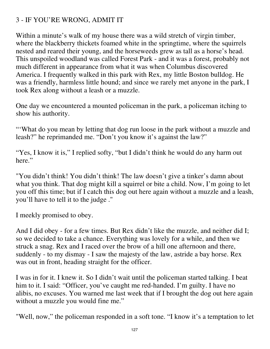# 3 - IF YOU'RE WRONG, ADMIT IT

Within a minute's walk of my house there was a wild stretch of virgin timber, where the blackberry thickets foamed white in the springtime, where the squirrels nested and reared their young, and the horseweeds grew as tall as a horse's head. This unspoiled woodland was called Forest Park - and it was a forest, probably not much different in appearance from what it was when Columbus discovered America. I frequently walked in this park with Rex, my little Boston bulldog. He was a friendly, harmless little hound; and since we rarely met anyone in the park, I took Rex along without a leash or a muzzle.

One day we encountered a mounted policeman in the park, a policeman itching to show his authority.

"'What do you mean by letting that dog run loose in the park without a muzzle and leash?" he reprimanded me. "Don't you know it's against the law?"

"Yes, I know it is," I replied softy, "but I didn't think he would do any harm out here."

"You didn't think! You didn't think! The law doesn't give a tinker's damn about what you think. That dog might kill a squirrel or bite a child. Now, I'm going to let you off this time; but if I catch this dog out here again without a muzzle and a leash, you'll have to tell it to the judge ."

I meekly promised to obey.

And I did obey - for a few times. But Rex didn't like the muzzle, and neither did I; so we decided to take a chance. Everything was lovely for a while, and then we struck a snag. Rex and I raced over the brow of a hill one afternoon and there, suddenly - to my dismay - I saw the majesty of the law, astride a bay horse. Rex was out in front, heading straight for the officer.

I was in for it. I knew it. So I didn't wait until the policeman started talking. I beat him to it. I said: "Officer, you've caught me red-handed. I'm guilty. I have no alibis, no excuses. You warned me last week that if I brought the dog out here again without a muzzle you would fine me."

"Well, now," the policeman responded in a soft tone. "I know it's a temptation to let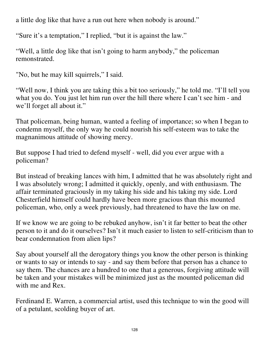a little dog like that have a run out here when nobody is around."

"Sure it's a temptation," I replied, "but it is against the law."

"Well, a little dog like that isn't going to harm anybody," the policeman remonstrated.

"No, but he may kill squirrels," I said.

"Well now, I think you are taking this a bit too seriously," he told me. "I'll tell you what you do. You just let him run over the hill there where I can't see him - and we'll forget all about it."

That policeman, being human, wanted a feeling of importance; so when I began to condemn myself, the only way he could nourish his self-esteem was to take the magnanimous attitude of showing mercy.

But suppose I had tried to defend myself - well, did you ever argue with a policeman?

But instead of breaking lances with him, I admitted that he was absolutely right and I was absolutely wrong; I admitted it quickly, openly, and with enthusiasm. The affair terminated graciously in my taking his side and his taking my side. Lord Chesterfield himself could hardly have been more gracious than this mounted policeman, who, only a week previously, had threatened to have the law on me.

If we know we are going to be rebuked anyhow, isn't it far better to beat the other person to it and do it ourselves? Isn't it much easier to listen to self-criticism than to bear condemnation from alien lips?

Say about yourself all the derogatory things you know the other person is thinking or wants to say or intends to say - and say them before that person has a chance to say them. The chances are a hundred to one that a generous, forgiving attitude will be taken and your mistakes will be minimized just as the mounted policeman did with me and Rex.

Ferdinand E. Warren, a commercial artist, used this technique to win the good will of a petulant, scolding buyer of art.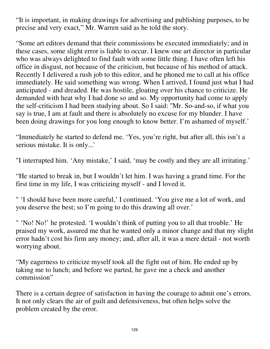"It is important, in making drawings for advertising and publishing purposes, to be precise and very exact," Mr. Warren said as he told the story.

"Some art editors demand that their commissions be executed immediately; and in these cases, some slight error is liable to occur. I knew one art director in particular who was always delighted to find fault with some little thing. I have often left his office in disgust, not because of the criticism, but because of his method of attack. Recently I delivered a rush job to this editor, and he phoned me to call at his office immediately. He said something was wrong. When I arrived, I found just what I had anticipated - and dreaded. He was hostile, gloating over his chance to criticize. He demanded with heat why I had done so and so. My opportunity had come to apply the self-criticism I had been studying about. So I said: ''Mr. So-and-so, if what you say is true, I am at fault and there is absolutely no excuse for my blunder. I have been doing drawings for you long enough to know better. I'm ashamed of myself.'

"Immediately he started to defend me. 'Yes, you're right, but after all, this isn't a serious mistake. It is only...'

"I interrupted him. 'Any mistake,' I said, 'may be costly and they are all irritating.'

"He started to break in, but I wouldn't let him. I was having a grand time. For the first time in my life, I was criticizing myself - and I loved it.

" 'I should have been more careful,' I continued. 'You give me a lot of work, and you deserve the best; so I'm going to do this drawing all over.'

" 'No! No!' he protested. 'I wouldn't think of putting you to all that trouble.' He praised my work, assured me that he wanted only a minor change and that my slight error hadn't cost his firm any money; and, after all, it was a mere detail - not worth worrying about.

"My eagerness to criticize myself took all the fight out of him. He ended up by taking me to lunch; and before we parted, he gave me a check and another commission"

There is a certain degree of satisfaction in having the courage to admit one's errors. It not only clears the air of guilt and defensiveness, but often helps solve the problem created by the error.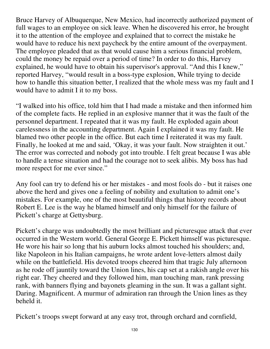Bruce Harvey of Albuquerque, New Mexico, had incorrectly authorized payment of full wages to an employee on sick leave. When he discovered his error, he brought it to the attention of the employee and explained that to correct the mistake he would have to reduce his next paycheck by the entire amount of the overpayment. The employee pleaded that as that would cause him a serious financial problem, could the money be repaid over a period of time? In order to do this, Harvey explained, he would have to obtain his supervisor's approval. "And this I knew," reported Harvey, "would result in a boss-type explosion, While trying to decide how to handle this situation better, I realized that the whole mess was my fault and I would have to admit I it to my boss.

"I walked into his office, told him that I had made a mistake and then informed him of the complete facts. He replied in an explosive manner that it was the fault of the personnel department. I repeated that it was my fault. He exploded again about carelessness in the accounting department. Again I explained it was my fault. He blamed two other people in the office. But each time I reiterated it was my fault. Finally, he looked at me and said, 'Okay, it was your fault. Now straighten it out.' The error was corrected and nobody got into trouble. I felt great because I was able to handle a tense situation and had the courage not to seek alibis. My boss has had more respect for me ever since."

Any fool can try to defend his or her mistakes - and most fools do - but it raises one above the herd and gives one a feeling of nobility and exultation to admit one's mistakes. For example, one of the most beautiful things that history records about Robert E. Lee is the way he blamed himself and only himself for the failure of Pickett's charge at Gettysburg.

Pickett's charge was undoubtedly the most brilliant and picturesque attack that ever occurred in the Western world. General George E. Pickett himself was picturesque. He wore his hair so long that his auburn locks almost touched his shoulders; and, like Napoleon in his Italian campaigns, he wrote ardent love-letters almost daily while on the battlefield. His devoted troops cheered him that tragic July afternoon as he rode off jauntily toward the Union lines, his cap set at a rakish angle over his right ear. They cheered and they followed him, man touching man, rank pressing rank, with banners flying and bayonets gleaming in the sun. It was a gallant sight. Daring. Magnificent. A murmur of admiration ran through the Union lines as they beheld it.

Pickett's troops swept forward at any easy trot, through orchard and cornfield,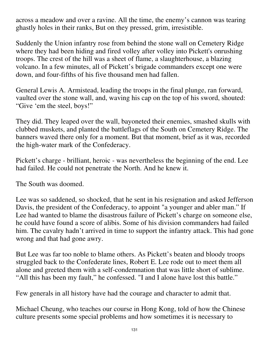across a meadow and over a ravine. All the time, the enemy's cannon was tearing ghastly holes in their ranks, But on they pressed, grim, irresistible.

Suddenly the Union infantry rose from behind the stone wall on Cemetery Ridge where they had been hiding and fired volley after volley into Pickett's onrushing troops. The crest of the hill was a sheet of flame, a slaughterhouse, a blazing volcano. In a few minutes, all of Pickett's brigade commanders except one were down, and four-fifths of his five thousand men had fallen.

General Lewis A. Armistead, leading the troops in the final plunge, ran forward, vaulted over the stone wall, and, waving his cap on the top of his sword, shouted: "Give 'em the steel, boys!"

They did. They leaped over the wall, bayoneted their enemies, smashed skulls with clubbed muskets, and planted the battleflags of the South on Cemetery Ridge. The banners waved there only for a moment. But that moment, brief as it was, recorded the high-water mark of the Confederacy.

Pickett's charge - brilliant, heroic - was nevertheless the beginning of the end. Lee had failed. He could not penetrate the North. And he knew it.

The South was doomed.

Lee was so saddened, so shocked, that he sent in his resignation and asked Jefferson Davis, the president of the Confederacy, to appoint "a younger and abler man." If Lee had wanted to blame the disastrous failure of Pickett's charge on someone else, he could have found a score of alibis. Some of his division commanders had failed him. The cavalry hadn't arrived in time to support the infantry attack. This had gone wrong and that had gone awry.

But Lee was far too noble to blame others. As Pickett's beaten and bloody troops struggled back to the Confederate lines, Robert E. Lee rode out to meet them all alone and greeted them with a self-condemnation that was little short of sublime. "All this has been my fault," he confessed. "I and I alone have lost this battle."

Few generals in all history have had the courage and character to admit that.

Michael Cheung, who teaches our course in Hong Kong, told of how the Chinese culture presents some special problems and how sometimes it is necessary to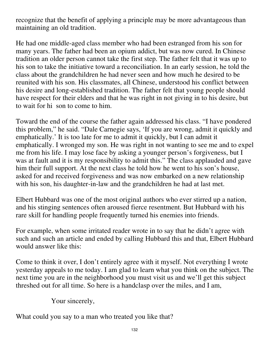recognize that the benefit of applying a principle may be more advantageous than maintaining an old tradition.

He had one middle-aged class member who had been estranged from his son for many years. The father had been an opium addict, but was now cured. In Chinese tradition an older person cannot take the first step. The father felt that it was up to his son to take the initiative toward a reconciliation. In an early session, he told the class about the grandchildren he had never seen and how much he desired to be reunited with his son. His classmates, all Chinese, understood his conflict between his desire and long-established tradition. The father felt that young people should have respect for their elders and that he was right in not giving in to his desire, but to wait for hi son to come to him.

Toward the end of the course the father again addressed his class. "I have pondered this problem," he said. "Dale Carnegie says, 'If you are wrong, admit it quickly and emphatically.' It is too late for me to admit it quickly, but I can admit it emphatically. I wronged my son. He was right in not wanting to see me and to expel me from his life. I may lose face by asking a younger person's forgiveness, but I was at fault and it is my responsibility to admit this." The class applauded and gave him their full support. At the next class he told how he went to his son's house, asked for and received forgiveness and was now embarked on a new relationship with his son, his daughter-in-law and the grandchildren he had at last met.

Elbert Hubbard was one of the most original authors who ever stirred up a nation, and his stinging sentences often aroused fierce resentment. But Hubbard with his rare skill for handling people frequently turned his enemies into friends.

For example, when some irritated reader wrote in to say that he didn't agree with such and such an article and ended by calling Hubbard this and that, Elbert Hubbard would answer like this:

Come to think it over, I don't entirely agree with it myself. Not everything I wrote yesterday appeals to me today. I am glad to learn what you think on the subject. The next time you are in the neighborhood you must visit us and we'll get this subject threshed out for all time. So here is a handclasp over the miles, and I am,

Your sincerely,

What could you say to a man who treated you like that?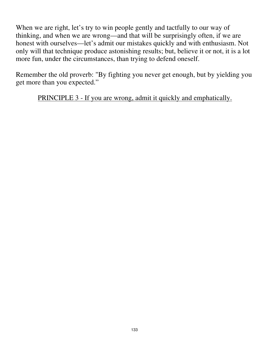When we are right, let's try to win people gently and tactfully to our way of thinking, and when we are wrong—and that will be surprisingly often, if we are honest with ourselves—let's admit our mistakes quickly and with enthusiasm. Not only will that technique produce astonishing results; but, believe it or not, it is a lot more fun, under the circumstances, than trying to defend oneself.

Remember the old proverb: "By fighting you never get enough, but by yielding you get more than you expected."

PRINCIPLE 3 - If you are wrong, admit it quickly and emphatically.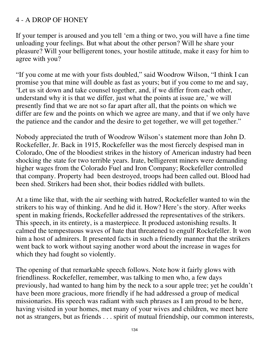#### 4 - A DROP OF HONEY

If your temper is aroused and you tell 'em a thing or two, you will have a fine time unloading your feelings. But what about the other person? Will he share your pleasure? Will your belligerent tones, your hostile attitude, make it easy for him to agree with you?

"If you come at me with your fists doubled," said Woodrow Wilson, "I think I can promise you that mine will double as fast as yours; but if you come to me and say, 'Let us sit down and take counsel together, and, if we differ from each other, understand why it is that we differ, just what the points at issue are,' we will presently find that we are not so far apart after all, that the points on which we differ are few and the points on which we agree are many, and that if we only have the patience and the candor and the desire to get together, we will get together."

Nobody appreciated the truth of Woodrow Wilson's statement more than John D. Rockefeller, Jr. Back in 1915, Rockefeller was the most fiercely despised man in Colorado, One of the bloodiest strikes in the history of American industry had been shocking the state for two terrible years. Irate, belligerent miners were demanding higher wages from the Colorado Fuel and Iron Company; Rockefeller controlled that company. Property had been destroyed, troops had been called out. Blood had been shed. Strikers had been shot, their bodies riddled with bullets.

At a time like that, with the air seething with hatred, Rockefeller wanted to win the strikers to his way of thinking. And he did it. How? Here's the story. After weeks spent in making friends, Rockefeller addressed the representatives of the strikers. This speech, in its entirety, is a masterpiece. It produced astonishing results. It calmed the tempestuous waves of hate that threatened to engulf Rockefeller. It won him a host of admirers. It presented facts in such a friendly manner that the strikers went back to work without saying another word about the increase in wages for which they had fought so violently.

The opening of that remarkable speech follows. Note how it fairly glows with friendliness. Rockefeller, remember, was talking to men who, a few days previously, had wanted to hang him by the neck to a sour apple tree; yet he couldn't have been more gracious, more friendly if he had addressed a group of medical missionaries. His speech was radiant with such phrases as I am proud to be here, having visited in your homes, met many of your wives and children, we meet here not as strangers, but as friends . . . spirit of mutual friendship, our common interests,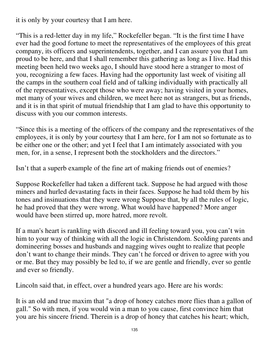it is only by your courtesy that I am here.

"This is a red-letter day in my life," Rockefeller began. "It is the first time I have ever had the good fortune to meet the representatives of the employees of this great company, its officers and superintendents, together, and I can assure you that I am proud to be here, and that I shall remember this gathering as long as I live. Had this meeting been held two weeks ago, I should have stood here a stranger to most of you, recognizing a few faces. Having had the opportunity last week of visiting all the camps in the southern coal field and of talking individually with practically all of the representatives, except those who were away; having visited in your homes, met many of your wives and children, we meet here not as strangers, but as friends, and it is in that spirit of mutual friendship that I am glad to have this opportunity to discuss with you our common interests.

"Since this is a meeting of the officers of the company and the representatives of the employees, it is only by your courtesy that I am here, for I am not so fortunate as to be either one or the other; and yet I feel that I am intimately associated with you men, for, in a sense, I represent both the stockholders and the directors."

Isn't that a superb example of the fine art of making friends out of enemies?

Suppose Rockefeller had taken a different tack. Suppose he had argued with those miners and hurled devastating facts in their faces. Suppose he had told them by his tones and insinuations that they were wrong Suppose that, by all the rules of logic, he had proved that they were wrong. What would have happened? More anger would have been stirred up, more hatred, more revolt.

If a man's heart is rankling with discord and ill feeling toward you, you can't win him to your way of thinking with all the logic in Christendom. Scolding parents and domineering bosses and husbands and nagging wives ought to realize that people don't want to change their minds. They can't he forced or driven to agree with you or me. But they may possibly be led to, if we are gentle and friendly, ever so gentle and ever so friendly.

Lincoln said that, in effect, over a hundred years ago. Here are his words:

It is an old and true maxim that "a drop of honey catches more flies than a gallon of gall." So with men, if you would win a man to you cause, first convince him that you are his sincere friend. Therein is a drop of honey that catches his heart; which,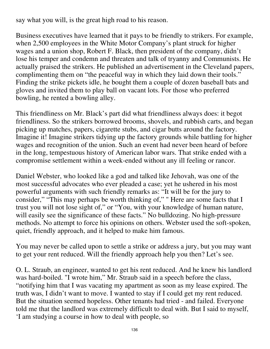say what you will, is the great high road to his reason.

Business executives have learned that it pays to be friendly to strikers. For example, when 2,500 employees in the White Motor Company's plant struck for higher wages and a union shop, Robert F. Black, then president of the company, didn't lose his temper and condemn and threaten and talk of tryanny and Communists. He actually praised the strikers. He published an advertisement in the Cleveland papers, complimenting them on "the peaceful way in which they laid down their tools." Finding the strike pickets idle, he bought them a couple of dozen baseball bats and gloves and invited them to play ball on vacant lots. For those who preferred bowling, he rented a bowling alley.

This friendliness on Mr. Black's part did what friendliness always does: it begot friendliness. So the strikers borrowed brooms, shovels, and rubbish carts, and began picking up matches, papers, cigarette stubs, and cigar butts around the factory. Imagine it! Imagine strikers tidying up the factory grounds while battling for higher wages and recognition of the union. Such an event had never been heard of before in the long, tempestuous history of American labor wars. That strike ended with a compromise settlement within a week-ended without any ill feeling or rancor.

Daniel Webster, who looked like a god and talked like Jehovah, was one of the most successful advocates who ever pleaded a case; yet he ushered in his most powerful arguments with such friendly remarks as: "It will be for the jury to consider," "This may perhaps be worth thinking of," " Here are some facts that I trust you will not lose sight of," or "You, with your knowledge of human nature, will easily see the significance of these facts." No bulldozing. No high-pressure methods. No attempt to force his opinions on others. Webster used the soft-spoken, quiet, friendly approach, and it helped to make him famous.

You may never be called upon to settle a strike or address a jury, but you may want to get your rent reduced. Will the friendly approach help you then? Let's see.

O. L. Straub, an engineer, wanted to get his rent reduced. And he knew his landlord was hard-boiled. "I wrote him," Mr. Straub said in a speech before the class, "notifying him that I was vacating my apartment as soon as my lease expired. The truth was, I didn't want to move. I wanted to stay if I could get my rent reduced. But the situation seemed hopeless. Other tenants had tried - and failed. Everyone told me that the landlord was extremely difficult to deal with. But I said to myself, 'I am studying a course in how to deal with people, so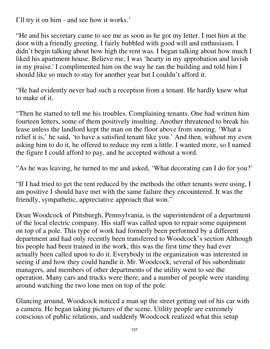I'll try it on him - and see how it works.'

"He and his secretary came to see me as soon as he got my letter. I met him at the door with a friendly greeting. I fairly bubbled with good will and enthusiasm. I didn't begin talking about how high the rent was. I began talking about how much I liked his apartment house. Believe me, I was 'hearty in my approbation and lavish in my praise.' I complimented him on the way he ran the building and told him I should like so much to stay for another year but I couldn't afford it.

"He had evidently never had such a reception from a tenant. He hardly knew what to make of it.

"Then he started to tell me his troubles. Complaining tenants. One had written him fourteen letters, some of them positively insulting. Another threatened to break his lease unless the landlord kept the man on the floor above from snoring. 'What a relief it is,' he said, 'to have a satisfied tenant like you.' And then, without my even asking him to do it, he offered to reduce my rent a little. I wanted more, so I named the figure I could afford to pay, and he accepted without a word.

"As he was leaving, he turned to me and asked, 'What decorating can I do for you?'

"If I had tried to get the rent reduced by the methods the other tenants were using, I am positive I should have met with the same failure they encountered. It was the friendly, sympathetic, appreciative approach that won."

Dean Woodcock of Pittsburgh, Pennsylvania, is the superintendent of a department of the local electric company. His staff was called upon to repair some equipment on top of a pole. This type of work had formerly been performed by a different department and had only recently been transferred to Woodcock's section Although his people had been trained in the work, this was the first time they had ever actually been called upon to do it. Everybody in the organization was interested in seeing if and how they could handle it. Mr. Woodcock, several of his subordinate managers, and members of other departments of the utility went to see the operation. Many cars and trucks were there, and a number of people were standing around watching the two lone men on top of the pole.

Glancing around, Woodcock noticed a man up the street getting out of his car with a camera. He began taking pictures of the scene. Utility people are extremely conscious of public relations, and suddenly Woodcock realized what this setup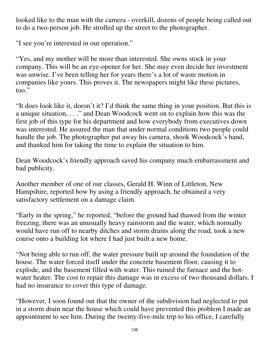looked like to the man with the camera - overkill, dozens of people being called out to do a two-person job. He strolled up the street to the photographer.

"I see you're interested in our operation."

"Yes, and my mother will be more than interested. She owns stock in your company. This will be an eye-opener for her. She may even decide her investment was unwise. I've been telling her for years there's a lot of waste motion in companies like yours. This proves it. The newspapers might like these pictures, too."

"It does look like it, doesn't it? I'd think the same thing in your position. But this is a unique situation, . . ." and Dean Woodcock went on to explain how this was the first job of this type for his department and how everybody from executives down was interested. He assured the man that under normal conditions two people could handle the job. The photographer put away his camera, shook Woodcock's hand, and thanked him for taking the time to explain the situation to him.

Dean Woodcock's friendly approach saved his company much embarrassment and bad publicity.

Another member of one of our classes, Gerald H. Winn of Littleton, New Hampshire, reported how by using a friendly approach, he obtained a very satisfactory settlement on a damage claim.

"Early in the spring," he reported, "before the ground had thawed from the winter freezing, there was an unusually heavy rainstorm and the water, which normally would have run off to nearby ditches and storm drains along the road, took a new course onto a building lot where I had just built a new home.

"Not being able to run off, the water pressure built up around the foundation of the house. The water forced itself under the concrete basement floor, causing it to explode, and the basement filled with water. This ruined the furnace and the hotwater heater. The cost to repair this damage was in excess of two thousand dollars. I had no insurance to cover this type of damage.

"However, I soon found out that the owner of the subdivision had neglected to put in a storm drain near the house which could have prevented this problem I made an appointment to see him. During the twenty-five-mile trip to his office, I carefully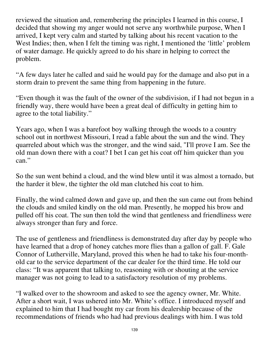reviewed the situation and, remembering the principles I learned in this course, I decided that showing my anger would not serve any worthwhile purpose, When I arrived, I kept very calm and started by talking about his recent vacation to the West Indies; then, when I felt the timing was right, I mentioned the 'little' problem of water damage. He quickly agreed to do his share in helping to correct the problem.

"A few days later he called and said he would pay for the damage and also put in a storm drain to prevent the same thing from happening in the future.

"Even though it was the fault of the owner of the subdivision, if I had not begun in a friendly way, there would have been a great deal of difficulty in getting him to agree to the total liability."

Years ago, when I was a barefoot boy walking through the woods to a country school out in northwest Missouri, I read a fable about the sun and the wind. They quarreled about which was the stronger, and the wind said, "I'll prove I am. See the old man down there with a coat? I bet I can get his coat off him quicker than you can."

So the sun went behind a cloud, and the wind blew until it was almost a tornado, but the harder it blew, the tighter the old man clutched his coat to him.

Finally, the wind calmed down and gave up, and then the sun came out from behind the clouds and smiled kindly on the old man. Presently, he mopped his brow and pulled off his coat. The sun then told the wind that gentleness and friendliness were always stronger than fury and force.

The use of gentleness and friendliness is demonstrated day after day by people who have learned that a drop of honey catches more flies than a gallon of gall. F. Gale Connor of Lutherville, Maryland, proved this when he had to take his four-monthold car to the service department of the car dealer for the third time. He told our class: "It was apparent that talking to, reasoning with or shouting at the service manager was not going to lead to a satisfactory resolution of my problems.

"I walked over to the showroom and asked to see the agency owner, Mr. White. After a short wait, I was ushered into Mr. White's office. I introduced myself and explained to him that I had bought my car from his dealership because of the recommendations of friends who had had previous dealings with him. I was told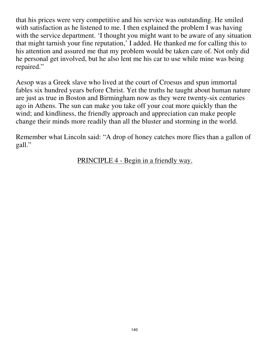that his prices were very competitive and his service was outstanding. He smiled with satisfaction as he listened to me. I then explained the problem I was having with the service department. T thought you might want to be aware of any situation that might tarnish your fine reputation,' I added. He thanked me for calling this to his attention and assured me that my problem would be taken care of. Not only did he personal get involved, but he also lent me his car to use while mine was being repaired."

Aesop was a Greek slave who lived at the court of Croesus and spun immortal fables six hundred years before Christ. Yet the truths he taught about human nature are just as true in Boston and Birmingham now as they were twenty-six centuries ago in Athens. The sun can make you take off your coat more quickly than the wind; and kindliness, the friendly approach and appreciation can make people change their minds more readily than all the bluster and storming in the world.

Remember what Lincoln said: "A drop of honey catches more flies than a gallon of gall."

PRINCIPLE 4 - Begin in a friendly way.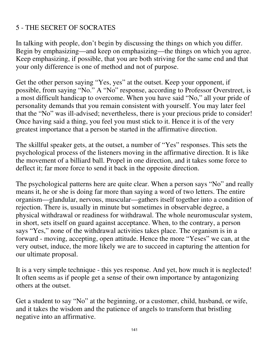### 5 - THE SECRET OF SOCRATES

In talking with people, don't begin by discussing the things on which you differ. Begin by emphasizing—and keep on emphasizing—the things on which you agree. Keep emphasizing, if possible, that you are both striving for the same end and that your only difference is one of method and not of purpose.

Get the other person saying "Yes, yes" at the outset. Keep your opponent, if possible, from saying "No." A "No" response, according to Professor Overstreet, is a most difficult handicap to overcome. When you have said "No," all your pride of personality demands that you remain consistent with yourself. You may later feel that the "No" was ill-advised; nevertheless, there is your precious pride to consider! Once having said a thing, you feel you must stick to it. Hence it is of the very greatest importance that a person be started in the affirmative direction.

The skillful speaker gets, at the outset, a number of "Yes" responses. This sets the psychological process of the listeners moving in the affirmative direction. It is like the movement of a billiard ball. Propel in one direction, and it takes some force to deflect it; far more force to send it back in the opposite direction.

The psychological patterns here are quite clear. When a person says "No" and really means it, he or she is doing far more than saying a word of two letters. The entire organism—glandular, nervous, muscular—gathers itself together into a condition of rejection. There is, usually in minute but sometimes in observable degree, a physical withdrawal or readiness for withdrawal. The whole neuromuscular system, in short, sets itself on guard against acceptance. When, to the contrary, a person says "Yes," none of the withdrawal activities takes place. The organism is in a forward - moving, accepting, open attitude. Hence the more "Yeses" we can, at the very outset, induce, the more likely we are to succeed in capturing the attention for our ultimate proposal.

It is a very simple technique - this yes response. And yet, how much it is neglected! It often seems as if people get a sense of their own importance by antagonizing others at the outset.

Get a student to say "No" at the beginning, or a customer, child, husband, or wife, and it takes the wisdom and the patience of angels to transform that bristling negative into an affirmative.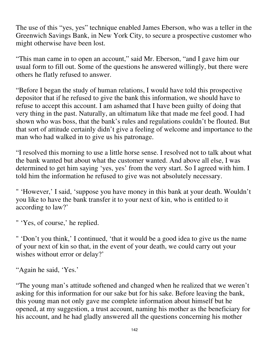The use of this "yes, yes" technique enabled James Eberson, who was a teller in the Greenwich Savings Bank, in New York City, to secure a prospective customer who might otherwise have been lost.

"This man came in to open an account," said Mr. Eberson, "and I gave him our usual form to fill out. Some of the questions he answered willingly, but there were others he flatly refused to answer.

"Before I began the study of human relations, I would have told this prospective depositor that if he refused to give the bank this information, we should have to refuse to accept this account. I am ashamed that I have been guilty of doing that very thing in the past. Naturally, an ultimatum like that made me feel good. I had shown who was boss, that the bank's rules and regulations couldn't be flouted. But that sort of attitude certainly didn't give a feeling of welcome and importance to the man who had walked in to give us his patronage.

"I resolved this morning to use a little horse sense. I resolved not to talk about what the bank wanted but about what the customer wanted. And above all else, I was determined to get him saying 'yes, yes' from the very start. So I agreed with him. I told him the information he refused to give was not absolutely necessary.

" 'However,' I said, 'suppose you have money in this bank at your death. Wouldn't you like to have the bank transfer it to your next of kin, who is entitled to it according to law?'

" 'Yes, of course,' he replied.

" 'Don't you think,' I continued, 'that it would be a good idea to give us the name of your next of kin so that, in the event of your death, we could carry out your wishes without error or delay?'

"Again he said, 'Yes.'

"The young man's attitude softened and changed when he realized that we weren't asking for this information for our sake but for his sake. Before leaving the bank, this young man not only gave me complete information about himself but he opened, at my suggestion, a trust account, naming his mother as the beneficiary for his account, and he had gladly answered all the questions concerning his mother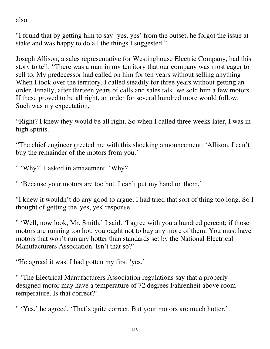also.

"I found that by getting him to say 'yes, yes' from the outset, he forgot the issue at stake and was happy to do all the things I suggested."

Joseph Allison, a sales representative for Westinghouse Electric Company, had this story to tell: "There was a man in my territory that our company was most eager to sell to. My predecessor had called on him for ten years without selling anything When I took over the territory, I called steadily for three years without getting an order. Finally, after thirteen years of calls and sales talk, we sold him a few motors. If these proved to be all right, an order for several hundred more would follow. Such was my expectation,

"Right? I knew they would be all right. So when I called three weeks later, I was in high spirits.

"The chief engineer greeted me with this shocking announcement: 'Allison, I can't buy the remainder of the motors from you.'

" 'Why?' I asked in amazement. 'Why?'

" 'Because your motors are too hot. I can't put my hand on them,'

"I knew it wouldn't do any good to argue. I had tried that sort of thing too long. So I thought of getting the 'yes, yes' response.

" 'Well, now look, Mr. Smith,' I said. 'I agree with you a hundred percent; if those motors are running too hot, you ought not to buy any more of them. You must have motors that won't run any hotter than standards set by the National Electrical Manufacturers Association. Isn't that so?'

"He agreed it was. I had gotten my first 'yes.'

" 'The Electrical Manufacturers Association regulations say that a properly designed motor may have a temperature of 72 degrees Fahrenheit above room temperature. Is that correct?'

" 'Yes,' he agreed. 'That's quite correct. But your motors are much hotter.'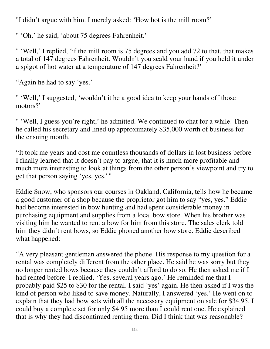"I didn't argue with him. I merely asked: 'How hot is the mill room?'

" 'Oh,' he said, 'about 75 degrees Fahrenheit.'

" 'Well,' I replied, 'if the mill room is 75 degrees and you add 72 to that, that makes a total of 147 degrees Fahrenheit. Wouldn't you scald your hand if you held it under a spigot of hot water at a temperature of 147 degrees Fahrenheit?'

"Again he had to say 'yes.'

" 'Well,' I suggested, 'wouldn't it he a good idea to keep your hands off those motors?'

" 'Well, I guess you're right,' he admitted. We continued to chat for a while. Then he called his secretary and lined up approximately \$35,000 worth of business for the ensuing month.

"It took me years and cost me countless thousands of dollars in lost business before I finally learned that it doesn't pay to argue, that it is much more profitable and much more interesting to look at things from the other person's viewpoint and try to get that person saying 'yes, yes.' "

Eddie Snow, who sponsors our courses in Oakland, California, tells how he became a good customer of a shop because the proprietor got him to say "yes, yes." Eddie had become interested in bow hunting and had spent considerable money in purchasing equipment and supplies from a local bow store. When his brother was visiting him he wanted to rent a bow for him from this store. The sales clerk told him they didn't rent bows, so Eddie phoned another bow store. Eddie described what happened:

"A very pleasant gentleman answered the phone. His response to my question for a rental was completely different from the other place. He said he was sorry but they no longer rented bows because they couldn't afford to do so. He then asked me if I had rented before. I replied, 'Yes, several years ago.' He reminded me that I probably paid \$25 to \$30 for the rental. I said 'yes' again. He then asked if I was the kind of person who liked to save money. Naturally, I answered 'yes.' He went on to explain that they had bow sets with all the necessary equipment on sale for \$34.95. I could buy a complete set for only \$4.95 more than I could rent one. He explained that is why they had discontinued renting them. Did I think that was reasonable?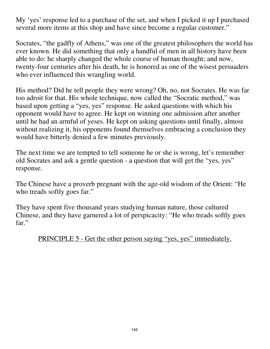My 'yes' response led to a purchase of the set, and when I picked it up I purchased several more items at this shop and have since become a regular customer."

Socrates, "the gadfly of Athens," was one of the greatest philosophers the world has ever known. He did something that only a handful of men in all history have been able to do: he sharply changed the whole course of human thought; and now, twenty-four centuries after his death, he is honored as one of the wisest persuaders who ever influenced this wrangling world.

His method? Did he tell people they were wrong? Oh, no, not Socrates. He was far too adroit for that. His whole technique, now called the "Socratic method," was based upon getting a "yes, yes" response. He asked questions with which his opponent would have to agree. He kept on winning one admission after another until he had an armful of yeses. He kept on asking questions until finally, almost without realizing it, his opponents found themselves embracing a conclusion they would have bitterly denied a few minutes previously.

The next time we are tempted to tell someone he or she is wrong, let's remember old Socrates and ask a gentle question - a question that will get the "yes, yes" response.

The Chinese have a proverb pregnant with the age-old wisdom of the Orient: "He who treads softly goes far."

They have spent five thousand years studying human nature, those cultured Chinese, and they have garnered a lot of perspicacity: "He who treads softly goes far."

PRINCIPLE 5 - Get the other person saying "yes, yes" immediately.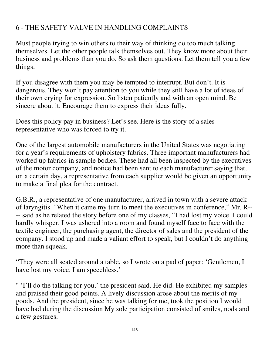## 6 - THE SAFETY VALVE IN HANDLING COMPLAINTS

Must people trying to win others to their way of thinking do too much talking themselves. Let the other people talk themselves out. They know more about their business and problems than you do. So ask them questions. Let them tell you a few things.

If you disagree with them you may be tempted to interrupt. But don't. It is dangerous. They won't pay attention to you while they still have a lot of ideas of their own crying for expression. So listen patiently and with an open mind. Be sincere about it. Encourage them to express their ideas fully.

Does this policy pay in business? Let's see. Here is the story of a sales representative who was forced to try it.

One of the largest automobile manufacturers in the United States was negotiating for a year's requirements of upholstery fabrics. Three important manufacturers had worked up fabrics in sample bodies. These had all been inspected by the executives of the motor company, and notice had been sent to each manufacturer saying that, on a certain day, a representative from each supplier would be given an opportunity to make a final plea for the contract.

G.B.R., a representative of one manufacturer, arrived in town with a severe attack of laryngitis. "When it came my turn to meet the executives in conference," Mr. R-- -- said as he related the story before one of my classes, "I had lost my voice. I could hardly whisper. I was ushered into a room and found myself face to face with the textile engineer, the purchasing agent, the director of sales and the president of the company. I stood up and made a valiant effort to speak, but I couldn't do anything more than squeak.

"They were all seated around a table, so I wrote on a pad of paper: 'Gentlemen, I have lost my voice. I am speechless.'

" 'I'll do the talking for you,' the president said. He did. He exhibited my samples and praised their good points. A lively discussion arose about the merits of my goods. And the president, since he was talking for me, took the position I would have had during the discussion My sole participation consisted of smiles, nods and a few gestures.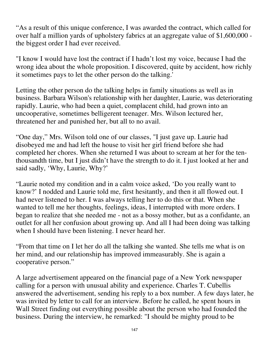"As a result of this unique conference, I was awarded the contract, which called for over half a million yards of upholstery fabrics at an aggregate value of \$1,600,000 the biggest order I had ever received.

"I know I would have lost the contract if I hadn't lost my voice, because I had the wrong idea about the whole proposition. I discovered, quite by accident, how richly it sometimes pays to let the other person do the talking.'

Letting the other person do the talking helps in family situations as well as in business. Barbara Wilson's relationship with her daughter, Laurie, was deteriorating rapidly. Laurie, who had been a quiet, complacent child, had grown into an uncooperative, sometimes belligerent teenager. Mrs. Wilson lectured her, threatened her and punished her, but all to no avail.

"One day," Mrs. Wilson told one of our classes, "I just gave up. Laurie had disobeyed me and had left the house to visit her girl friend before she had completed her chores. When she returned I was about to scream at her for the tenthousandth time, but I just didn't have the strength to do it. I just looked at her and said sadly, 'Why, Laurie, Why?'

"Laurie noted my condition and in a calm voice asked, 'Do you really want to know?' I nodded and Laurie told me, first hesitantly, and then it all flowed out. I had never listened to her. I was always telling her to do this or that. When she wanted to tell me her thoughts, feelings, ideas, I interrupted with more orders. I began to realize that she needed me - not as a bossy mother, but as a confidante, an outlet for all her confusion about growing up. And all I had been doing was talking when I should have been listening. I never heard her.

"From that time on I let her do all the talking she wanted. She tells me what is on her mind, and our relationship has improved immeasurably. She is again a cooperative person."

A large advertisement appeared on the financial page of a New York newspaper calling for a person with unusual ability and experience. Charles T. Cubellis answered the advertisement, sending his reply to a box number. A few days later, he was invited by letter to call for an interview. Before he called, he spent hours in Wall Street finding out everything possible about the person who had founded the business. During the interview, he remarked: "I should be mighty proud to be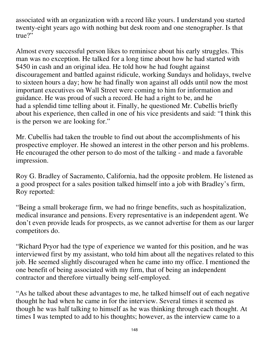associated with an organization with a record like yours. I understand you started twenty-eight years ago with nothing but desk room and one stenographer. Is that true?"

Almost every successful person likes to reminisce about his early struggles. This man was no exception. He talked for a long time about how he had started with \$450 in cash and an original idea. He told how he had fought against discouragement and battled against ridicule, working Sundays and holidays, twelve to sixteen hours a day; how he had finally won against all odds until now the most important executives on Wall Street were coming to him for information and guidance. He was proud of such a record. He had a right to be, and he had a splendid time telling about it. Finally, he questioned Mr. Cubellis briefly about his experience, then called in one of his vice presidents and said: "I think this is the person we are looking for."

Mr. Cubellis had taken the trouble to find out about the accomplishments of his prospective employer. He showed an interest in the other person and his problems. He encouraged the other person to do most of the talking - and made a favorable impression.

Roy G. Bradley of Sacramento, California, had the opposite problem. He listened as a good prospect for a sales position talked himself into a job with Bradley's firm, Roy reported:

"Being a small brokerage firm, we had no fringe benefits, such as hospitalization, medical insurance and pensions. Every representative is an independent agent. We don't even provide leads for prospects, as we cannot advertise for them as our larger competitors do.

"Richard Pryor had the type of experience we wanted for this position, and he was interviewed first by my assistant, who told him about all the negatives related to this job. He seemed slightly discouraged when he came into my office. I mentioned the one benefit of being associated with my firm, that of being an independent contractor and therefore virtually being self-employed.

"As he talked about these advantages to me, he talked himself out of each negative thought he had when he came in for the interview. Several times it seemed as though he was half talking to himself as he was thinking through each thought. At times I was tempted to add to his thoughts; however, as the interview came to a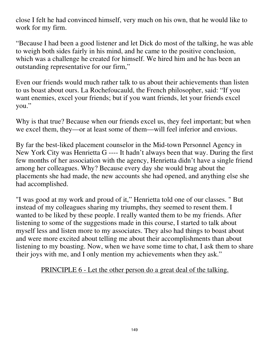close I felt he had convinced himself, very much on his own, that he would like to work for my firm.

"Because I had been a good listener and let Dick do most of the talking, he was able to weigh both sides fairly in his mind, and he came to the positive conclusion, which was a challenge he created for himself. We hired him and he has been an outstanding representative for our firm,"

Even our friends would much rather talk to us about their achievements than listen to us boast about ours. La Rochefoucauld, the French philosopher, said: "If you want enemies, excel your friends; but if you want friends, let your friends excel you."

Why is that true? Because when our friends excel us, they feel important; but when we excel them, they—or at least some of them—will feel inferior and envious.

By far the best-liked placement counselor in the Mid-town Personnel Agency in New York City was Henrietta G ---- It hadn't always been that way. During the first few months of her association with the agency, Henrietta didn't have a single friend among her colleagues. Why? Because every day she would brag about the placements she had made, the new accounts she had opened, and anything else she had accomplished.

"I was good at my work and proud of it," Henrietta told one of our classes. " But instead of my colleagues sharing my triumphs, they seemed to resent them. I wanted to be liked by these people. I really wanted them to be my friends. After listening to some of the suggestions made in this course, I started to talk about myself less and listen more to my associates. They also had things to boast about and were more excited about telling me about their accomplishments than about listening to my boasting. Now, when we have some time to chat, I ask them to share their joys with me, and I only mention my achievements when they ask."

PRINCIPLE 6 - Let the other person do a great deal of the talking.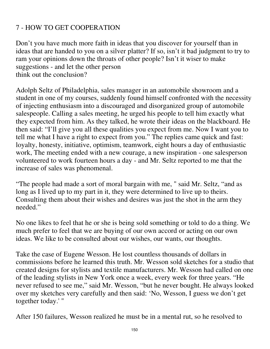## 7 - HOW TO GET COOPERATION

Don't you have much more faith in ideas that you discover for yourself than in ideas that are handed to you on a silver platter? If so, isn't it bad judgment to try to ram your opinions down the throats of other people? Isn't it wiser to make suggestions - and let the other person think out the conclusion?

Adolph Seltz of Philadelphia, sales manager in an automobile showroom and a student in one of my courses, suddenly found himself confronted with the necessity of injecting enthusiasm into a discouraged and disorganized group of automobile salespeople. Calling a sales meeting, he urged his people to tell him exactly what they expected from him. As they talked, he wrote their ideas on the blackboard. He then said: "I'll give you all these qualities you expect from me. Now I want you to tell me what I have a right to expect from you." The replies came quick and fast: loyalty, honesty, initiative, optimism, teamwork, eight hours a day of enthusiastic work, The meeting ended with a new courage, a new inspiration - one salesperson volunteered to work fourteen hours a day - and Mr. Seltz reported to me that the increase of sales was phenomenal.

"The people had made a sort of moral bargain with me, " said Mr. Seltz, "and as long as I lived up to my part in it, they were determined to live up to theirs. Consulting them about their wishes and desires was just the shot in the arm they needed."

No one likes to feel that he or she is being sold something or told to do a thing. We much prefer to feel that we are buying of our own accord or acting on our own ideas. We like to be consulted about our wishes, our wants, our thoughts.

Take the case of Eugene Wesson. He lost countless thousands of dollars in commissions before he learned this truth. Mr. Wesson sold sketches for a studio that created designs for stylists and textile manufacturers. Mr. Wesson had called on one of the leading stylists in New York once a week, every week for three years. "He never refused to see me," said Mr. Wesson, "but he never bought. He always looked over my sketches very carefully and then said: 'No, Wesson, I guess we don't get together today.' "

After 150 failures, Wesson realized he must be in a mental rut, so he resolved to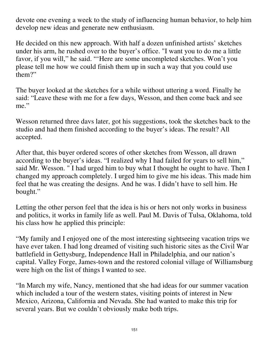devote one evening a week to the study of influencing human behavior, to help him develop new ideas and generate new enthusiasm.

He decided on this new approach. With half a dozen unfinished artists' sketches under his arm, he rushed over to the buyer's office. "I want you to do me a little favor, if you will," he said. "'Here are some uncompleted sketches. Won't you please tell me how we could finish them up in such a way that you could use them?"

The buyer looked at the sketches for a while without uttering a word. Finally he said: "Leave these with me for a few days, Wesson, and then come back and see me."

Wesson returned three davs later, got his suggestions, took the sketches back to the studio and had them finished according to the buyer's ideas. The result? All accepted.

After that, this buyer ordered scores of other sketches from Wesson, all drawn according to the buyer's ideas. "I realized why I had failed for years to sell him," said Mr. Wesson. " I had urged him to buy what I thought he ought to have. Then I changed my approach completely. I urged him to give me his ideas. This made him feel that he was creating the designs. And he was. I didn't have to sell him. He bought."

Letting the other person feel that the idea is his or hers not only works in business and politics, it works in family life as well. Paul M. Davis of Tulsa, Oklahoma, told his class how he applied this principle:

"My family and I enjoyed one of the most interesting sightseeing vacation trips we have ever taken. I had long dreamed of visiting such historic sites as the Civil War battlefield in Gettysburg, Independence Hall in Philadelphia, and our nation's capital. Valley Forge, James-town and the restored colonial village of Williamsburg were high on the list of things I wanted to see.

"In March my wife, Nancy, mentioned that she had ideas for our summer vacation which included a tour of the western states, visiting points of interest in New Mexico, Arizona, California and Nevada. She had wanted to make this trip for several years. But we couldn't obviously make both trips.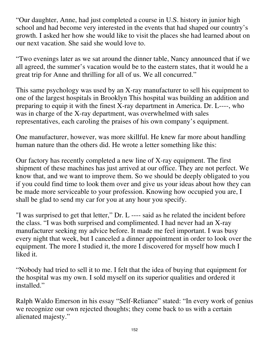"Our daughter, Anne, had just completed a course in U.S. history in junior high school and had become very interested in the events that had shaped our country's growth. I asked her how she would like to visit the places she had learned about on our next vacation. She said she would love to.

"Two evenings later as we sat around the dinner table, Nancy announced that if we all agreed, the summer's vacation would be to the eastern states, that it would he a great trip for Anne and thrilling for all of us. We all concurred."

This same psychology was used by an X-ray manufacturer to sell his equipment to one of the largest hospitals in Brooklyn This hospital was building an addition and preparing to equip it with the finest X-ray department in America. Dr. L----, who was in charge of the X-ray department, was overwhelmed with sales representatives, each caroling the praises of his own company's equipment.

One manufacturer, however, was more skillful. He knew far more about handling human nature than the others did. He wrote a letter something like this:

Our factory has recently completed a new line of X-ray equipment. The first shipment of these machines has just arrived at our office. They are not perfect. We know that, and we want to improve them. So we should be deeply obligated to you if you could find time to look them over and give us your ideas about how they can be made more serviceable to your profession. Knowing how occupied you are, I shall be glad to send my car for you at any hour you specify.

"I was surprised to get that letter," Dr. L ---- said as he related the incident before the class. "I was both surprised and complimented. I had never had an X-ray manufacturer seeking my advice before. It made me feel important. I was busy every night that week, but I canceled a dinner appointment in order to look over the equipment. The more I studied it, the more I discovered for myself how much I liked it.

"Nobody had tried to sell it to me. I felt that the idea of buying that equipment for the hospital was my own. I sold myself on its superior qualities and ordered it installed."

Ralph Waldo Emerson in his essay "Self-Reliance" stated: "In every work of genius we recognize our own rejected thoughts; they come back to us with a certain alienated majesty."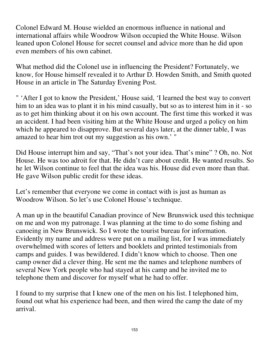Colonel Edward M. House wielded an enormous influence in national and international affairs while Woodrow Wilson occupied the White House. Wilson leaned upon Colonel House for secret counsel and advice more than he did upon even members of his own cabinet.

What method did the Colonel use in influencing the President? Fortunately, we know, for House himself revealed it to Arthur D. Howden Smith, and Smith quoted House in an article in The Saturday Evening Post.

" 'After I got to know the President,' House said, 'I learned the best way to convert him to an idea was to plant it in his mind casually, but so as to interest him in it - so as to get him thinking about it on his own account. The first time this worked it was an accident. I had been visiting him at the White House and urged a policy on him which he appeared to disapprove. But several days later, at the dinner table, I was amazed to hear him trot out my suggestion as his own.' "

Did House interrupt him and say, "That's not your idea. That's mine" ? Oh, no. Not House. He was too adroit for that. He didn't care about credit. He wanted results. So he let Wilson continue to feel that the idea was his. House did even more than that. He gave Wilson public credit for these ideas.

Let's remember that everyone we come in contact with is just as human as Woodrow Wilson. So let's use Colonel House's technique.

A man up in the beautiful Canadian province of New Brunswick used this technique on me and won my patronage. I was planning at the time to do some fishing and canoeing in New Brunswick. So I wrote the tourist bureau for information. Evidently my name and address were put on a mailing list, for I was immediately overwhelmed with scores of letters and booklets and printed testimonials from camps and guides. I was bewildered. I didn't know which to choose. Then one camp owner did a clever thing. He sent me the names and telephone numbers of several New York people who had stayed at his camp and he invited me to telephone them and discover for myself what he had to offer.

I found to my surprise that I knew one of the men on his list. I telephoned him, found out what his experience had been, and then wired the camp the date of my arrival.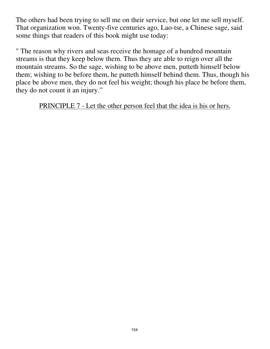The others had been trying to sell me on their service, but one let me sell myself. That organization won. Twenty-five centuries ago, Lao-tse, a Chinese sage, said some things that readers of this book might use today:

" The reason why rivers and seas receive the homage of a hundred mountain streams is that they keep below them. Thus they are able to reign over all the mountain streams. So the sage, wishing to be above men, putteth himself below them; wishing to be before them, he putteth himself behind them. Thus, though his place be above men, they do not feel his weight; though his place be before them, they do not count it an injury."

PRINCIPLE 7 - Let the other person feel that the idea is his or hers.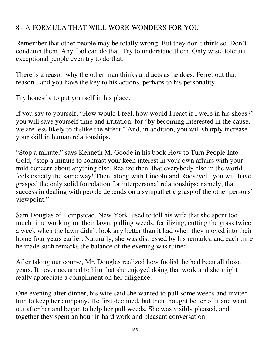## 8 - A FORMULA THAT WILL WORK WONDERS FOR YOU

Remember that other people may be totally wrong. But they don't think so. Don't condemn them. Any fool can do that. Try to understand them. Only wise, tolerant, exceptional people even try to do that.

There is a reason why the other man thinks and acts as he does. Ferret out that reason - and you have the key to his actions, perhaps to his personality

Try honestly to put yourself in his place.

If you say to yourself, "How would I feel, how would I react if I were in his shoes?" you will save yourself time and irritation, for "by becoming interested in the cause, we are less likely to dislike the effect." And, in addition, you will sharply increase your skill in human relationships.

"Stop a minute," says Kenneth M. Goode in his book How to Turn People Into Gold, "stop a minute to contrast your keen interest in your own affairs with your mild concern about anything else. Realize then, that everybody else in the world feels exactly the same way! Then, along with Lincoln and Roosevelt, you will have grasped the only solid foundation for interpersonal relationships; namely, that success in dealing with people depends on a sympathetic grasp of the other persons' viewpoint."

Sam Douglas of Hempstead, New York, used to tell his wife that she spent too much time working on their lawn, pulling weeds, fertilizing, cutting the grass twice a week when the lawn didn't look any better than it had when they moved into their home four years earlier. Naturally, she was distressed by his remarks, and each time he made such remarks the balance of the evening was ruined.

After taking our course, Mr. Douglas realized how foolish he had been all those years. It never occurred to him that she enjoyed doing that work and she might really appreciate a compliment on her diligence.

One evening after dinner, his wife said she wanted to pull some weeds and invited him to keep her company. He first declined, but then thought better of it and went out after her and began to help her pull weeds. She was visibly pleased, and together they spent an hour in hard work and pleasant conversation.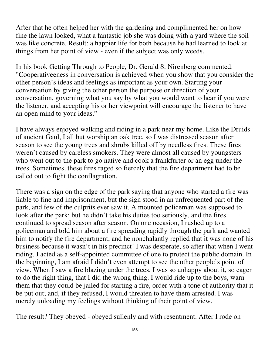After that he often helped her with the gardening and complimented her on how fine the lawn looked, what a fantastic job she was doing with a yard where the soil was like concrete. Result: a happier life for both because he had learned to look at things from her point of view - even if the subject was only weeds.

In his book Getting Through to People, Dr. Gerald S. Nirenberg commented: "Cooperativeeness in conversation is achieved when you show that you consider the other person's ideas and feelings as important as your own. Starting your conversation by giving the other person the purpose or direction of your conversation, governing what you say by what you would want to hear if you were the listener, and accepting his or her viewpoint will encourage the listener to have an open mind to your ideas."

I have always enjoyed walking and riding in a park near my home. Like the Druids of ancient Gaul, I all but worship an oak tree, so I was distressed season after season to see the young trees and shrubs killed off by needless fires. These fires weren't caused by careless smokers. They were almost all caused by youngsters who went out to the park to go native and cook a frankfurter or an egg under the trees. Sometimes, these fires raged so fiercely that the fire department had to be called out to fight the conflagration.

There was a sign on the edge of the park saying that anyone who started a fire was liable to fine and imprisonment, but the sign stood in an unfrequented part of the park, and few of the culprits ever saw it. A mounted policeman was supposed to look after the park; but he didn't take his duties too seriously, and the fires continued to spread season after season. On one occasion, I rushed up to a policeman and told him about a fire spreading rapidly through the park and wanted him to notify the fire department, and he nonchalantly replied that it was none of his business because it wasn't in his precinct! I was desperate, so after that when I went riding, I acted as a self-appointed committee of one to protect the public domain. In the beginning, I am afraid I didn't even attempt to see the other people's point of view. When I saw a fire blazing under the trees, I was so unhappy about it, so eager to do the right thing, that I did the wrong thing. I would ride up to the boys, warn them that they could be jailed for starting a fire, order with a tone of authority that it be put out; and, if they refused, I would threaten to have them arrested. I was merely unloading my feelings without thinking of their point of view.

The result? They obeyed - obeyed sullenly and with resentment. After I rode on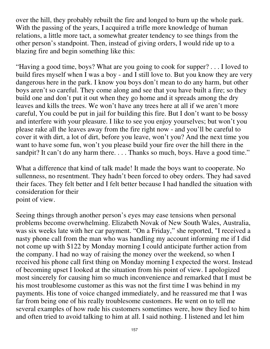over the hill, they probably rebuilt the fire and longed to burn up the whole park. With the passing of the years, I acquired a trifle more knowledge of human relations, a little more tact, a somewhat greater tendency to see things from the other person's standpoint. Then, instead of giving orders, I would ride up to a blazing fire and begin something like this:

"Having a good time, boys? What are you going to cook for supper? . . . I loved to build fires myself when I was a boy - and I still love to. But you know they are very dangerous here in the park. I know you boys don't mean to do any harm, but other boys aren't so careful. They come along and see that you have built a fire; so they build one and don't put it out when they go home and it spreads among the dry leaves and kills the trees. We won't have any trees here at all if we aren't more careful, You could be put in jail for building this fire. But I don't want to be bossy and interfere with your pleasure. I like to see you enjoy yourselves; but won't you please rake all the leaves away from the fire right now - and you'll be careful to cover it with dirt, a lot of dirt, before you leave, won't you? And the next time you want to have some fun, won't you please build your fire over the hill there in the sandpit? It can't do any harm there. . . . Thanks so much, boys. Have a good time."

What a difference that kind of talk made! It made the boys want to cooperate. No sullenness, no resentment. They hadn't been forced to obey orders. They had saved their faces. They felt better and I felt better because I had handled the situation with consideration for their point of view.

Seeing things through another person's eyes may ease tensions when personal problems become overwhelming. Elizabeth Novak of New South Wales, Australia, was six weeks late with her car payment. "On a Friday," she reported, "I received a nasty phone call from the man who was handling my account informing me if I did not come up with \$122 by Monday morning I could anticipate further action from the company. I had no way of raising the money over the weekend, so when I received his phone call first thing on Monday morning I expected the worst. Instead of becoming upset I looked at the situation from his point of view. I apologized most sincerely for causing him so much inconvenience and remarked that I must be his most troublesome customer as this was not the first time I was behind in my payments. His tone of voice changed immediately, and he reassured me that I was far from being one of his really troublesome customers. He went on to tell me several examples of how rude his customers sometimes were, how they lied to him and often tried to avoid talking to him at all. I said nothing. I listened and let him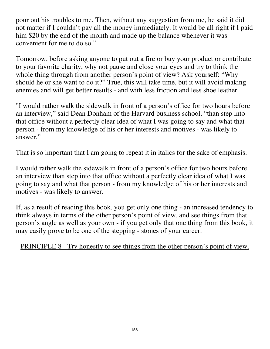pour out his troubles to me. Then, without any suggestion from me, he said it did not matter if I couldn't pay all the money immediately. It would be all right if I paid him \$20 by the end of the month and made up the balance whenever it was convenient for me to do so."

Tomorrow, before asking anyone to put out a fire or buy your product or contribute to your favorite charity, why not pause and close your eyes and try to think the whole thing through from another person's point of view? Ask yourself: "Why should he or she want to do it?" True, this will take time, but it will avoid making enemies and will get better results - and with less friction and less shoe leather.

"I would rather walk the sidewalk in front of a person's office for two hours before an interview," said Dean Donham of the Harvard business school, "than step into that office without a perfectly clear idea of what I was going to say and what that person - from my knowledge of his or her interests and motives - was likely to answer."

That is so important that I am going to repeat it in italics for the sake of emphasis.

I would rather walk the sidewalk in front of a person's office for two hours before an interview than step into that office without a perfectly clear idea of what I was going to say and what that person - from my knowledge of his or her interests and motives - was likely to answer.

If, as a result of reading this book, you get only one thing - an increased tendency to think always in terms of the other person's point of view, and see things from that person's angle as well as your own - if you get only that one thing from this book, it may easily prove to be one of the stepping - stones of your career.

PRINCIPLE 8 - Try honestly to see things from the other person's point of view.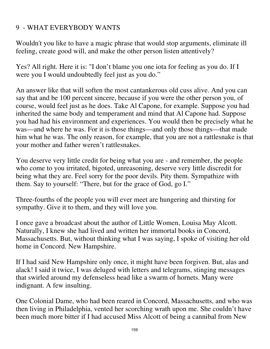### 9 - WHAT EVERYBODY WANTS

Wouldn't you like to have a magic phrase that would stop arguments, eliminate ill feeling, create good will, and make the other person listen attentively?

Yes? All right. Here it is: "I don't blame you one iota for feeling as you do. If I were you I would undoubtedly feel just as you do."

An answer like that will soften the most cantankerous old cuss alive. And you can say that and be 100 percent sincere, because if you were the other person you, of course, would feel just as he does. Take Al Capone, for example. Suppose you had inherited the same body and temperament and mind that Al Capone had. Suppose you had had his environment and experiences. You would then be precisely what he was—and where he was. For it is those things—and only those things—that made him what he was. The only reason, for example, that you are not a rattlesnake is that your mother and father weren't rattlesnakes.

You deserve very little credit for being what you are - and remember, the people who come to you irritated, bigoted, unreasoning, deserve very little discredit for being what they are. Feel sorry for the poor devils. Pity them. Sympathize with them. Say to yourself: "There, but for the grace of God, go I."

Three-fourths of the people you will ever meet are hungering and thirsting for sympathy. Give it to them, and they will love you.

I once gave a broadcast about the author of Little Women, Louisa May Alcott. Naturally, I knew she had lived and written her immortal books in Concord, Massachusetts. But, without thinking what I was saying, I spoke of visiting her old home in Concord. New Hampshire.

If I had said New Hampshire only once, it might have been forgiven. But, alas and alack! I said it twice, I was deluged with letters and telegrams, stinging messages that swirled around my defenseless head like a swarm of hornets. Many were indignant. A few insulting.

One Colonial Dame, who had been reared in Concord, Massachusetts, and who was then living in Philadelphia, vented her scorching wrath upon me. She couldn't have been much more bitter if I had accused Miss Alcott of being a cannibal from New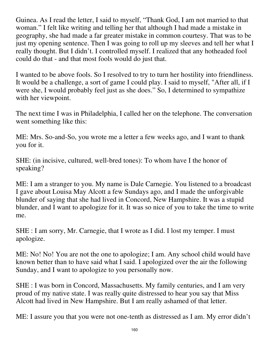Guinea. As I read the letter, I said to myself, "Thank God, I am not married to that woman." I felt like writing and telling her that although I had made a mistake in geography, she had made a far greater mistake in common courtesy. That was to be just my opening sentence. Then I was going to roll up my sleeves and tell her what I really thought. But I didn't. I controlled myself. I realized that any hotheaded fool could do that - and that most fools would do just that.

I wanted to be above fools. So I resolved to try to turn her hostility into friendliness. It would be a challenge, a sort of game I could play. I said to myself, "After all, if I were she, I would probably feel just as she does." So, I determined to sympathize with her viewpoint.

The next time I was in Philadelphia, I called her on the telephone. The conversation went something like this:

ME: Mrs. So-and-So, you wrote me a letter a few weeks ago, and I want to thank you for it.

SHE: (in incisive, cultured, well-bred tones): To whom have I the honor of speaking?

ME: I am a stranger to you. My name is Dale Carnegie. You listened to a broadcast I gave about Louisa May Alcott a few Sundays ago, and I made the unforgivable blunder of saying that she had lived in Concord, New Hampshire. It was a stupid blunder, and I want to apologize for it. It was so nice of you to take the time to write me.

SHE : I am sorry, Mr. Carnegie, that I wrote as I did. I lost my temper. I must apologize.

ME: No! No! You are not the one to apologize; I am. Any school child would have known better than to have said what I said. I apologized over the air the following Sunday, and I want to apologize to you personally now.

SHE : I was born in Concord, Massachusetts. My family centuries, and I am very proud of my native state. I was really quite distressed to hear you say that Miss Alcott had lived in New Hampshire. But I am really ashamed of that letter.

ME: I assure you that you were not one-tenth as distressed as I am. My error didn't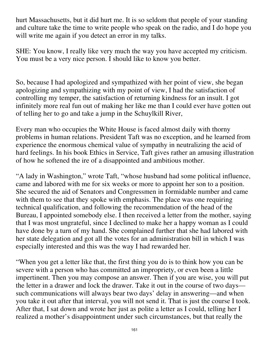hurt Massachusetts, but it did hurt me. It is so seldom that people of your standing and culture take the time to write people who speak on the radio, and I do hope you will write me again if you detect an error in my talks.

SHE: You know, I really like very much the way you have accepted my criticism. You must be a very nice person. I should like to know you better.

So, because I had apologized and sympathized with her point of view, she began apologizing and sympathizing with my point of view, I had the satisfaction of controlling my temper, the satisfaction of returning kindness for an insult. I got infinitely more real fun out of making her like me than I could ever have gotten out of telling her to go and take a jump in the Schuylkill River,

Every man who occupies the White House is faced almost daily with thorny problems in human relations. President Taft was no exception, and he learned from experience the enormous chemical value of sympathy in neutralizing the acid of hard feelings. In his book Ethics in Service, Taft gives rather an amusing illustration of how he softened the ire of a disappointed and ambitious mother.

"A lady in Washington," wrote Taft, "whose husband had some political influence, came and labored with me for six weeks or more to appoint her son to a position. She secured the aid of Senators and Congressmen in formidable number and came with them to see that they spoke with emphasis. The place was one requiring technical qualification, and following the recommendation of the head of the Bureau, I appointed somebody else. I then received a letter from the mother, saying that I was most ungrateful, since I declined to make her a happy woman as I could have done by a turn of my hand. She complained further that she had labored with her state delegation and got all the votes for an administration bill in which I was especially interested and this was the way I had rewarded her.

"When you get a letter like that, the first thing you do is to think how you can be severe with a person who has committed an impropriety, or even been a little impertinent. Then you may compose an answer. Then if you are wise, you will put the letter in a drawer and lock the drawer. Take it out in the course of two days such communications will always bear two days' delay in answering—and when you take it out after that interval, you will not send it. That is just the course I took. After that, I sat down and wrote her just as polite a letter as I could, telling her I realized a mother's disappointment under such circumstances, but that really the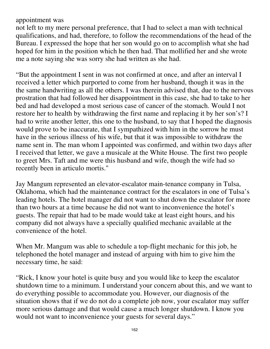appointment was

not left to my mere personal preference, that I had to select a man with technical qualifications, and had, therefore, to follow the recommendations of the head of the Bureau. I expressed the hope that her son would go on to accomplish what she had hoped for him in the position which he then had. That mollified her and she wrote me a note saying she was sorry she had written as she had.

"But the appointment I sent in was not confirmed at once, and after an interval I received a letter which purported to come from her husband, though it was in the the same handwriting as all the others. I was therein advised that, due to the nervous prostration that had followed her disappointment in this case, she had to take to her bed and had developed a most serious case of cancer of the stomach. Would I not restore her to health by withdrawing the first name and replacing it by her son's? I had to write another letter, this one to the husband, to say that I hoped the diagnosis would prove to be inaccurate, that I sympathized with him in the sorrow he must have in the serious illness of his wife, but that it was impossible to withdraw the name sent in. The man whom I appointed was confirmed, and within two days after I received that letter, we gave a musicale at the White House. The first two people to greet Mrs. Taft and me were this husband and wife, though the wife had so recently been in articulo mortis."

Jay Mangum represented an elevator-escalator main-tenance company in Tulsa, Oklahoma, which had the maintenance contract for the escalators in one of Tulsa's leading hotels. The hotel manager did not want to shut down the escalator for more than two hours at a time because he did not want to inconvenience the hotel's guests. The repair that had to be made would take at least eight hours, and his company did not always have a specially qualified mechanic available at the convenience of the hotel.

When Mr. Mangum was able to schedule a top-flight mechanic for this job, he telephoned the hotel manager and instead of arguing with him to give him the necessary time, he said:

"Rick, I know your hotel is quite busy and you would like to keep the escalator shutdown time to a minimum. I understand your concern about this, and we want to do everything possible to accommodate you. However, our diagnosis of the situation shows that if we do not do a complete job now, your escalator may suffer more serious damage and that would cause a much longer shutdown. I know you would not want to inconvenience your guests for several days."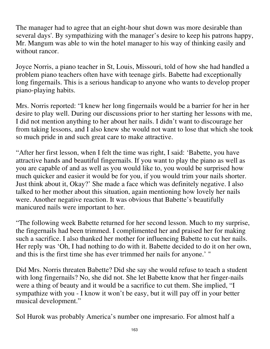The manager had to agree that an eight-hour shut down was more desirable than several days'. By sympathizing with the manager's desire to keep his patrons happy, Mr. Mangum was able to win the hotel manager to his way of thinking easily and without rancor.

Joyce Norris, a piano teacher in St, Louis, Missouri, told of how she had handled a problem piano teachers often have with teenage girls. Babette had exceptionally long fingernails. This is a serious handicap to anyone who wants to develop proper piano-playing habits.

Mrs. Norris reported: "I knew her long fingernails would be a barrier for her in her desire to play well. During our discussions prior to her starting her lessons with me, I did not mention anything to her about her nails. I didn't want to discourage her from taking lessons, and I also knew she would not want to lose that which she took so much pride in and such great care to make attractive.

"After her first lesson, when I felt the time was right, I said: 'Babette, you have attractive hands and beautiful fingernails. If you want to play the piano as well as you are capable of and as well as you would like to, you would be surprised how much quicker and easier it would be for you, if you would trim your nails shorter. Just think about it, Okay?' She made a face which was definitely negative. I also talked to her mother about this situation, again mentioning how lovely her nails were. Another negative reaction. It was obvious that Babette's beautifully manicured nails were important to her.

"The following week Babette returned for her second lesson. Much to my surprise, the fingernails had been trimmed. I complimented her and praised her for making such a sacrifice. I also thanked her mother for influencing Babette to cut her nails. Her reply was 'Oh, I had nothing to do with it. Babette decided to do it on her own, and this is the first time she has ever trimmed her nails for anyone.' "

Did Mrs. Norris threaten Babette? Did she say she would refuse to teach a student with long fingernails? No, she did not. She let Babette know that her finger-nails were a thing of beauty and it would be a sacrifice to cut them. She implied, "I sympathize with you - I know it won't be easy, but it will pay off in your better musical development."

Sol Hurok was probably America's number one impresario. For almost half a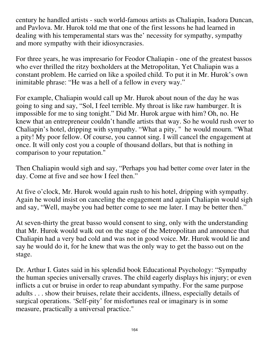century he handled artists - such world-famous artists as Chaliapin, Isadora Duncan, and Pavlova. Mr. Hurok told me that one of the first lessons he had learned in dealing with his temperamental stars was the' necessity for sympathy, sympathy and more sympathy with their idiosyncrasies.

For three years, he was impresario for Feodor Chaliapin - one of the greatest bassos who ever thrilled the ritzy boxholders at the Metropolitan, Yet Chaliapin was a constant problem. He carried on like a spoiled child. To put it in Mr. Hurok's own inimitable phrase: "He was a hell of a fellow in every way."

For example, Chaliapin would call up Mr. Hurok about noun of the day he was going to sing and say, "Sol, I feel terrible. My throat is like raw hamburger. It is impossible for me to sing tonight." Did Mr. Hurok argue with him? Oh, no. He knew that an entrepreneur couldn't handle artists that way. So he would rush over to Chaliapin's hotel, dripping with sympathy. "What a pity, " he would mourn. "What a pity! My poor fellow. Of course, you cannot sing. I will cancel the engagement at once. It will only cost you a couple of thousand dollars, but that is nothing in comparison to your reputation."

Then Chaliapin would sigh and say, "Perhaps you had better come over later in the day. Come at five and see how I feel then."

At five o'clock, Mr. Hurok would again rush to his hotel, dripping with sympathy. Again he would insist on canceling the engagement and again Chaliapin would sigh and say, "Well, maybe you had better come to see me later. I may be better then."

At seven-thirty the great basso would consent to sing, only with the understanding that Mr. Hurok would walk out on the stage of the Metropolitan and announce that Chaliapin had a very bad cold and was not in good voice. Mr. Hurok would lie and say he would do it, for he knew that was the only way to get the basso out on the stage.

Dr. Arthur I. Gates said in his splendid book Educational Psychology: "Sympathy the human species universally craves. The child eagerly displays his injury; or even inflicts a cut or bruise in order to reap abundant sympathy. For the same purpose adults . . . show their bruises, relate their accidents, illness, especially details of surgical operations. 'Self-pity' for misfortunes real or imaginary is in some measure, practically a universal practice."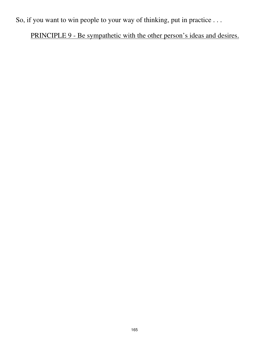So, if you want to win people to your way of thinking, put in practice . . .

PRINCIPLE 9 - Be sympathetic with the other person's ideas and desires.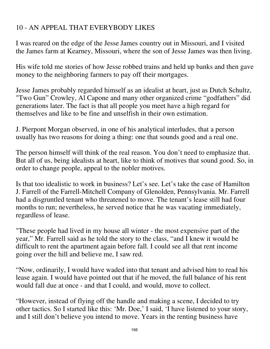# 10 - AN APPEAL THAT EVERYBODY LIKES

I was reared on the edge of the Jesse James country out in Missouri, and I visited the James farm at Kearney, Missouri, where the son of Jesse James was then living.

His wife told me stories of how Jesse robbed trains and held up banks and then gave money to the neighboring farmers to pay off their mortgages.

Jesse James probably regarded himself as an idealist at heart, just as Dutch Schultz, "Two Gun" Crowley, Al Capone and many other organized crime "godfathers" did generations later. The fact is that all people you meet have a high regard for themselves and like to be fine and unselfish in their own estimation.

J. Pierpont Morgan observed, in one of his analytical interludes, that a person usually has two reasons for doing a thing: one that sounds good and a real one.

The person himself will think of the real reason. You don't need to emphasize that. But all of us, being idealists at heart, like to think of motives that sound good. So, in order to change people, appeal to the nobler motives.

Is that too idealistic to work in business? Let's see. Let's take the case of Hamilton J. Farrell of the Farrell-Mitchell Company of Glenolden, Pennsylvania. Mr. Farrell had a disgruntled tenant who threatened to move. The tenant's lease still had four months to run; nevertheless, he served notice that he was vacating immediately, regardless of lease.

"These people had lived in my house all winter - the most expensive part of the year," Mr. Farrell said as he told the story to the class, "and I knew it would be difficult to rent the apartment again before fall. I could see all that rent income going over the hill and believe me, I saw red.

"Now, ordinarily, I would have waded into that tenant and advised him to read his lease again. I would have pointed out that if he moved, the full balance of his rent would fall due at once - and that I could, and would, move to collect.

"However, instead of flying off the handle and making a scene, I decided to try other tactics. So I started like this: 'Mr. Doe,' I said, 'I have listened to your story, and I still don't believe you intend to move. Years in the renting business have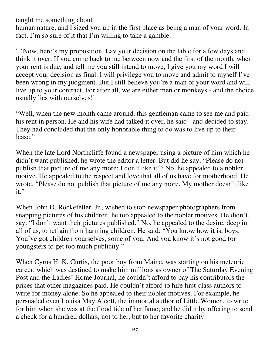taught me something about

human nature, and I sized you up in the first place as being a man of your word. In fact, I'm so sure of it that I'm willing to take a gamble.

" 'Now, here's my proposition. Lav your decision on the table for a few days and think it over. If you come back to me between now and the first of the month, when your rent is due, and tell me you still intend to move, I give you my word I will accept your decision as final. I will privilege you to move and admit to myself I've been wrong in my judgment. But I still believe you're a man of your word and will live up to your contract. For after all, we are either men or monkeys - and the choice usually lies with ourselves!'

"Well, when the new month came around, this gentleman came to see me and paid his rent in person. He and his wife had talked it over, he said - and decided to stay. They had concluded that the only honorable thing to do was to live up to their lease."

When the late Lord Northcliffe found a newspaper using a picture of him which he didn't want published, he wrote the editor a letter. But did he say, "Please do not publish that picture of me any more; I don't like it"? No, he appealed to a nobler motive. He appealed to the respect and love that all of us have for motherhood. He wrote, "Please do not publish that picture of me any more. My mother doesn't like it."

When John D. Rockefeller, Jr., wished to stop newspaper photographers from snapping pictures of his children, he too appealed to the nobler motives. He didn't, say: "I don't want their pictures published." No, he appealed to the desire, deep in all of us, to refrain from harming children. He said: "You know how it is, boys. You've got children yourselves, some of you. And you know it's not good for youngsters to get too much publicity."

When Cyrus H. K. Curtis, the poor boy from Maine, was starting on his meteoric career, which was destined to make him millions as owner of The Saturday Evening Post and the Ladies' Home Journal, he couldn't afford to pay his contributors the prices that other magazines paid. He couldn't afford to hire first-class authors to write for money alone. So he appealed to their nobler motives. For example, he persuaded even Louisa May Alcott, the immortal author of Little Women, to write for him when she was at the flood tide of her fame; and he did it by offering to send a check for a hundred dollars, not to her, but to her favorite charity.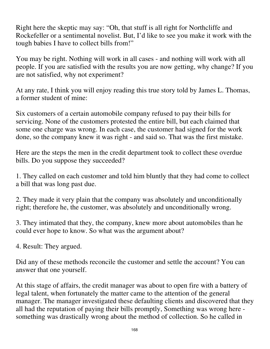Right here the skeptic may say: "Oh, that stuff is all right for Northcliffe and Rockefeller or a sentimental novelist. But, I'd like to see you make it work with the tough babies I have to collect bills from!"

You may be right. Nothing will work in all cases - and nothing will work with all people. If you are satisfied with the results you are now getting, why change? If you are not satisfied, why not experiment?

At any rate, I think you will enjoy reading this true story told by James L. Thomas, a former student of mine:

Six customers of a certain automobile company refused to pay their bills for servicing. None of the customers protested the entire bill, but each claimed that some one charge was wrong. In each case, the customer had signed for the work done, so the company knew it was right - and said so. That was the first mistake.

Here are the steps the men in the credit department took to collect these overdue bills. Do you suppose they succeeded?

1. They called on each customer and told him bluntly that they had come to collect a bill that was long past due.

2. They made it very plain that the company was absolutely and unconditionally right; therefore he, the customer, was absolutely and unconditionally wrong.

3. They intimated that they, the company, knew more about automobiles than he could ever hope to know. So what was the argument about?

4. Result: They argued.

Did any of these methods reconcile the customer and settle the account? You can answer that one yourself.

At this stage of affairs, the credit manager was about to open fire with a battery of legal talent, when fortunately the matter came to the attention of the general manager. The manager investigated these defaulting clients and discovered that they all had the reputation of paying their bills promptly, Something was wrong here something was drastically wrong about the method of collection. So he called in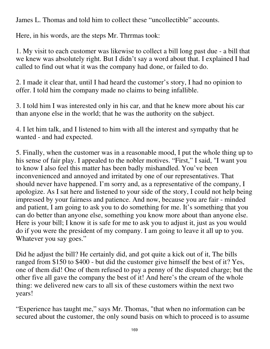James L. Thomas and told him to collect these "uncollectible" accounts.

Here, in his words, are the steps Mr. Thrrmas took:

1. My visit to each customer was likewise to collect a bill long past due - a bill that we knew was absolutely right. But I didn't say a word about that. I explained I had called to find out what it was the company had done, or failed to do.

2. I made it clear that, until I had heard the customer's story, I had no opinion to offer. I told him the company made no claims to being infallible.

3. I told him I was interested only in his car, and that he knew more about his car than anyone else in the world; that he was the authority on the subject.

4. I let him talk, and I listened to him with all the interest and sympathy that he wanted - and had expected.

5. Finally, when the customer was in a reasonable mood, I put the whole thing up to his sense of fair play. I appealed to the nobler motives. "First," I said, "I want you to know I also feel this matter has been badly mishandled. You've been inconvenienced and annoyed and irritated by one of our representatives. That should never have happened. I'm sorry and, as a representative of the company, I apologize. As I sat here and listened to your side of the story, I could not help being impressed by your fairness and patience. And now, because you are fair - minded and patient, I am going to ask you to do something for me. It's something that you can do better than anyone else, something you know more about than anyone else. Here is your bill; I know it is safe for me to ask you to adjust it, just as you would do if you were the president of my company. I am going to leave it all up to you. Whatever you say goes."

Did he adjust the bill? He certainly did, and got quite a kick out of it, The bills ranged from \$150 to \$400 - but did the customer give himself the best of it? Yes, one of them did! One of them refused to pay a penny of the disputed charge; but the other five all gave the company the best of it! And here's the cream of the whole thing: we delivered new cars to all six of these customers within the next two years!

"Experience has taught me," says Mr. Thomas, "that when no information can be secured about the customer, the only sound basis on which to proceed is to assume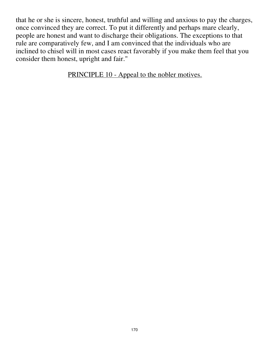that he or she is sincere, honest, truthful and willing and anxious to pay the charges, once convinced they are correct. To put it differently and perhaps mare clearly, people are honest and want to discharge their obligations. The exceptions to that rule are comparatively few, and I am convinced that the individuals who are inclined to chisel will in most cases react favorably if you make them feel that you consider them honest, upright and fair."

PRINCIPLE 10 - Appeal to the nobler motives.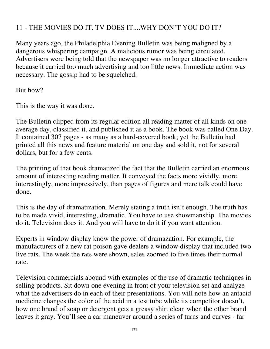## 11 - THE MOVIES DO IT. TV DOES IT....WHY DON'T YOU DO IT?

Many years ago, the Philadelphia Evening Bulletin was being maligned by a dangerous whispering campaign. A malicious rumor was being circulated. Advertisers were being told that the newspaper was no longer attractive to readers because it carried too much advertising and too little news. Immediate action was necessary. The gossip had to be squelched.

But how?

This is the way it was done.

The Bulletin clipped from its regular edition all reading matter of all kinds on one average day, classified it, and published it as a book. The book was called One Day. It contained 307 pages - as many as a hard-covered book; yet the Bulletin had printed all this news and feature material on one day and sold it, not for several dollars, but for a few cents.

The printing of that book dramatized the fact that the Bulletin carried an enormous amount of interesting reading matter. It conveyed the facts more vividly, more interestingly, more impressively, than pages of figures and mere talk could have done.

This is the day of dramatization. Merely stating a truth isn't enough. The truth has to be made vivid, interesting, dramatic. You have to use showmanship. The movies do it. Television does it. And you will have to do it if you want attention.

Experts in window display know the power of dramazation. For example, the manufacturers of a new rat poison gave dealers a window display that included two live rats. The week the rats were shown, sales zoomed to five times their normal rate.

Television commercials abound with examples of the use of dramatic techniques in selling products. Sit down one evening in front of your television set and analyze what the advertisers do in each of their presentations. You will note how an antacid medicine changes the color of the acid in a test tube while its competitor doesn't, how one brand of soap or detergent gets a greasy shirt clean when the other brand leaves it gray. You'll see a car maneuver around a series of turns and curves - far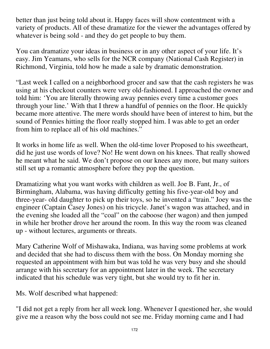better than just being told about it. Happy faces will show contentment with a variety of products. All of these dramatize for the viewer the advantages offered by whatever is being sold - and they do get people to buy them.

You can dramatize your ideas in business or in any other aspect of your life. It's easy. Jim Yeamans, who sells for the NCR company (National Cash Register) in Richmond, Virginia, told how he made a sale by dramatic demonstration.

"Last week I called on a neighborhood grocer and saw that the cash registers he was using at his checkout counters were very old-fashioned. I approached the owner and told him: 'You are literally throwing away pennies every time a customer goes through your line.' With that I threw a handful of pennies on the floor. He quickly became more attentive. The mere words should have been of interest to him, but the sound of Pennies hitting the floor really stopped him. I was able to get an order from him to replace all of his old machines."

It works in home life as well. When the old-time lover Proposed to his sweetheart, did he just use words of love? No! He went down on his knees. That really showed he meant what he said. We don't propose on our knees any more, but many suitors still set up a romantic atmosphere before they pop the question.

Dramatizing what you want works with children as well. Joe B. Fant, Jr., of Birmingham, Alabama, was having difficulty getting his five-year-old boy and three-year- old daughter to pick up their toys, so he invented a "train." Joey was the engineer (Captain Casey Jones) on his tricycle. Janet's wagon was attached, and in the evening she loaded all the "coal" on the caboose (her wagon) and then jumped in while her brother drove her around the room. In this way the room was cleaned up - without lectures, arguments or threats.

Mary Catherine Wolf of Mishawaka, Indiana, was having some problems at work and decided that she had to discuss them with the boss. On Monday morning she requested an appointment with him but was told he was very busy and she should arrange with his secretary for an appointment later in the week. The secretary indicated that his schedule was very tight, but she would try to fit her in.

Ms. Wolf described what happened:

"I did not get a reply from her all week long. Whenever I questioned her, she would give me a reason why the boss could not see me. Friday morning came and I had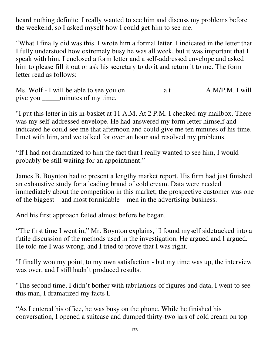heard nothing definite. I really wanted to see him and discuss my problems before the weekend, so I asked myself how I could get him to see me.

"What I finally did was this. I wrote him a formal letter. I indicated in the letter that I fully understood how extremely busy he was all week, but it was important that I speak with him. I enclosed a form letter and a self-addressed envelope and asked him to please fill it out or ask his secretary to do it and return it to me. The form letter read as follows:

Ms. Wolf - I will be able to see you on \_\_\_\_\_\_\_\_\_\_ a t\_\_\_\_\_\_\_\_\_\_A.M/P.M. I will give you \_\_\_\_\_minutes of my time.

"I put this letter in his in-basket at 11 A.M. At 2 P.M. I checked my mailbox. There was my self-addressed envelope. He had answered my form letter himself and indicated he could see me that afternoon and could give me ten minutes of his time. I met with him, and we talked for over an hour and resolved my problems.

"If I had not dramatized to him the fact that I really wanted to see him, I would probably be still waiting for an appointment."

James B. Boynton had to present a lengthy market report. His firm had just finished an exhaustive study for a leading brand of cold cream. Data were needed immediately about the competition in this market; the prospective customer was one of the biggest—and most formidable—men in the advertising business.

And his first approach failed almost before he began.

"The first time I went in," Mr. Boynton explains, "I found myself sidetracked into a futile discussion of the methods used in the investigation. He argued and I argued. He told me I was wrong, and I tried to prove that I was right.

"I finally won my point, to my own satisfaction - but my time was up, the interview was over, and I still hadn't produced results.

"The second time, I didn't bother with tabulations of figures and data, I went to see this man, I dramatized my facts I.

"As I entered his office, he was busy on the phone. While he finished his conversation, I opened a suitcase and dumped thirty-two jars of cold cream on top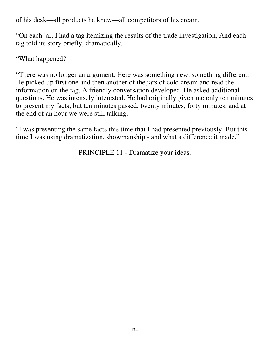of his desk—all products he knew—all competitors of his cream.

"On each jar, I had a tag itemizing the results of the trade investigation, And each tag told its story briefly, dramatically.

"What happened?

"There was no longer an argument. Here was something new, something different. He picked up first one and then another of the jars of cold cream and read the information on the tag. A friendly conversation developed. He asked additional questions. He was intensely interested. He had originally given me only ten minutes to present my facts, but ten minutes passed, twenty minutes, forty minutes, and at the end of an hour we were still talking.

"I was presenting the same facts this time that I had presented previously. But this time I was using dramatization, showmanship - and what a difference it made."

PRINCIPLE 11 - Dramatize your ideas.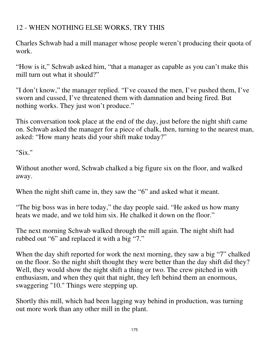# 12 - WHEN NOTHING ELSE WORKS, TRY THIS

Charles Schwab had a mill manager whose people weren't producing their quota of work.

"How is it," Schwab asked him, "that a manager as capable as you can't make this mill turn out what it should?"

"I don't know," the manager replied. "I've coaxed the men, I've pushed them, I've sworn and cussed, I've threatened them with damnation and being fired. But nothing works. They just won't produce."

This conversation took place at the end of the day, just before the night shift came on. Schwab asked the manager for a piece of chalk, then, turning to the nearest man, asked: "How many heats did your shift make today?"

"Six."

Without another word, Schwab chalked a big figure six on the floor, and walked away.

When the night shift came in, they saw the "6" and asked what it meant.

"The big boss was in here today," the day people said. "He asked us how many heats we made, and we told him six. He chalked it down on the floor."

The next morning Schwab walked through the mill again. The night shift had rubbed out "6" and replaced it with a big "7."

When the day shift reported for work the next morning, they saw a big "7" chalked on the floor. So the night shift thought they were better than the day shift did they? Well, they would show the night shift a thing or two. The crew pitched in with enthusiasm, and when they quit that night, they left behind them an enormous, swaggering "10." Things were stepping up.

Shortly this mill, which had been lagging way behind in production, was turning out more work than any other mill in the plant.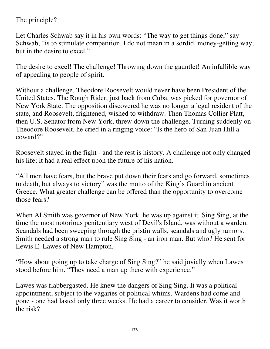The principle?

Let Charles Schwab say it in his own words: "The way to get things done," say Schwab, "is to stimulate competition. I do not mean in a sordid, money-getting way, but in the desire to excel."

The desire to excel! The challenge! Throwing down the gauntlet! An infallible way of appealing to people of spirit.

Without a challenge, Theodore Roosevelt would never have been President of the United States. The Rough Rider, just back from Cuba, was picked for governor of New York State. The opposition discovered he was no longer a legal resident of the state, and Roosevelt, frightened, wished to withdraw. Then Thomas Collier Platt, then U.S. Senator from New York, threw down the challenge. Turning suddenly on Theodore Roosevelt, he cried in a ringing voice: "Is the hero of San Juan Hill a coward?"

Roosevelt stayed in the fight - and the rest is history. A challenge not only changed his life; it had a real effect upon the future of his nation.

"All men have fears, but the brave put down their fears and go forward, sometimes to death, but always to victory" was the motto of the King's Guard in ancient Greece. What greater challenge can be offered than the opportunity to overcome those fears?

When Al Smith was governor of New York, he was up against it. Sing Sing, at the time the most notorious penitentiary west of Devil's Island, was without a warden. Scandals had been sweeping through the pristin walls, scandals and ugly rumors. Smith needed a strong man to rule Sing Sing - an iron man. But who? He sent for Lewis E. Lawes of New Hampton.

"How about going up to take charge of Sing Sing?" he said jovially when Lawes stood before him. "They need a man up there with experience."

Lawes was flabbergasted. He knew the dangers of Sing Sing. It was a political appointment, subject to the vagaries of political whims. Wardens had come and gone - one had lasted only three weeks. He had a career to consider. Was it worth the risk?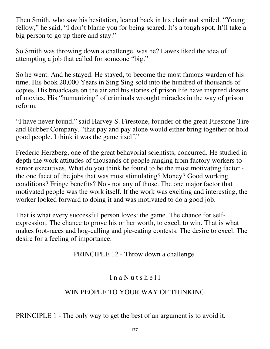Then Smith, who saw his hesitation, leaned back in his chair and smiled. "Young fellow," he said, "I don't blame you for being scared. It's a tough spot. It'll take a big person to go up there and stay."

So Smith was throwing down a challenge, was he? Lawes liked the idea of attempting a job that called for someone "big."

So he went. And he stayed. He stayed, to become the most famous warden of his time. His book 20,000 Years in Sing Sing sold into the hundred of thousands of copies. His broadcasts on the air and his stories of prison life have inspired dozens of movies. His "humanizing" of criminals wrought miracles in the way of prison reform.

"I have never found," said Harvey S. Firestone, founder of the great Firestone Tire and Rubber Company, "that pay and pay alone would either bring together or hold good people. I think it was the game itself."

Frederic Herzberg, one of the great behavorial scientists, concurred. He studied in depth the work attitudes of thousands of people ranging from factory workers to senior executives. What do you think he found to be the most motivating factor the one facet of the jobs that was most stimulating? Money? Good working conditions? Fringe benefits? No - not any of those. The one major factor that motivated people was the work itself. If the work was exciting and interesting, the worker looked forward to doing it and was motivated to do a good job.

That is what every successful person loves: the game. The chance for selfexpression. The chance to prove his or her worth, to excel, to win. That is what makes foot-races and hog-calling and pie-eating contests. The desire to excel. The desire for a feeling of importance.

#### PRINCIPLE 12 - Throw down a challenge.

## I n a N u t s h e 11

## WIN PEOPLE TO YOUR WAY OF THINKING

PRINCIPLE 1 - The only way to get the best of an argument is to avoid it.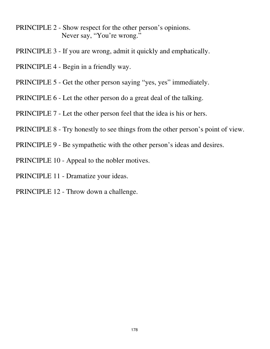- PRINCIPLE 2 Show respect for the other person's opinions. Never say, "You're wrong."
- PRINCIPLE 3 If you are wrong, admit it quickly and emphatically.
- PRINCIPLE 4 Begin in a friendly way.
- PRINCIPLE 5 Get the other person saying "yes, yes" immediately.
- PRINCIPLE 6 Let the other person do a great deal of the talking.
- PRINCIPLE 7 Let the other person feel that the idea is his or hers.
- PRINCIPLE 8 Try honestly to see things from the other person's point of view.
- PRINCIPLE 9 Be sympathetic with the other person's ideas and desires.
- PRINCIPLE 10 Appeal to the nobler motives.
- PRINCIPLE 11 Dramatize your ideas.
- PRINCIPLE 12 Throw down a challenge.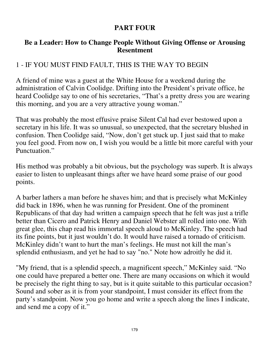### **PART FOUR**

### **Be a Leader: How to Change People Without Giving Offense or Arousing Resentment**

# 1 - IF YOU MUST FIND FAULT, THIS IS THE WAY TO BEGIN

A friend of mine was a guest at the White House for a weekend during the administration of Calvin Coolidge. Drifting into the President's private office, he heard Coolidge say to one of his secretaries, "That's a pretty dress you are wearing this morning, and you are a very attractive young woman."

That was probably the most effusive praise Silent Cal had ever bestowed upon a secretary in his life. It was so unusual, so unexpected, that the secretary blushed in confusion. Then Coolidge said, "Now, don't get stuck up. I just said that to make you feel good. From now on, I wish you would be a little bit more careful with your Punctuation."

His method was probably a bit obvious, but the psychology was superb. It is always easier to listen to unpleasant things after we have heard some praise of our good points.

A barber lathers a man before he shaves him; and that is precisely what McKinley did back in 1896, when he was running for President. One of the prominent Republicans of that day had written a campaign speech that he felt was just a trifle better than Cicero and Patrick Henry and Daniel Webster all rolled into one. With great glee, this chap read his immortal speech aloud to McKinley. The speech had its fine points, but it just wouldn't do. It would have raised a tornado of criticism. McKinley didn't want to hurt the man's feelings. He must not kill the man's splendid enthusiasm, and yet he had to say "no." Note how adroitly he did it.

"My friend, that is a splendid speech, a magnificent speech," McKinley said. "No one could have prepared a better one. There are many occasions on which it would be precisely the right thing to say, but is it quite suitable to this particular occasion? Sound and sober as it is from your standpoint, I must consider its effect from the party's standpoint. Now you go home and write a speech along the lines I indicate, and send me a copy of it."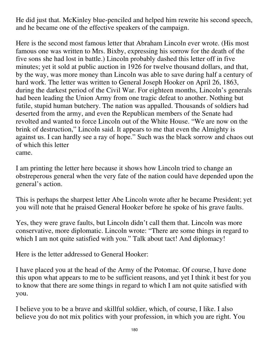He did just that. McKinley blue-penciled and helped him rewrite his second speech, and he became one of the effective speakers of the campaign.

Here is the second most famous letter that Abraham Lincoln ever wrote. (His most famous one was written to Mrs. Bixby, expressing his sorrow for the death of the five sons she had lost in battle.) Lincoln probably dashed this letter off in five minutes; yet it sold at public auction in 1926 for twelve thousand dollars, and that, by the way, was more money than Lincoln was able to save during half a century of hard work. The letter was written to General Joseph Hooker on April 26, 1863, during the darkest period of the Civil War. For eighteen months, Lincoln's generals had been leading the Union Army from one tragic defeat to another. Nothing but futile, stupid human butchery. The nation was appalled. Thousands of soldiers had deserted from the army, and even the Republican members of the Senate had revolted and wanted to force Lincoln out of the White House. "We are now on the brink of destruction," Lincoln said. It appears to me that even the Almighty is against us. I can hardly see a ray of hope." Such was the black sorrow and chaos out of which this letter came.

I am printing the letter here because it shows how Lincoln tried to change an obstreperous general when the very fate of the nation could have depended upon the general's action.

This is perhaps the sharpest letter Abe Lincoln wrote after he became President; yet you will note that he praised General Hooker before he spoke of his grave faults.

Yes, they were grave faults, but Lincoln didn't call them that. Lincoln was more conservative, more diplomatic. Lincoln wrote: "There are some things in regard to which I am not quite satisfied with you." Talk about tact! And diplomacy!

Here is the letter addressed to General Hooker:

I have placed you at the head of the Army of the Potomac. Of course, I have done this upon what appears to me to be sufficient reasons, and yet I think it best for you to know that there are some things in regard to which I am not quite satisfied with you.

I believe you to be a brave and skillful soldier, which, of course, I like. I also believe you do not mix politics with your profession, in which you are right. You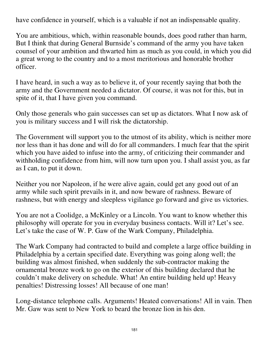have confidence in yourself, which is a valuable if not an indispensable quality.

You are ambitious, which, within reasonable bounds, does good rather than harm, But I think that during General Burnside's command of the army you have taken counsel of your ambition and thwarted him as much as you could, in which you did a great wrong to the country and to a most meritorious and honorable brother officer.

I have heard, in such a way as to believe it, of your recently saying that both the army and the Government needed a dictator. Of course, it was not for this, but in spite of it, that I have given you command.

Only those generals who gain successes can set up as dictators. What I now ask of you is military success and I will risk the dictatorship.

The Government will support you to the utmost of its ability, which is neither more nor less than it has done and will do for all commanders. I much fear that the spirit which you have aided to infuse into the army, of criticizing their commander and withholding confidence from him, will now turn upon you. I shall assist you, as far as I can, to put it down.

Neither you nor Napoleon, if he were alive again, could get any good out of an army while such spirit prevails in it, and now beware of rashness. Beware of rashness, but with energy and sleepless vigilance go forward and give us victories.

You are not a Coolidge, a McKinley or a Lincoln. You want to know whether this philosophy will operate for you in everyday business contacts. Will it? Let's see. Let's take the case of W. P. Gaw of the Wark Company, Philadelphia.

The Wark Company had contracted to build and complete a large office building in Philadelphia by a certain specified date. Everything was going along well; the building was almost finished, when suddenly the sub-contractor making the ornamental bronze work to go on the exterior of this building declared that he couldn't make delivery on schedule. What! An entire building held up! Heavy penalties! Distressing losses! All because of one man!

Long-distance telephone calls. Arguments! Heated conversations! All in vain. Then Mr. Gaw was sent to New York to beard the bronze lion in his den.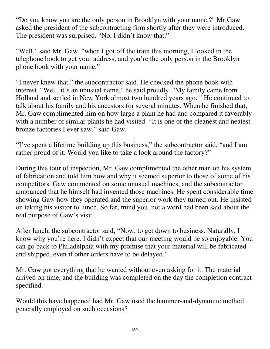"Do you know you are the only person in Brooklyn with your name,?" Mr Gaw asked the president of the subcontracting firm shortly after they were introduced. The president was surprised. "No, I didn't know that."

"Well," said Mr. Gaw, "when I got off the train this morning, I looked in the telephone book to get your address, and you're the only person in the Brooklyn phone book with your name."

"I never knew that," the subcontractor said. He checked the phone book with interest. "Well, it's an unusual name," he said proudly. "My family came from Holland and settled in New York almost two hundred years ago. " He continued to talk about his family and his ancestors for several minutes. When he finished that, Mr. Gaw complimented him on how large a plant he had and compared it favorably with a number of similar plants he had visited. "It is one of the cleanest and neatest bronze factories I ever saw," said Gaw.

"I've spent a lifetime building up this business," the subcontractor said, "and I am rather proud of it. Would you like to take a look around the factory?"

During this tour of inspection, Mr. Gaw complimented the other man on his system of fabrication and told him how and why it seemed superior to those of some of his competitors. Gaw commented on some unusual machines, and the subcontractor announced that he himself had invented those machines. He spent considerable time showing Gaw how they operated and the superior work they turned out. He insisted on taking his visitor to lunch. So far, mind you, not a word had been said about the real purpose of Gaw's visit.

After lunch, the subcontractor said, "Now, to get down to business. Naturally, I know why you're here. I didn't expect that our meeting would be so enjoyable. You can go back to Philadelphia with my promise that your material will be fabricated and shipped, even if other orders have to be delayed."

Mr. Gaw got everything that he wanted without even asking for it. The material arrived on time, and the building was completed on the day the completion contract specified.

Would this have happened had Mr. Gaw used the hammer-and-dynamite method generally employed on such occasions?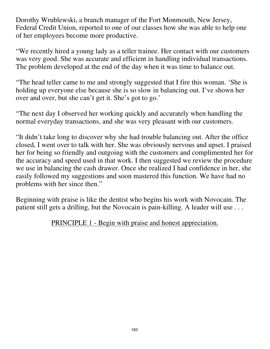Dorothy Wrublewski, a branch manager of the Fort Monmouth, New Jersey, Federal Credit Union, reported to one of our classes how she was able to help one of her employees become more productive.

"We recently hired a young lady as a teller trainee. Her contact with our customers was very good. She was accurate and efficient in handling individual transactions. The problem developed at the end of the day when it was time to balance out.

"The head teller came to me and strongly suggested that I fire this woman. 'She is holding up everyone else because she is so slow in balancing out. I've shown her over and over, but she can't get it. She's got to go.'

"The next day I observed her working quickly and accurately when handling the normal everyday transactions, and she was very pleasant with our customers.

"It didn't take long to discover why she had trouble balancing out. After the office closed, I went over to talk with her. She was obviously nervous and upset. I praised her for being so friendly and outgoing with the customers and complimented her for the accuracy and speed used in that work. I then suggested we review the procedure we use in balancing the cash drawer. Once she realized I had confidence in her, she easily followed my suggestions and soon mastered this function. We have had no problems with her since then."

Beginning with praise is like the dentist who begins his work with Novocain. The patient still gets a drilling, but the Novocain is pain-killing. A leader will use . . .

#### PRINCIPLE 1 - Begin with praise and honest appreciation.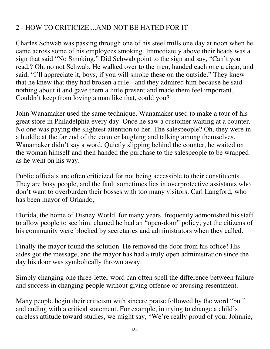## 2 - HOW TO CRITICIZE....AND NOT BE HATED FOR IT

Charles Schwab was passing through one of his steel mills one day at noon when he came across some of his employees smoking. Immediately above their heads was a sign that said "No Smoking." Did Schwab point to the sign and say, "Can't you read.? Oh, no not Schwab. He walked over to the men, handed each one a cigar, and said, "I'll appreciate it, boys, if you will smoke these on the outside." They knew that he knew that they had broken a rule - and they admired him because he said nothing about it and gave them a little present and made them feel important. Couldn't keep from loving a man like that, could you?

John Wanamaker used the same technique. Wanamaker used to make a tour of his great store in Philadelphia every day. Once he saw a customer waiting at a counter. No one was paying the slightest attention to her. The salespeople? Oh, they were in a huddle at the far end of the counter laughing and talking among themselves. Wanamaker didn't say a word. Quietly slipping behind the counter, he waited on the woman himself and then handed the purchase to the salespeople to be wrapped as he went on his way.

Public officials are often criticized for not being accessible to their constituents. They are busy people, and the fault sometimes lies in overprotective assistants who don't want to overburden their bosses with too many visitors. Carl Langford, who has been mayor of Orlando,

Florida, the home of Disney World, for many years, frequently admonished his staff to allow people to see him. clamed he had an "open-door" policy; yet the citizens of his community were blocked by secretaries and administrators when they called.

Finally the mayor found the solution. He removed the door from his office! His aides got the message, and the mayor has had a truly open administration since the day his door was symbolically thrown away.

Simply changing one three-letter word can often spell the difference between failure and success in changing people without giving offense or arousing resentment.

Many people begin their criticism with sincere praise followed by the word "but" and ending with a critical statement. For example, in trying to change a child's careless attitude toward studies, we might say, "We're really proud of you, Johnnie,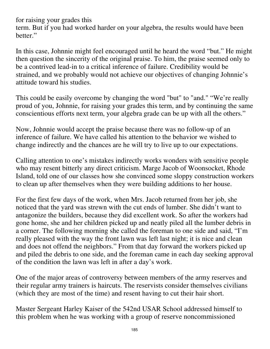for raising your grades this

term. But if you had worked harder on your algebra, the results would have been better."

In this case, Johnnie might feel encouraged until he heard the word "but." He might then question the sincerity of the original praise. To him, the praise seemed only to be a contrived lead-in to a critical inference of failure. Credibility would be strained, and we probably would not achieve our objectives of changing Johnnie's attitude toward his studies.

This could be easily overcome by changing the word "but" to "and." "We're really proud of you, Johnnie, for raising your grades this term, and by continuing the same conscientious efforts next term, your algebra grade can be up with all the others."

Now, Johnnie would accept the praise because there was no follow-up of an inference of failure. We have called his attention to the behavior we wished to change indirectly and the chances are he will try to live up to our expectations.

Calling attention to one's mistakes indirectly works wonders with sensitive people who may resent bitterly any direct criticism. Marge Jacob of Woonsocket, Rhode Island, told one of our classes how she convinced some sloppy construction workers to clean up after themselves when they were building additions to her house.

For the first few days of the work, when Mrs. Jacob returned from her job, she noticed that the yard was strewn with the cut ends of lumber. She didn't want to antagonize the builders, because they did excellent work. So after the workers had gone home, she and her children picked up and neatly piled all the lumber debris in a corner. The following morning she called the foreman to one side and said, "I'm really pleased with the way the front lawn was left last night; it is nice and clean and does not offend the neighbors." From that day forward the workers picked up and piled the debris to one side, and the foreman came in each day seeking approval of the condition the lawn was left in after a day's work.

One of the major areas of controversy between members of the army reserves and their regular army trainers is haircuts. The reservists consider themselves civilians (which they are most of the time) and resent having to cut their hair short.

Master Sergeant Harley Kaiser of the 542nd USAR School addressed himself to this problem when he was working with a group of reserve noncommissioned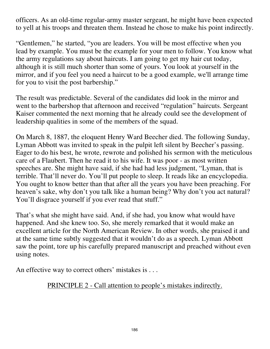officers. As an old-time regular-army master sergeant, he might have been expected to yell at his troops and threaten them. Instead he chose to make his point indirectly.

"Gentlemen," he started, "you are leaders. You will be most effective when you lead by example. You must be the example for your men to follow. You know what the army regulations say about haircuts. I am going to get my hair cut today, although it is still much shorter than some of yours. You look at yourself in the mirror, and if you feel you need a haircut to be a good example, we'll arrange time for you to visit the post barbership."

The result was predictable. Several of the candidates did look in the mirror and went to the barbershop that afternoon and received "regulation" haircuts. Sergeant Kaiser commented the next morning that he already could see the development of leadership qualities in some of the members of the squad.

On March 8, 1887, the eloquent Henry Ward Beecher died. The following Sunday, Lyman Abbott was invited to speak in the pulpit left silent by Beecher's passing. Eager to do his best, he wrote, rewrote and polished his sermon with the meticulous care of a Flaubert. Then he read it to his wife. It was poor - as most written speeches are. She might have said, if she had had less judgment, "Lyman, that is terrible. That'll never do. You'll put people to sleep. It reads like an encyclopedia. You ought to know better than that after all the years you have been preaching. For heaven's sake, why don't you talk like a human being? Why don't you act natural? You'll disgrace yourself if you ever read that stuff."

That's what she might have said. And, if she had, you know what would have happened. And she knew too. So, she merely remarked that it would make an excellent article for the North American Review. In other words, she praised it and at the same time subtly suggested that it wouldn't do as a speech. Lyman Abbott saw the point, tore up his carefully prepared manuscript and preached without even using notes.

An effective way to correct others' mistakes is . . .

#### PRINCIPLE 2 - Call attention to people's mistakes indirectly.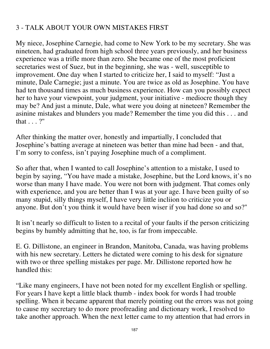## 3 - TALK ABOUT YOUR OWN MISTAKES FIRST

My niece, Josephine Carnegie, had come to New York to be my secretary. She was nineteen, had graduated from high school three years previously, and her business experience was a trifle more than zero. She became one of the most proficient secretaries west of Suez, but in the beginning, she was - well, susceptible to improvement. One day when I started to criticize her, I said to myself: "Just a minute, Dale Carnegie; just a minute. You are twice as old as Josephine. You have had ten thousand times as much business experience. How can you possibly expect her to have your viewpoint, your judgment, your initiative - mediocre though they may be? And just a minute, Dale, what were you doing at nineteen? Remember the asinine mistakes and blunders you made? Remember the time you did this . . . and that . . . ?"

After thinking the matter over, honestly and impartially, I concluded that Josephine's batting average at nineteen was better than mine had been - and that, I'm sorry to confess, isn't paying Josephine much of a compliment.

So after that, when I wanted to call Josephine's attention to a mistake, I used to begin by saying, "You have made a mistake, Josephine, but the Lord knows, it's no worse than many I have made. You were not born with judgment. That comes only with experience, and you are better than I was at your age. I have been guilty of so many stupid, silly things myself, I have very little incliion to criticize you or anyone. But don't you think it would have been wiser if you had done so and so?"

It isn't nearly so difficult to listen to a recital of your faults if the person criticizing begins by humbly admitting that he, too, is far from impeccable.

E. G. Dillistone, an engineer in Brandon, Manitoba, Canada, was having problems with his new secretary. Letters he dictated were coming to his desk for signature with two or three spelling mistakes per page. Mr. Dillistone reported how he handled this:

"Like many engineers, I have not been noted for my excellent English or spelling. For years I have kept a little black thumb - index book for words I had trouble spelling. When it became apparent that merely pointing out the errors was not going to cause my secretary to do more proofreading and dictionary work, I resolved to take another approach. When the next letter came to my attention that had errors in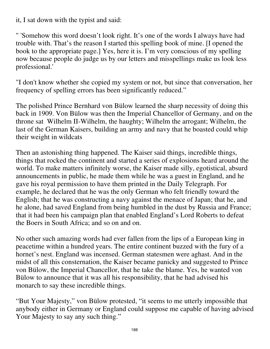it, I sat down with the typist and said:

" 'Somehow this word doesn't look right. It's one of the words I always have had trouble with. That's the reason I started this spelling book of mine. [I opened the book to the appropriate page.] Yes, here it is. I'm very conscious of my spelling now because people do judge us by our letters and misspellings make us look less professional.'

"I don't know whether she copied my system or not, but since that conversation, her frequency of spelling errors has been significantly reduced."

The polished Prince Bernhard von Bülow learned the sharp necessity of doing this back in 1909. Von Bülow was then the Imperial Chancellor of Germany, and on the throne sat Wilhelm II-Wilhelm, the haughty; Wilhelm the arrogant; Wilhelm, the last of the German Kaisers, building an army and navy that he boasted could whip their weight in wildcats

Then an astonishing thing happened. The Kaiser said things, incredible things, things that rocked the continent and started a series of explosions heard around the world. To make matters infinitely worse, the Kaiser made silly, egotistical, absurd announcements in public, he made them while he was a guest in England, and he gave his royal permission to have them printed in the Daily Telegraph. For example, he declared that he was the only German who felt friendly toward the English; that he was constructing a navy against the menace of Japan; that he, and he alone, had saved England from being humbled in the dust by Russia and France; that it had been his campaign plan that enabled England's Lord Roberts to defeat the Boers in South Africa; and so on and on.

No other such amazing words had ever fallen from the lips of a European king in peacetime within a hundred years. The entire continent buzzed with the fury of a hornet's nest. England was incensed. German statesmen were aghast. And in the midst of all this consternation, the Kaiser became panicky and suggested to Prince von Bülow, the Imperial Chancellor, that he take the blame. Yes, he wanted von Bülow to announce that it was all his responsibility, that he had advised his monarch to say these incredible things.

"But Your Majesty," von Bülow protested, "it seems to me utterly impossible that anybody either in Germany or England could suppose me capable of having advised Your Majesty to say any such thing."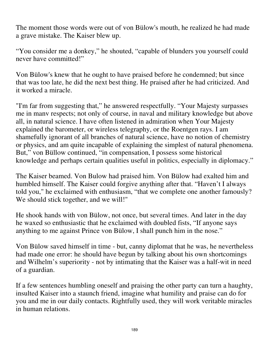The moment those words were out of von Bülow's mouth, he realized he had made a grave mistake. The Kaiser blew up.

"You consider me a donkey," he shouted, "capable of blunders you yourself could never have committed!"

Von Bülow's knew that he ought to have praised before he condemned; but since that was too late, he did the next best thing. He praised after he had criticized. And it worked a miracle.

"I'm far from suggesting that," he answered respectfully. "Your Majesty surpasses me in manv respects; not only of course, in naval and military knowledge but above all, in natural science. I have often listened in admiration when Your Majesty explained the barometer, or wireless telegraphy, or the Roentgen rays. I am shamefully ignorant of all branches of natural science, have no notion of chemistry or physics, and am quite incapable of explaining the simplest of natural phenomena. But," von Büllow continued, "in compensation, I possess some historical knowledge and perhaps certain qualities useful in politics, especially in diplomacy."

The Kaiser beamed. Von Bulow had praised him. Von Bülow had exalted him and humbled himself. The Kaiser could forgive anything after that. "Haven't I always told you," he exclaimed with enthusiasm, "that we complete one another famously? We should stick together, and we will!"

He shook hands with von Bülow, not once, but several times. And later in the day he waxed so enthusiastic that he exclaimed with doubled fists, "If anyone says anything to me against Prince von Bülow, I shall punch him in the nose."

Von Bülow saved himself in time - but, canny diplomat that he was, he nevertheless had made one error: he should have begun by talking about his own shortcomings and Wilhelm's superiority - not by intimating that the Kaiser was a half-wit in need of a guardian.

If a few sentences humbling oneself and praising the other party can turn a haughty, insulted Kaiser into a staunch friend, imagine what humility and praise can do for you and me in our daily contacts. Rightfully used, they will work veritable miracles in human relations.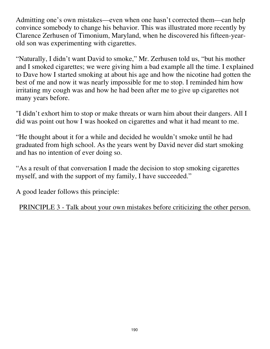Admitting one's own mistakes—even when one hasn't corrected them—can help convince somebody to change his behavior. This was illustrated more recently by Clarence Zerhusen of Timonium, Maryland, when he discovered his fifteen-yearold son was experimenting with cigarettes.

"Naturally, I didn't want David to smoke," Mr. Zerhusen told us, "but his mother and I smoked cigarettes; we were giving him a bad example all the time. I explained to Dave how I started smoking at about his age and how the nicotine had gotten the best of me and now it was nearly impossible for me to stop. I reminded him how irritating my cough was and how he had been after me to give up cigarettes not many years before.

"I didn't exhort him to stop or make threats or warn him about their dangers. All I did was point out how I was hooked on cigarettes and what it had meant to me.

"He thought about it for a while and decided he wouldn't smoke until he had graduated from high school. As the years went by David never did start smoking and has no intention of ever doing so.

"As a result of that conversation I made the decision to stop smoking cigarettes myself, and with the support of my family, I have succeeded."

A good leader follows this principle:

PRINCIPLE 3 - Talk about your own mistakes before criticizing the other person.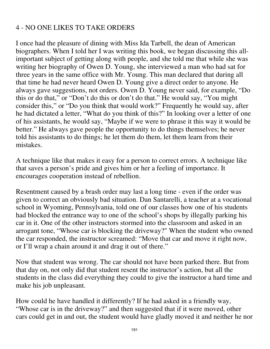#### 4 - NO ONE LIKES TO TAKE ORDERS

I once had the pleasure of dining with Miss Ida Tarbell, the dean of American biographers. When I told her I was writing this book, we began discussing this allimportant subject of getting along with people, and she told me that while she was writing her biography of Owen D. Young, she interviewed a man who had sat for three years in the same office with Mr. Young. This man declared that during all that time he had never heard Owen D. Young give a direct order to anyone. He always gave suggestions, not orders. Owen D. Young never said, for example, "Do this or do that," or "Don't do this or don't do that." He would say, "You might consider this," or "Do you think that would work?" Frequently he would say, after he had dictated a letter, "What do you think of this?" In looking over a letter of one of his assistants, he would say, "Maybe if we were to phrase it this way it would be better." He always gave people the opportunity to do things themselves; he never told his assistants to do things; he let them do them, let them learn from their mistakes.

A technique like that makes it easy for a person to correct errors. A technique like that saves a person's pride and gives him or her a feeling of importance. It encourages cooperation instead of rebellion.

Resentment caused by a brash order may last a long time - even if the order was given to correct an obviously bad situation. Dan Santarelli, a teacher at a vocational school in Wyoming, Pennsylvania, told one of our classes how one of his students had blocked the entrance way to one of the school's shops by illegally parking his car in it. One of the other instructors stormed into the classroom and asked in an arrogant tone, "Whose car is blocking the driveway?" When the student who owned the car responded, the instructor screamed: "Move that car and move it right now, or I'll wrap a chain around it and drag it out of there."

Now that student was wrong. The car should not have been parked there. But from that day on, not only did that student resent the instructor's action, but all the students in the class did everything they could to give the instructor a hard time and make his job unpleasant.

How could he have handled it differently? If he had asked in a friendly way, "Whose car is in the driveway?" and then suggested that if it were moved, other cars could get in and out, the student would have gladly moved it and neither he nor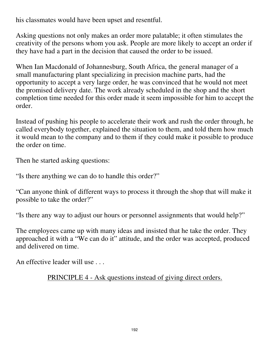his classmates would have been upset and resentful.

Asking questions not only makes an order more palatable; it often stimulates the creativity of the persons whom you ask. People are more likely to accept an order if they have had a part in the decision that caused the order to be issued.

When Ian Macdonald of Johannesburg, South Africa, the general manager of a small manufacturing plant specializing in precision machine parts, had the opportunity to accept a very large order, he was convinced that he would not meet the promised delivery date. The work already scheduled in the shop and the short completion time needed for this order made it seem impossible for him to accept the order.

Instead of pushing his people to accelerate their work and rush the order through, he called everybody together, explained the situation to them, and told them how much it would mean to the company and to them if they could make it possible to produce the order on time.

Then he started asking questions:

"Is there anything we can do to handle this order?"

"Can anyone think of different ways to process it through the shop that will make it possible to take the order?"

"Is there any way to adjust our hours or personnel assignments that would help?"

The employees came up with many ideas and insisted that he take the order. They approached it with a "We can do it" attitude, and the order was accepted, produced and delivered on time.

An effective leader will use . . .

### PRINCIPLE 4 - Ask questions instead of giving direct orders.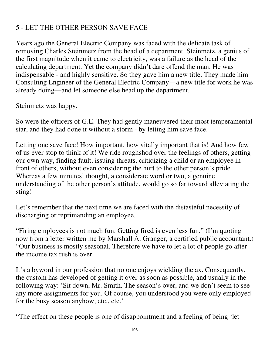# 5 - LET THE OTHER PERSON SAVE FACE

Years ago the General Electric Company was faced with the delicate task of removing Charles Steinmetz from the head of a department. Steinmetz, a genius of the first magnitude when it came to electricity, was a failure as the head of the calculating department. Yet the company didn't dare offend the man. He was indispensable - and highly sensitive. So they gave him a new title. They made him Consulting Engineer of the General Electric Company—a new title for work he was already doing—and let someone else head up the department.

Steinmetz was happy.

So were the officers of G.E. They had gently maneuvered their most temperamental star, and they had done it without a storm - by letting him save face.

Letting one save face! How important, how vitally important that is! And how few of us ever stop to think of it! We ride roughshod over the feelings of others, getting our own way, finding fault, issuing threats, criticizing a child or an employee in front of others, without even considering the hurt to the other person's pride. Whereas a few minutes' thought, a considerate word or two, a genuine understanding of the other person's attitude, would go so far toward alleviating the sting!

Let's remember that the next time we are faced with the distasteful necessity of discharging or reprimanding an employee.

"Firing employees is not much fun. Getting fired is even less fun." (I'm quoting now from a letter written me by Marshall A. Granger, a certified public accountant.) "Our business is mostly seasonal. Therefore we have to let a lot of people go after the income tax rush is over.

It's a byword in our profession that no one enjoys wielding the ax. Consequently, the custom has developed of getting it over as soon as possible, and usually in the following way: 'Sit down, Mr. Smith. The season's over, and we don't seem to see any more assignments for you. Of course, you understood you were only employed for the busy season anyhow, etc., etc.'

"The effect on these people is one of disappointment and a feeling of being 'let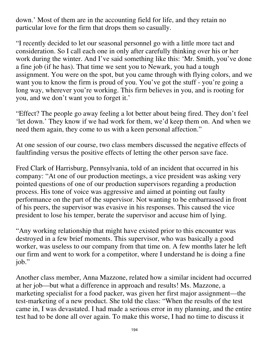down.' Most of them are in the accounting field for life, and they retain no particular love for the firm that drops them so casually.

"I recently decided to let our seasonal personnel go with a little more tact and consideration. So I call each one in only after carefully thinking over his or her work during the winter. And I've said something like this: 'Mr. Smith, you've done a fine job (if he has). That time we sent you to Newark, you had a tough assignment. You were on the spot, but you came through with flying colors, and we want you to know the firm is proud of you. You've got the stuff - you're going a long way, wherever you're working. This firm believes in you, and is rooting for you, and we don't want you to forget it.'

"Effect? The people go away feeling a lot better about being fired. They don't feel 'let down.' They know if we had work for them, we'd keep them on. And when we need them again, they come to us with a keen personal affection."

At one session of our course, two class members discussed the negative effects of faultfinding versus the positive effects of letting the other person save face.

Fred Clark of Harrisburg, Pennsylvania, told of an incident that occurred in his company: "At one of our production meetings, a vice president was asking very pointed questions of one of our production supervisors regarding a production process. His tone of voice was aggressive and aimed at pointing out faulty performance on the part of the supervisor. Not wanting to be embarrassed in front of his peers, the supervisor was evasive in his responses. This caused the vice president to lose his temper, berate the supervisor and accuse him of lying.

"Any working relationship that might have existed prior to this encounter was destroyed in a few brief moments. This supervisor, who was basically a good worker, was useless to our company from that time on. A few months later he left our firm and went to work for a competitor, where I understand he is doing a fine job."

Another class member, Anna Mazzone, related how a similar incident had occurred at her job—but what a difference in approach and results! Ms. Mazzone, a marketing specialist for a food packer, was given her first major assignment—the test-marketing of a new product. She told the class: "When the results of the test came in, I was devastated. I had made a serious error in my planning, and the entire test had to be done all over again. To make this worse, I had no time to discuss it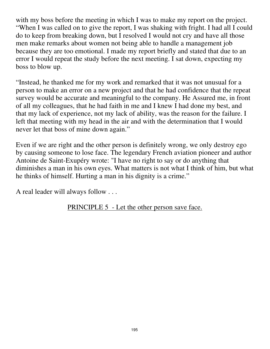with my boss before the meeting in which I was to make my report on the project. "When I was called on to give the report, I was shaking with fright. I had all I could do to keep from breaking down, but I resolved I would not cry and have all those men make remarks about women not being able to handle a management job because they are too emotional. I made my report briefly and stated that due to an error I would repeat the study before the next meeting. I sat down, expecting my boss to blow up.

"Instead, he thanked me for my work and remarked that it was not unusual for a person to make an error on a new project and that he had confidence that the repeat survey would be accurate and meaningful to the company. He Assured me, in front of all my colleagues, that he had faith in me and I knew I had done my best, and that my lack of experience, not my lack of ability, was the reason for the failure. I left that meeting with my head in the air and with the determination that I would never let that boss of mine down again."

Even if we are right and the other person is definitely wrong, we only destroy ego by causing someone to lose face. The legendary French aviation pioneer and author Antoine de Saint-Exupéry wrote: "I have no right to say or do anything that diminishes a man in his own eyes. What matters is not what I think of him, but what he thinks of himself. Hurting a man in his dignity is a crime."

A real leader will always follow . . .

PRINCIPLE 5 - Let the other person save face.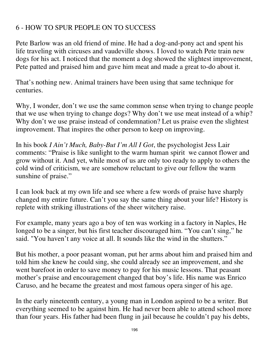## 6 - HOW TO SPUR PEOPLE ON TO SUCCESS

Pete Barlow was an old friend of mine. He had a dog-and-pony act and spent his life traveling with circuses and vaudeville shows. I loved to watch Pete train new dogs for his act. I noticed that the moment a dog showed the slightest improvement, Pete patted and praised him and gave him meat and made a great to-do about it.

That's nothing new. Animal trainers have been using that same technique for centuries.

Why, I wonder, don't we use the same common sense when trying to change people that we use when trying to change dogs? Why don't we use meat instead of a whip? Why don't we use praise instead of condemnation? Let us praise even the slightest improvement. That inspires the other person to keep on improving.

In his book *I Ain't Much, Baby-But I'm All I Got*, the psychologist Jess Lair comments: "Praise is like sunlight to the warm human spirit we cannot flower and grow without it. And yet, while most of us are only too ready to apply to others the cold wind of criticism, we are somehow reluctant to give our fellow the warm sunshine of praise."

I can look back at my own life and see where a few words of praise have sharply changed my entire future. Can't you say the same thing about your life? History is replete with striking illustrations of the sheer witchery raise.

For example, many years ago a boy of ten was working in a factory in Naples, He longed to be a singer, but his first teacher discouraged him. "You can't sing," he said. "You haven't any voice at all. It sounds like the wind in the shutters."

But his mother, a poor peasant woman, put her arms about him and praised him and told him she knew he could sing, she could already see an improvement, and she went barefoot in order to save money to pay for his music lessons. That peasant mother's praise and encouragement changed that boy's life. His name was Enrico Caruso, and he became the greatest and most famous opera singer of his age.

In the early nineteenth century, a young man in London aspired to be a writer. But everything seemed to be against him. He had never been able to attend school more than four years. His father had been flung in jail because he couldn't pay his debts,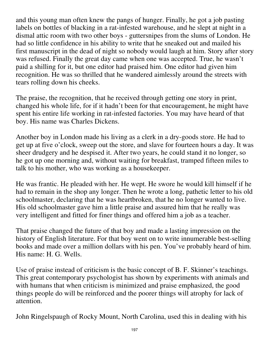and this young man often knew the pangs of hunger. Finally, he got a job pasting labels on bottles of blacking in a rat-infested warehouse, and he slept at night in a dismal attic room with two other boys - guttersnipes from the slums of London. He had so little confidence in his ability to write that he sneaked out and mailed his first manuscript in the dead of night so nobody would laugh at him. Story after story was refused. Finally the great day came when one was accepted. True, he wasn't paid a shilling for it, but one editor had praised him. One editor had given him recognition. He was so thrilled that he wandered aimlessly around the streets with tears rolling down his cheeks.

The praise, the recognition, that he received through getting one story in print, changed his whole life, for if it hadn't been for that encouragement, he might have spent his entire life working in rat-infested factories. You may have heard of that boy. His name was Charles Dickens.

Another boy in London made his living as a clerk in a dry-goods store. He had to get up at five o'clock, sweep out the store, and slave for fourteen hours a day. It was sheer drudgery and he despised it. After two years, he could stand it no longer, so he got up one morning and, without waiting for breakfast, tramped fifteen miles to talk to his mother, who was working as a housekeeper.

He was frantic. He pleaded with her. He wept. He swore he would kill himself if he had to remain in the shop any longer. Then he wrote a long, pathetic letter to his old schoolmaster, declaring that he was heartbroken, that he no longer wanted to live. His old schoolmaster gave him a little praise and assured him that he really was very intelligent and fitted for finer things and offered him a job as a teacher.

That praise changed the future of that boy and made a lasting impression on the history of English literature. For that boy went on to write innumerable best-selling books and made over a million dollars with his pen. You've probably heard of him. His name: H. G. Wells.

Use of praise instead of criticism is the basic concept of B. F. Skinner's teachings. This great contemporary psychologist has shown by experiments with animals and with humans that when criticism is minimized and praise emphasized, the good things people do will be reinforced and the poorer things will atrophy for lack of attention.

John Ringelspaugh of Rocky Mount, North Carolina, used this in dealing with his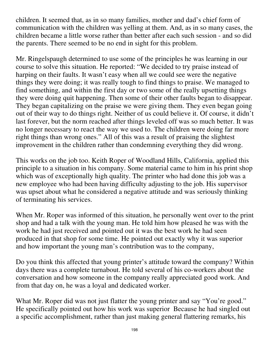children. It seemed that, as in so many families, mother and dad's chief form of communication with the children was yelling at them. And, as in so many cases, the children became a little worse rather than better after each such session - and so did the parents. There seemed to be no end in sight for this problem.

Mr. Ringelspaugh determined to use some of the principles he was learning in our course to solve this situation. He reported: "We decided to try praise instead of harping on their faults. It wasn't easy when all we could see were the negative things they were doing; it was really tough to find things to praise. We managed to find something, and within the first day or two some of the really upsetting things they were doing quit happening. Then some of their other faults began to disappear. They began capitalizing on the praise we were giving them. They even began going out of their way to do things right. Neither of us could believe it. Of course, it didn't last forever, but the norm reached after things leveled off was so much better. It was no longer necessary to react the way we used to. The children were doing far more right things than wrong ones." All of this was a result of praising the slightest improvement in the children rather than condemning everything they did wrong.

This works on the job too. Keith Roper of Woodland Hills, California, applied this principle to a situation in his company. Some material came to him in his print shop which was of exceptionally high quality. The printer who had done this job was a new employee who had been having difficulty adjusting to the job. His supervisor was upset about what he considered a negative attitude and was seriously thinking of terminating his services.

When Mr. Roper was informed of this situation, he personally went over to the print shop and had a talk with the young man. He told him how pleased he was with the work he had just received and pointed out it was the best work he had seen produced in that shop for some time. He pointed out exactly why it was superior and how important the young man's contribution was to the company,

Do you think this affected that young printer's attitude toward the company? Within days there was a complete turnabout. He told several of his co-workers about the conversation and how someone in the company really appreciated good work. And from that day on, he was a loyal and dedicated worker.

What Mr. Roper did was not just flatter the young printer and say "You're good." He specifically pointed out how his work was superior Because he had singled out a specific accomplishment, rather than just making general flattering remarks, his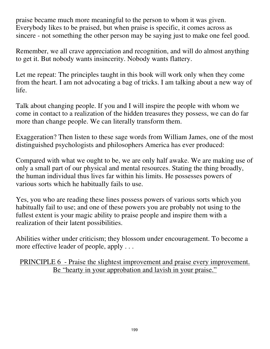praise became much more meaningful to the person to whom it was given. Everybody likes to be praised, but when praise is specific, it comes across as sincere - not something the other person may be saying just to make one feel good.

Remember, we all crave appreciation and recognition, and will do almost anything to get it. But nobody wants insincerity. Nobody wants flattery.

Let me repeat: The principles taught in this book will work only when they come from the heart. I am not advocating a bag of tricks. I am talking about a new way of life.

Talk about changing people. If you and I will inspire the people with whom we come in contact to a realization of the hidden treasures they possess, we can do far more than change people. We can literally transform them.

Exaggeration? Then listen to these sage words from William James, one of the most distinguished psychologists and philosophers America has ever produced:

Compared with what we ought to be, we are only half awake. We are making use of only a small part of our physical and mental resources. Stating the thing broadly, the human individual thus lives far within his limits. He possesses powers of various sorts which he habitually fails to use.

Yes, you who are reading these lines possess powers of various sorts which you habitually fail to use; and one of these powers you are probably not using to the fullest extent is your magic ability to praise people and inspire them with a realization of their latent possibilities.

Abilities wither under criticism; they blossom under encouragement. To become a more effective leader of people, apply . . .

PRINCIPLE 6 - Praise the slightest improvement and praise every improvement. Be "hearty in your approbation and lavish in your praise."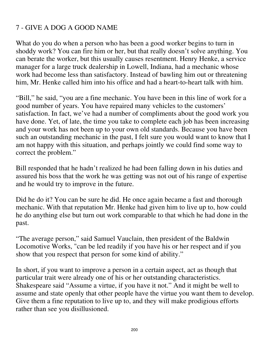### 7 - GIVE A DOG A GOOD NAME

What do you do when a person who has been a good worker begins to turn in shoddy work? You can fire him or her, but that really doesn't solve anything. You can berate the worker, but this usually causes resentment. Henry Henke, a service manager for a large truck dealership in Lowell, Indiana, had a mechanic whose work had become less than satisfactory. Instead of bawling him out or threatening him, Mr. Henke called him into his office and had a heart-to-heart talk with him.

"Bill," he said, "you are a fine mechanic. You have been in this line of work for a good number of years. You have repaired many vehicles to the customers' satisfaction. In fact, we've had a number of compliments about the good work you have done. Yet, of late, the time you take to complete each job has been increasing and your work has not been up to your own old standards. Because you have been such an outstanding mechanic in the past, I felt sure you would want to know that I am not happy with this situation, and perhaps jointly we could find some way to correct the problem."

Bill responded that he hadn't realized he had been falling down in his duties and assured his boss that the work he was getting was not out of his range of expertise and he would try to improve in the future.

Did he do it? You can be sure he did. He once again became a fast and thorough mechanic. With that reputation Mr. Henke had given him to live up to, how could he do anything else but turn out work comparable to that which he had done in the past.

"The average person," said Samuel Vauclain, then president of the Baldwin Locomotive Works, "can be led readily if you have his or her respect and if you show that you respect that person for some kind of ability."

In short, if you want to improve a person in a certain aspect, act as though that particular trait were already one of his or her outstanding characteristics. Shakespeare said "Assume a virtue, if you have it not." And it might be well to assume and state openly that other people have the virtue you want them to develop. Give them a fine reputation to live up to, and they will make prodigious efforts rather than see you disillusioned.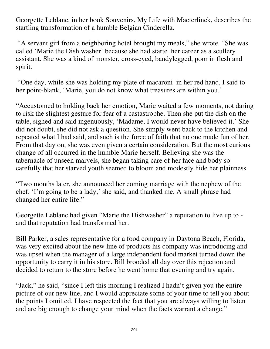Georgette Leblanc, in her book Souvenirs, My Life with Maeterlinck, describes the startling transformation of a humble Belgian Cinderella.

"A servant girl from a neighboring hotel brought my meals," she wrote. "She was called 'Marie the Dish washer' because she had starte her career as a scullery assistant. She was a kind of monster, cross-eyed, bandylegged, poor in flesh and spirit.

"One day, while she was holding my plate of macaroni in her red hand, I said to her point-blank, 'Marie, you do not know what treasures are within you.'

"Accustomed to holding back her emotion, Marie waited a few moments, not daring to risk the slightest gesture for fear of a castastrophe. Then she put the dish on the table, sighed and said ingenuously, 'Madame, I would never have believed it.' She did not doubt, she did not ask a question. She simply went back to the kitchen and repeated what I had said, and such is the force of faith that no one made fun of her. From that day on, she was even given a certain consideration. But the most curious change of all occurred in the humble Marie herself. Believing she was the tabernacle of unseen marvels, she began taking care of her face and body so carefully that her starved youth seemed to bloom and modestly hide her plainness.

"Two months later, she announced her coming marriage with the nephew of the chef. 'I'm going to be a lady,' she said, and thanked me. A small phrase had changed her entire life."

Georgette Leblanc had given "Marie the Dishwasher" a reputation to live up to and that reputation had transformed her.

Bill Parker, a sales representative for a food company in Daytona Beach, Florida, was very excited about the new line of products his company was introducing and was upset when the manager of a large independent food market turned down the opportunity to carry it in his store. Bill brooded all day over this rejection and decided to return to the store before he went home that evening and try again.

"Jack," he said, "since I left this morning I realized I hadn't given you the entire picture of our new line, and I would appreciate some of your time to tell you about the points I omitted. I have respected the fact that you are always willing to listen and are big enough to change your mind when the facts warrant a change."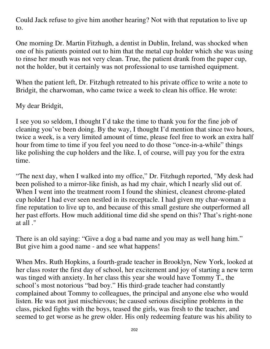Could Jack refuse to give him another hearing? Not with that reputation to live up to.

One morning Dr. Martin Fitzhugh, a dentist in Dublin, Ireland, was shocked when one of his patients pointed out to him that the metal cup holder which she was using to rinse her mouth was not very clean. True, the patient drank from the paper cup, not the holder, but it certainly was not professional to use tarnished equipment.

When the patient left, Dr. Fitzhugh retreated to his private office to write a note to Bridgit, the charwoman, who came twice a week to clean his office. He wrote:

My dear Bridgit,

I see you so seldom, I thought I'd take the time to thank you for the fine job of cleaning you've been doing. By the way, I thought I'd mention that since two hours, twice a week, is a very limited amount of time, please feel free to work an extra half hour from time to time if you feel you need to do those "once-in-a-while" things like polishing the cup holders and the like. I, of course, will pay you for the extra time.

"The next day, when I walked into my office," Dr. Fitzhugh reported, "My desk had been polished to a mirror-like finish, as had my chair, which I nearly slid out of. When I went into the treatment room I found the shiniest, cleanest chrome-plated cup holder I had ever seen nestled in its receptacle. I had given my char-woman a fine reputation to live up to, and because of this small gesture she outperformed all her past efforts. How much additional time did she spend on this? That's right-none at all ."

There is an old saying: "Give a dog a bad name and you may as well hang him." But give him a good name - and see what happens!

When Mrs. Ruth Hopkins, a fourth-grade teacher in Brooklyn, New York, looked at her class roster the first day of school, her excitement and joy of starting a new term was tinged with anxiety. In her class this year she would have Tommy T., the school's most notorious "bad boy." His third-grade teacher had constantly complained about Tommy to colleagues, the principal and anyone else who would listen. He was not just mischievous; he caused serious discipline problems in the class, picked fights with the boys, teased the girls, was fresh to the teacher, and seemed to get worse as he grew older. His only redeeming feature was his ability to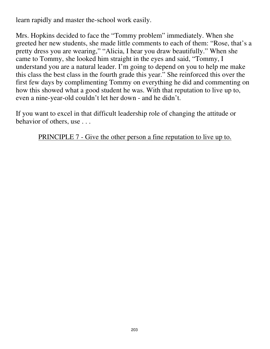learn rapidly and master the-school work easily.

Mrs. Hopkins decided to face the "Tommy problem" immediately. When she greeted her new students, she made little comments to each of them: "Rose, that's a pretty dress you are wearing," "Alicia, I hear you draw beautifully." When she came to Tommy, she looked him straight in the eyes and said, "Tommy, I understand you are a natural leader. I'm going to depend on you to help me make this class the best class in the fourth grade this year." She reinforced this over the first few days by complimenting Tommy on everything he did and commenting on how this showed what a good student he was. With that reputation to live up to, even a nine-year-old couldn't let her down - and he didn't.

If you want to excel in that difficult leadership role of changing the attitude or behavior of others, use . . .

PRINCIPLE 7 - Give the other person a fine reputation to live up to.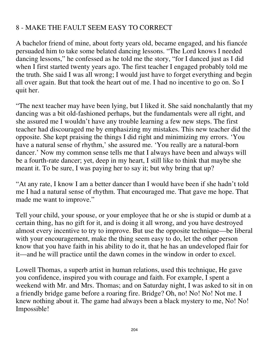## 8 - MAKE THE FAULT SEEM EASY TO CORRECT

A bachelor friend of mine, about forty years old, became engaged, and his fiancée persuaded him to take some belated dancing lessons. "The Lord knows I needed dancing lessons," he confessed as he told me the story, "for I danced just as I did when I first started twenty years ago. The first teacher I engaged probably told me the truth. She said I was all wrong; I would just have to forget everything and begin all over again. But that took the heart out of me. I had no incentive to go on. So I quit her.

"The next teacher may have been lying, but I liked it. She said nonchalantly that my dancing was a bit old-fashioned perhaps, but the fundamentals were all right, and she assured me I wouldn't have any trouble learning a few new steps. The first teacher had discouraged me by emphasizing my mistakes. This new teacher did the opposite. She kept praising the things I did right and minimizing my errors. 'You have a natural sense of rhythm,' she assured me. 'You really are a natural-born dancer.' Now my common sense tells me that I always have been and always will be a fourth-rate dancer; yet, deep in my heart, I still like to think that maybe she meant it. To be sure, I was paying her to say it; but why bring that up?

"At any rate, I know I am a better dancer than I would have been if she hadn't told me I had a natural sense of rhythm. That encouraged me. That gave me hope. That made me want to improve."

Tell your child, your spouse, or your employee that he or she is stupid or dumb at a certain thing, has no gift for it, and is doing it all wrong, and you have destroyed almost every incentive to try to improve. But use the opposite technique—be liberal with your encouragement, make the thing seem easy to do, let the other person know that you have faith in his ability to do it, that he has an undeveloped flair for it—and he will practice until the dawn comes in the window in order to excel.

Lowell Thomas, a superb artist in human relations, used this technique, He gave you confidence, inspired you with courage and faith. For example, I spent a weekend with Mr. and Mrs. Thomas; and on Saturday night, I was asked to sit in on a friendly bridge game before a roaring fire. Bridge? Oh, no! No! No! Not me. I knew nothing about it. The game had always been a black mystery to me, No! No! Impossible!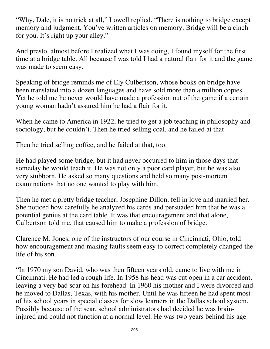"Why, Dale, it is no trick at all," Lowell replied. "There is nothing to bridge except memory and judgment. You've written articles on memory. Bridge will be a cinch for you. It's right up your alley."

And presto, almost before I realized what I was doing, I found myself for the first time at a bridge table. All because I was told I had a natural flair for it and the game was made to seem easy.

Speaking of bridge reminds me of Ely Culbertson, whose books on bridge have been translated into a dozen languages and have sold more than a million copies. Yet he told me he never would have made a profession out of the game if a certain young woman hadn't assured him he had a flair for it.

When he came to America in 1922, he tried to get a job teaching in philosophy and sociology, but he couldn't. Then he tried selling coal, and he failed at that

Then he tried selling coffee, and he failed at that, too.

He had played some bridge, but it had never occurred to him in those days that someday he would teach it. He was not only a poor card player, but he was also very stubborn. He asked so many questions and held so many post-mortem examinations that no one wanted to play with him.

Then he met a pretty bridge teacher, Josephine Dillon, fell in love and married her. She noticed how carefully he analyzed his cards and persuaded him that he was a potential genius at the card table. It was that encouragement and that alone, Culbertson told me, that caused him to make a profession of bridge.

Clarence M. Jones, one of the instructors of our course in Cincinnati, Ohio, told how encouragement and making faults seem easy to correct completely changed the life of his son.

"In 1970 my son David, who was then fifteen years old, came to live with me in Cincinnati. He had led a rough life. In 1958 his head was cut open in a car accident, leaving a very bad scar on his forehead. In 1960 his mother and I were divorced and he moved to Dallas, Texas, with his mother. Until he was fifteen he had spent most of his school years in special classes for slow learners in the Dallas school system. Possibly because of the scar, school administrators had decided he was braininjured and could not function at a normal level. He was two years behind his age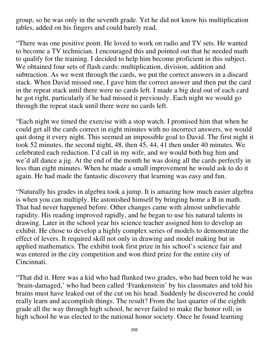group, so he was only in the seventh grade. Yet he did not know his multiplication tables, added on his fingers and could barely read.

"There was one positive point. He loved to work on radio and TV sets. He wanted to become a TV technician. I encouraged this and pointed out that he needed math to qualify for the training. I decided to help him become proficient in this subject. We obtained four sets of flash cards: multiplication, division, addition and subtraction. As we went through the cards, we put the correct answers in a discard stack. When David missed one, I gave him the correct answer and then put the card in the repeat stack until there were no cards left. I made a big deal out of each card he got right, particularly if he had missed it previously. Each night we would go through the repeat stack until there were no cards left.

"Each night we timed the exercise with a stop watch. I promised him that when he could get all the cards correct in eight minutes with no incorrect answers, we would quit doing it every night. This seemed an impossible goal to David. The first night it took 52 minutes, the second night, 48, then 45, 44, 41 then under 40 minutes. We celebrated each reduction. I'd call in my wife, and we would both hug him and we'd all dance a jig. At the end of the month he was doing all the cards perfectly in less than eight minutes. When he made a small improvement he would ask to do it again. He had made the fantastic discovery that learning was easy and fun.

"Naturally his grades in algebra took a jump. It is amazing how much easier algebra is when you can multiply. He astonished himself by bringing home a B in math. That had never happened before. Other changes came with almost unbelievable rapidity. His reading improved rapidly, and he began to use his natural talents in drawing. Later in the school year his science teacher assigned him to develop an exhibit. He chose to develop a highly complex series of models to demonstrate the effect of levers. It required skill not only in drawing and model making but in applied mathematics. The exhibit took first prize in his school's science fair and was entered in the city competition and won third prize for the entire city of Cincinnati.

"That did it. Here was a kid who had flunked two grades, who had been told he was 'brain-damaged,' who had been called 'Frankenstein' by his classmates and told his brains must have leaked out of the cut on his head. Suddenly he discovered he could really learn and accomplish things. The result? From the last quarter of the eighth grade all the way through high school, he never failed to make the honor roll; in high school he was elected to the national honor society. Once he found learning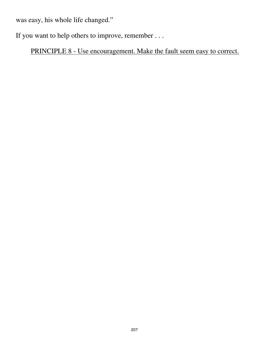was easy, his whole life changed."

If you want to help others to improve, remember . . .

PRINCIPLE 8 - Use encouragement. Make the fault seem easy to correct.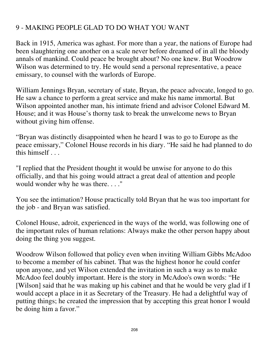## 9 - MAKING PEOPLE GLAD TO DO WHAT YOU WANT

Back in 1915, America was aghast. For more than a year, the nations of Europe had been slaughtering one another on a scale never before dreamed of in all the bloody annals of mankind. Could peace be brought about? No one knew. But Woodrow Wilson was determined to try. He would send a personal representative, a peace emissary, to counsel with the warlords of Europe.

William Jennings Bryan, secretary of state, Bryan, the peace advocate, longed to go. He saw a chance to perform a great service and make his name immortal. But Wilson appointed another man, his intimate friend and advisor Colonel Edward M. House; and it was House's thorny task to break the unwelcome news to Bryan without giving him offense.

"Bryan was distinctly disappointed when he heard I was to go to Europe as the peace emissary," Colonel House records in his diary. "He said he had planned to do this himself . . .

"I replied that the President thought it would be unwise for anyone to do this officially, and that his going would attract a great deal of attention and people would wonder why he was there. . . ."

You see the intimation? House practically told Bryan that he was too important for the job - and Bryan was satisfied.

Colonel House, adroit, experienced in the ways of the world, was following one of the important rules of human relations: Always make the other person happy about doing the thing you suggest.

Woodrow Wilson followed that policy even when inviting William Gibbs McAdoo to become a member of his cabinet. That was the highest honor he could confer upon anyone, and yet Wilson extended the invitation in such a way as to make McAdoo feel doubly important. Here is the story in McAdoo's own words: "He [Wilson] said that he was making up his cabinet and that he would be very glad if I would accept a place in it as Secretary of the Treasury. He had a delightful way of putting things; he created the impression that by accepting this great honor I would be doing him a favor."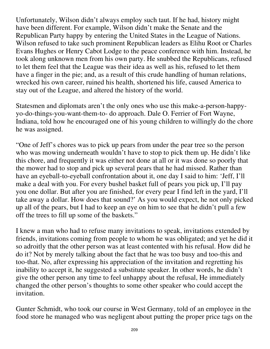Unfortunately, Wilson didn't always employ such taut. If he had, history might have been different. For example, Wilson didn't make the Senate and the Republican Party happy by entering the United States in the League of Nations. Wilson refused to take such prominent Republican leaders as Elihu Root or Charles Evans Hughes or Henry Cabot Lodge to the peace conference with him. Instead, he took along unknown men from his own party. He snubbed the Republicans, refused to let them feel that the League was their idea as well as his, refused to let them have a finger in the pie; and, as a result of this crude handling of human relations, wrecked his own career, ruined his health, shortened his life, caused America to stay out of the League, and altered the history of the world.

Statesmen and diplomats aren't the only ones who use this make-a-person-happyyo-do-things-you-want-them-to- do approach. Dale O. Ferrier of Fort Wayne, Indiana, told how he encouraged one of his young children to willingly do the chore he was assigned.

"One of Jeff's chores was to pick up pears from under the pear tree so the person who was mowing underneath wouldn't have to stop to pick them up. He didn't like this chore, and frequently it was either not done at all or it was done so poorly that the mower had to stop and pick up several pears that he had missed. Rather than have an eyeball-to-eyeball confrontation about it, one day I said to him: 'Jeff, I'll make a deal with you. For every bushel basket full of pears you pick up, I'll pay you one dollar. But after you are finished, for every pear I find left in the yard, I'll take away a dollar. How does that sound?' As you would expect, he not only picked up all of the pears, but I had to keep an eye on him to see that he didn't pull a few off the trees to fill up some of the baskets."

I knew a man who had to refuse many invitations to speak, invitations extended by friends, invitations coming from people to whom he was obligated; and yet he did it so adroitly that the other person was at least contented with his refusal. How did he do it? Not by merely talking about the fact that he was too busy and too-this and too-that. No, after expressing his appreciation of the invitation and regretting his inability to accept it, he suggested a substitute speaker. In other words, he didn't give the other person any time to feel unhappy about the refusal, He immediately changed the other person's thoughts to some other speaker who could accept the invitation.

Gunter Schmidt, who took our course in West Germany, told of an employee in the food store he managed who was negligent about putting the proper price tags on the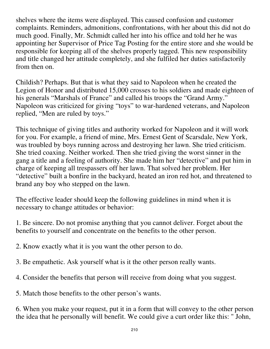shelves where the items were displayed. This caused confusion and customer complaints. Reminders, admonitions, confrontations, with her about this did not do much good. Finally, Mr. Schmidt called her into his office and told her he was appointing her Supervisor of Price Tag Posting for the entire store and she would be responsible for keeping all of the shelves properly tagged. This new responsibility and title changed her attitude completely, and she fulfiled her duties satisfactorily from then on.

Childish? Perhaps. But that is what they said to Napoleon when he created the Legion of Honor and distributed 15,000 crosses to his soldiers and made eighteen of his generals "Marshals of France" and called his troops the "Grand Army." Napoleon was criticized for giving "toys" to war-hardened veterans, and Napoleon replied, "Men are ruled by toys."

This technique of giving titles and authority worked for Napoleon and it will work for you. For example, a friend of mine, Mrs. Ernest Gent of Scarsdale, New York, was troubled by boys running across and destroying her lawn. She tried criticism. She tried coaxing. Neither worked. Then she tried giving the worst sinner in the gang a title and a feeling of authority. She made him her "detective" and put him in charge of keeping all trespassers off her lawn. That solved her problem. Her "detective" built a bonfire in the backyard, heated an iron red hot, and threatened to brand any boy who stepped on the lawn.

The effective leader should keep the following guidelines in mind when it is necessary to change attitudes or behavior:

1. Be sincere. Do not promise anything that you cannot deliver. Forget about the benefits to yourself and concentrate on the benefits to the other person.

2. Know exactly what it is you want the other person to do.

3. Be empathetic. Ask yourself what is it the other person really wants.

4. Consider the benefits that person will receive from doing what you suggest.

5. Match those benefits to the other person's wants.

6. When you make your request, put it in a form that will convey to the other person the idea that he personally will benefit. We could give a curt order like this: " John,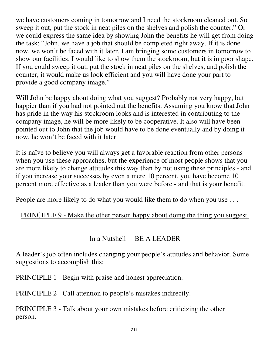we have customers coming in tomorrow and I need the stockroom cleaned out. So sweep it out, put the stock in neat piles on the shelves and polish the counter." Or we could express the same idea by showing John the benefits he will get from doing the task: "John, we have a job that should be completed right away. If it is done now, we won't be faced with it later. I am bringing some customers in tomorrow to show our facilities. I would like to show them the stockroom, but it is in poor shape. If you could sweep it out, put the stock in neat piles on the shelves, and polish the counter, it would make us look efficient and you will have done your part to provide a good company image."

Will John be happy about doing what you suggest? Probably not very happy, but happier than if you had not pointed out the benefits. Assuming you know that John has pride in the way his stockroom looks and is interested in contributing to the company image, he will be more likely to be cooperative. It also will have been pointed out to John that the job would have to be done eventually and by doing it now, he won't be faced with it later.

It is naïve to believe you will always get a favorable reaction from other persons when you use these approaches, but the experience of most people shows that you are more likely to change attitudes this way than by not using these principles - and if you increase your successes by even a mere 10 percent, you have become 10 percent more effective as a leader than you were before - and that is your benefit.

People are more likely to do what you would like them to do when you use . . .

### PRINCIPLE 9 - Make the other person happy about doing the thing you suggest.

#### In a Nutshell BE A LEADER

A leader's job often includes changing your people's attitudes and behavior. Some suggestions to accomplish this:

PRINCIPLE 1 - Begin with praise and honest appreciation.

PRINCIPLE 2 - Call attention to people's mistakes indirectly.

PRINCIPLE 3 - Talk about your own mistakes before criticizing the other person.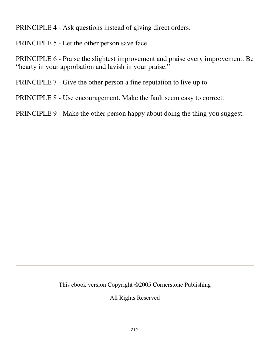PRINCIPLE 4 - Ask questions instead of giving direct orders.

PRINCIPLE 5 - Let the other person save face.

PRINCIPLE 6 - Praise the slightest improvement and praise every improvement. Be "hearty in your approbation and lavish in your praise."

PRINCIPLE 7 - Give the other person a fine reputation to live up to.

PRINCIPLE 8 - Use encouragement. Make the fault seem easy to correct.

PRINCIPLE 9 - Make the other person happy about doing the thing you suggest.

This ebook version Copyright ©2005 Cornerstone Publishing

All Rights Reserved